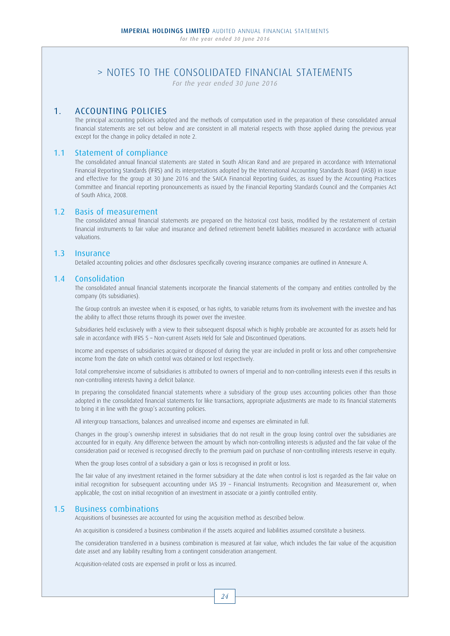*For the year ended 30 June 2016*

## 1. ACCOUNTING POLICIES

 The principal accounting policies adopted and the methods of computation used in the preparation of these consolidated annual financial statements are set out below and are consistent in all material respects with those applied during the previous year except for the change in policy detailed in note 2.

## 1.1 Statement of compliance

 The consolidated annual financial statements are stated in South African Rand and are prepared in accordance with International Financial Reporting Standards (IFRS) and its interpretations adopted by the International Accounting Standards Board (IASB) in issue and effective for the group at 30 June 2016 and the SAICA Financial Reporting Guides, as issued by the Accounting Practices Committee and financial reporting pronouncements as issued by the Financial Reporting Standards Council and the Companies Act of South Africa, 2008.

### 1.2 Basis of measurement

 The consolidated annual financial statements are prepared on the historical cost basis, modified by the restatement of certain financial instruments to fair value and insurance and defined retirement benefit liabilities measured in accordance with actuarial valuations.

## 1.3 Insurance

Detailed accounting policies and other disclosures specifically covering insurance companies are outlined in Annexure A.

### 1.4 Consolidation

 The consolidated annual financial statements incorporate the financial statements of the company and entities controlled by the company (its subsidiaries).

 The Group controls an investee when it is exposed, or has rights, to variable returns from its involvement with the investee and has the ability to affect those returns through its power over the investee.

 Subsidiaries held exclusively with a view to their subsequent disposal which is highly probable are accounted for as assets held for sale in accordance with IFRS 5 – Non-current Assets Held for Sale and Discontinued Operations.

 Income and expenses of subsidiaries acquired or disposed of during the year are included in profit or loss and other comprehensive income from the date on which control was obtained or lost respectively.

 Total comprehensive income of subsidiaries is attributed to owners of Imperial and to non-controlling interests even if this results in non-controlling interests having a deficit balance.

 In preparing the consolidated financial statements where a subsidiary of the group uses accounting policies other than those adopted in the consolidated financial statements for like transactions, appropriate adjustments are made to its financial statements to bring it in line with the group's accounting policies.

All intergroup transactions, balances and unrealised income and expenses are eliminated in full.

 Changes in the group's ownership interest in subsidiaries that do not result in the group losing control over the subsidiaries are accounted for in equity. Any difference between the amount by which non-controlling interests is adjusted and the fair value of the consideration paid or received is recognised directly to the premium paid on purchase of non-controlling interests reserve in equity.

When the group loses control of a subsidiary a gain or loss is recognised in profit or loss.

 The fair value of any investment retained in the former subsidiary at the date when control is lost is regarded as the fair value on initial recognition for subsequent accounting under IAS 39 – Financial Instruments: Recognition and Measurement or, when applicable, the cost on initial recognition of an investment in associate or a jointly controlled entity.

## 1.5 Business combinations

Acquisitions of businesses are accounted for using the acquisition method as described below.

An acquisition is considered a business combination if the assets acquired and liabilities assumed constitute a business.

 The consideration transferred in a business combination is measured at fair value, which includes the fair value of the acquisition date asset and any liability resulting from a contingent consideration arrangement.

Acquisition-related costs are expensed in profit or loss as incurred.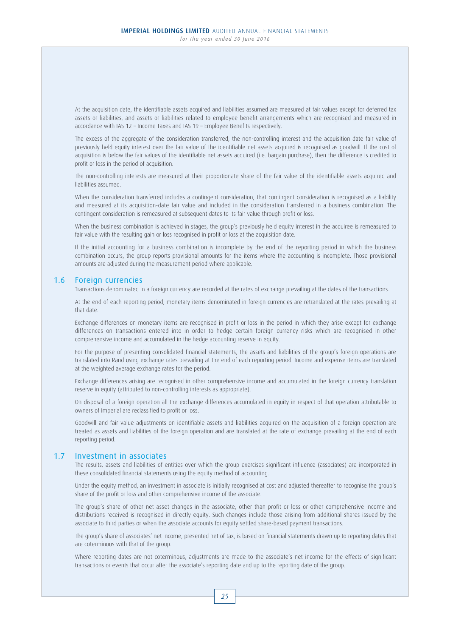At the acquisition date, the identifiable assets acquired and liabilities assumed are measured at fair values except for deferred tax assets or liabilities, and assets or liabilities related to employee benefit arrangements which are recognised and measured in accordance with IAS 12 – Income Taxes and IAS 19 – Employee Benefits respectively.

 The excess of the aggregate of the consideration transferred, the non-controlling interest and the acquisition date fair value of previously held equity interest over the fair value of the identifiable net assets acquired is recognised as goodwill. If the cost of acquisition is below the fair values of the identifiable net assets acquired (i.e. bargain purchase), then the difference is credited to profit or loss in the period of acquisition.

 The non-controlling interests are measured at their proportionate share of the fair value of the identifiable assets acquired and liabilities assumed.

 When the consideration transferred includes a contingent consideration, that contingent consideration is recognised as a liability and measured at its acquisition-date fair value and included in the consideration transferred in a business combination. The contingent consideration is remeasured at subsequent dates to its fair value through profit or loss.

 When the business combination is achieved in stages, the group's previously held equity interest in the acquiree is remeasured to fair value with the resulting gain or loss recognised in profit or loss at the acquisition date.

 If the initial accounting for a business combination is incomplete by the end of the reporting period in which the business combination occurs, the group reports provisional amounts for the items where the accounting is incomplete. Those provisional amounts are adjusted during the measurement period where applicable.

### 1.6 Foreign currencies

Transactions denominated in a foreign currency are recorded at the rates of exchange prevailing at the dates of the transactions.

 At the end of each reporting period, monetary items denominated in foreign currencies are retranslated at the rates prevailing at that date.

 Exchange differences on monetary items are recognised in profit or loss in the period in which they arise except for exchange differences on transactions entered into in order to hedge certain foreign currency risks which are recognised in other comprehensive income and accumulated in the hedge accounting reserve in equity.

 For the purpose of presenting consolidated financial statements, the assets and liabilities of the group's foreign operations are translated into Rand using exchange rates prevailing at the end of each reporting period. Income and expense items are translated at the weighted average exchange rates for the period.

 Exchange differences arising are recognised in other comprehensive income and accumulated in the foreign currency translation reserve in equity (attributed to non-controlling interests as appropriate).

 On disposal of a foreign operation all the exchange differences accumulated in equity in respect of that operation attributable to owners of Imperial are reclassified to profit or loss.

 Goodwill and fair value adjustments on identifiable assets and liabilities acquired on the acquisition of a foreign operation are treated as assets and liabilities of the foreign operation and are translated at the rate of exchange prevailing at the end of each reporting period.

## 1.7 Investment in associates

 The results, assets and liabilities of entities over which the group exercises significant influence (associates) are incorporated in these consolidated financial statements using the equity method of accounting.

 Under the equity method, an investment in associate is initially recognised at cost and adjusted thereafter to recognise the group's share of the profit or loss and other comprehensive income of the associate.

 The group's share of other net asset changes in the associate, other than profit or loss or other comprehensive income and distributions received is recognised in directly equity. Such changes include those arising from additional shares issued by the associate to third parties or when the associate accounts for equity settled share-based payment transactions.

 The group's share of associates' net income, presented net of tax, is based on financial statements drawn up to reporting dates that are coterminous with that of the group.

 Where reporting dates are not coterminous, adjustments are made to the associate's net income for the effects of significant transactions or events that occur after the associate's reporting date and up to the reporting date of the group.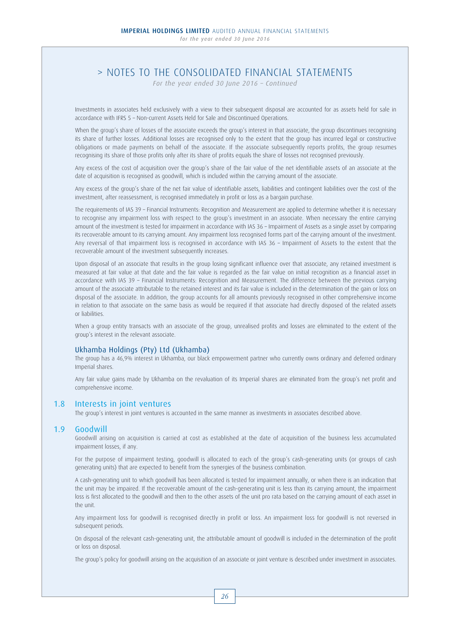*For the year ended 30 June 2016 – Continued*

 Investments in associates held exclusively with a view to their subsequent disposal are accounted for as assets held for sale in accordance with IFRS 5 – Non-current Assets Held for Sale and Discontinued Operations.

When the group's share of losses of the associate exceeds the group's interest in that associate, the group discontinues recognising its share of further losses. Additional losses are recognised only to the extent that the group has incurred legal or constructive obligations or made payments on behalf of the associate. If the associate subsequently reports profits, the group resumes recognising its share of those profits only after its share of profits equals the share of losses not recognised previously.

 Any excess of the cost of acquisition over the group's share of the fair value of the net identifiable assets of an associate at the date of acquisition is recognised as goodwill, which is included within the carrying amount of the associate.

 Any excess of the group's share of the net fair value of identifiable assets, liabilities and contingent liabilities over the cost of the investment, after reassessment, is recognised immediately in profit or loss as a bargain purchase.

 The requirements of IAS 39 – Financial Instruments: Recognition and Measurement are applied to determine whether it is necessary to recognise any impairment loss with respect to the group's investment in an associate. When necessary the entire carrying amount of the investment is tested for impairment in accordance with IAS 36 – Impairment of Assets as a single asset by comparing its recoverable amount to its carrying amount. Any impairment loss recognised forms part of the carrying amount of the investment. Any reversal of that impairment loss is recognised in accordance with IAS 36 – Impairment of Assets to the extent that the recoverable amount of the investment subsequently increases.

 Upon disposal of an associate that results in the group losing significant influence over that associate, any retained investment is measured at fair value at that date and the fair value is regarded as the fair value on initial recognition as a financial asset in accordance with IAS 39 – Financial Instruments: Recognition and Measurement. The difference between the previous carrying amount of the associate attributable to the retained interest and its fair value is included in the determination of the gain or loss on disposal of the associate. In addition, the group accounts for all amounts previously recognised in other comprehensive income in relation to that associate on the same basis as would be required if that associate had directly disposed of the related assets or liabilities.

 When a group entity transacts with an associate of the group, unrealised profits and losses are eliminated to the extent of the group's interest in the relevant associate.

## Ukhamba Holdings (Pty) Ltd (Ukhamba)

 The group has a 46,9% interest in Ukhamba, our black empowerment partner who currently owns ordinary and deferred ordinary Imperial shares.

 Any fair value gains made by Ukhamba on the revaluation of its Imperial shares are eliminated from the group's net profit and comprehensive income.

## 1.8 Interests in joint ventures

The group's interest in joint ventures is accounted in the same manner as investments in associates described above.

## 1.9 Goodwill

 Goodwill arising on acquisition is carried at cost as established at the date of acquisition of the business less accumulated impairment losses, if any.

 For the purpose of impairment testing, goodwill is allocated to each of the group's cash-generating units (or groups of cash generating units) that are expected to benefit from the synergies of the business combination.

 A cash-generating unit to which goodwill has been allocated is tested for impairment annually, or when there is an indication that the unit may be impaired. If the recoverable amount of the cash-generating unit is less than its carrying amount, the impairment loss is first allocated to the goodwill and then to the other assets of the unit pro rata based on the carrying amount of each asset in the unit.

 Any impairment loss for goodwill is recognised directly in profit or loss. An impairment loss for goodwill is not reversed in subsequent periods.

 On disposal of the relevant cash-generating unit, the attributable amount of goodwill is included in the determination of the profit or loss on disposal.

The group's policy for goodwill arising on the acquisition of an associate or joint venture is described under investment in associates.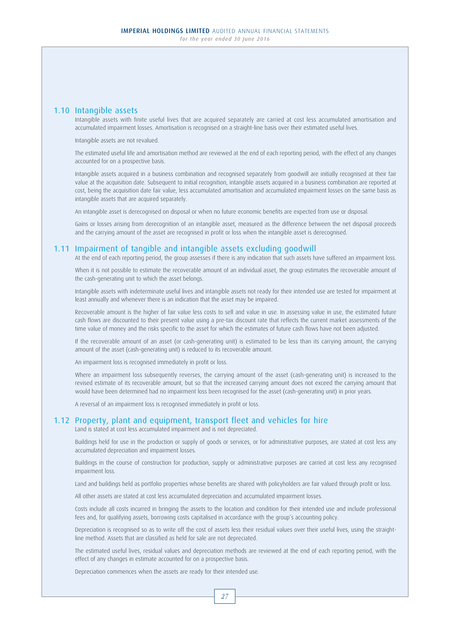## 1.10 Intangible assets

 Intangible assets with finite useful lives that are acquired separately are carried at cost less accumulated amortisation and accumulated impairment losses. Amortisation is recognised on a straight-line basis over their estimated useful lives.

Intangible assets are not revalued.

 The estimated useful life and amortisation method are reviewed at the end of each reporting period, with the effect of any changes accounted for on a prospective basis.

 Intangible assets acquired in a business combination and recognised separately from goodwill are initially recognised at their fair value at the acquisition date. Subsequent to initial recognition, intangible assets acquired in a business combination are reported at cost, being the acquisition date fair value, less accumulated amortisation and accumulated impairment losses on the same basis as intangible assets that are acquired separately.

An intangible asset is derecognised on disposal or when no future economic benefits are expected from use or disposal.

 Gains or losses arising from derecognition of an intangible asset, measured as the difference between the net disposal proceeds and the carrying amount of the asset are recognised in profit or loss when the intangible asset is derecognised.

## 1.11 Impairment of tangible and intangible assets excluding goodwill

At the end of each reporting period, the group assesses if there is any indication that such assets have suffered an impairment loss.

 When it is not possible to estimate the recoverable amount of an individual asset, the group estimates the recoverable amount of the cash-generating unit to which the asset belongs.

 Intangible assets with indeterminate useful lives and intangible assets not ready for their intended use are tested for impairment at least annually and whenever there is an indication that the asset may be impaired.

 Recoverable amount is the higher of fair value less costs to sell and value in use. In assessing value in use, the estimated future cash flows are discounted to their present value using a pre-tax discount rate that reflects the current market assessments of the time value of money and the risks specific to the asset for which the estimates of future cash flows have not been adjusted.

 If the recoverable amount of an asset (or cash-generating unit) is estimated to be less than its carrying amount, the carrying amount of the asset (cash-generating unit) is reduced to its recoverable amount.

An impairment loss is recognised immediately in profit or loss.

 Where an impairment loss subsequently reverses, the carrying amount of the asset (cash-generating unit) is increased to the revised estimate of its recoverable amount, but so that the increased carrying amount does not exceed the carrying amount that would have been determined had no impairment loss been recognised for the asset (cash-generating unit) in prior years.

A reversal of an impairment loss is recognised immediately in profit or loss.

## 1.12 Property, plant and equipment, transport fleet and vehicles for hire

Land is stated at cost less accumulated impairment and is not depreciated.

 Buildings held for use in the production or supply of goods or services, or for administrative purposes, are stated at cost less any accumulated depreciation and impairment losses.

 Buildings in the course of construction for production, supply or administrative purposes are carried at cost less any recognised impairment loss.

Land and buildings held as portfolio properties whose benefits are shared with policyholders are fair valued through profit or loss.

All other assets are stated at cost less accumulated depreciation and accumulated impairment losses.

 Costs include all costs incurred in bringing the assets to the location and condition for their intended use and include professional fees and, for qualifying assets, borrowing costs capitalised in accordance with the group's accounting policy.

 Depreciation is recognised so as to write off the cost of assets less their residual values over their useful lives, using the straightline method. Assets that are classified as held for sale are not depreciated.

 The estimated useful lives, residual values and depreciation methods are reviewed at the end of each reporting period, with the effect of any changes in estimate accounted for on a prospective basis.

Depreciation commences when the assets are ready for their intended use.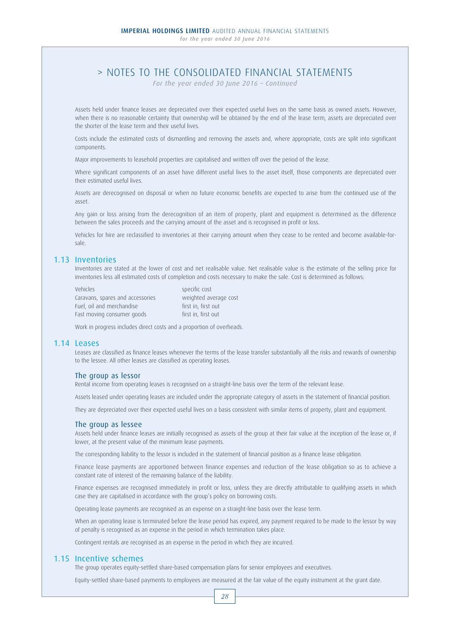*For the year ended 30 June 2016 – Continued*

 Assets held under finance leases are depreciated over their expected useful lives on the same basis as owned assets. However, when there is no reasonable certainty that ownership will be obtained by the end of the lease term, assets are depreciated over the shorter of the lease term and their useful lives.

 Costs include the estimated costs of dismantling and removing the assets and, where appropriate, costs are split into significant components.

Major improvements to leasehold properties are capitalised and written off over the period of the lease.

 Where significant components of an asset have different useful lives to the asset itself, those components are depreciated over their estimated useful lives.

 Assets are derecognised on disposal or when no future economic benefits are expected to arise from the continued use of the asset.

 Any gain or loss arising from the derecognition of an item of property, plant and equipment is determined as the difference between the sales proceeds and the carrying amount of the asset and is recognised in profit or loss.

 Vehicles for hire are reclassified to inventories at their carrying amount when they cease to be rented and become available-forsale.

## 1.13 Inventories

 Inventories are stated at the lower of cost and net realisable value. Net realisable value is the estimate of the selling price for inventories less all estimated costs of completion and costs necessary to make the sale. Cost is determined as follows:

 Vehicles specific cost Caravans, spares and accessories weighted average cost Fuel, oil and merchandise first in, first out Fast moving consumer goods first in, first out

Work in progress includes direct costs and a proportion of overheads.

### 1.14 Leases

 Leases are classified as finance leases whenever the terms of the lease transfer substantially all the risks and rewards of ownership to the lessee. All other leases are classified as operating leases.

## The group as lessor

Rental income from operating leases is recognised on a straight-line basis over the term of the relevant lease.

Assets leased under operating leases are included under the appropriate category of assets in the statement of financial position.

They are depreciated over their expected useful lives on a basis consistent with similar items of property, plant and equipment.

### The group as lessee

 Assets held under finance leases are initially recognised as assets of the group at their fair value at the inception of the lease or, if lower, at the present value of the minimum lease payments.

The corresponding liability to the lessor is included in the statement of financial position as a finance lease obligation.

 Finance lease payments are apportioned between finance expenses and reduction of the lease obligation so as to achieve a constant rate of interest of the remaining balance of the liability.

 Finance expenses are recognised immediately in profit or loss, unless they are directly attributable to qualifying assets in which case they are capitalised in accordance with the group's policy on borrowing costs.

Operating lease payments are recognised as an expense on a straight-line basis over the lease term.

 When an operating lease is terminated before the lease period has expired, any payment required to be made to the lessor by way of penalty is recognised as an expense in the period in which termination takes place.

Contingent rentals are recognised as an expense in the period in which they are incurred.

### 1.15 Incentive schemes

The group operates equity-settled share-based compensation plans for senior employees and executives.

Equity-settled share-based payments to employees are measured at the fair value of the equity instrument at the grant date.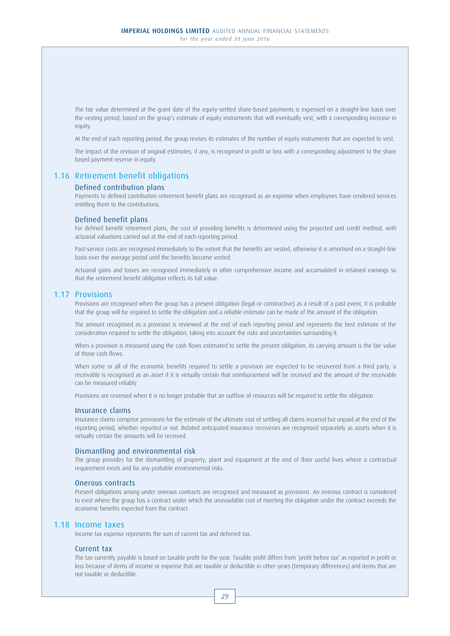The fair value determined at the grant date of the equity-settled share-based payments is expensed on a straight-line basis over the vesting period, based on the group's estimate of equity instruments that will eventually vest, with a corresponding increase in equity.

At the end of each reporting period, the group revises its estimates of the number of equity instruments that are expected to vest.

 The impact of the revision of original estimates, if any, is recognised in profit or loss with a corresponding adjustment to the share based payment reserve in equity.

## 1.16 Retirement benefit obligations

### Defined contribution plans

 Payments to defined contribution retirement benefit plans are recognised as an expense when employees have rendered services entitling them to the contributions.

### Defined benefit plans

 For defined benefit retirement plans, the cost of providing benefits is determined using the projected unit credit method, with actuarial valuations carried out at the end of each reporting period.

 Past-service costs are recognised immediately to the extent that the benefits are vested, otherwise it is amortised on a straight-line basis over the average period until the benefits become vested.

 Actuarial gains and losses are recognised immediately in other comprehensive income and accumulated in retained earnings so that the retirement benefit obligation reflects its full value.

### 1.17 Provisions

 Provisions are recognised when the group has a present obligation (legal or constructive) as a result of a past event, it is probable that the group will be required to settle the obligation and a reliable estimate can be made of the amount of the obligation.

 The amount recognised as a provision is reviewed at the end of each reporting period and represents the best estimate of the consideration required to settle the obligation, taking into account the risks and uncertainties surrounding it.

 When a provision is measured using the cash flows estimated to settle the present obligation, its carrying amount is the fair value of those cash flows.

 When some or all of the economic benefits required to settle a provision are expected to be recovered from a third party, a receivable is recognised as an asset if it is virtually certain that reimbursement will be received and the amount of the receivable can be measured reliably.

Provisions are reversed when it is no longer probable that an outflow of resources will be required to settle the obligation.

### Insurance claims

 Insurance claims comprise provisions for the estimate of the ultimate cost of settling all claims incurred but unpaid at the end of the reporting period, whether reported or not. Related anticipated insurance recoveries are recognised separately as assets when it is virtually certain the amounts will be received.

### Dismantling and environmental risk

 The group provides for the dismantling of property, plant and equipment at the end of their useful lives where a contractual requirement exists and for any probable environmental risks.

### Onerous contracts

 Present obligations arising under onerous contracts are recognised and measured as provisions. An onerous contract is considered to exist where the group has a contract under which the unavoidable cost of meeting the obligation under the contract exceeds the economic benefits expected from the contract.

### 1.18 Income taxes

Income tax expense represents the sum of current tax and deferred tax.

### Current tax

 The tax currently payable is based on taxable profit for the year. Taxable profit differs from 'profit before tax' as reported in profit or loss because of items of income or expense that are taxable or deductible in other years (temporary differences) and items that are not taxable or deductible.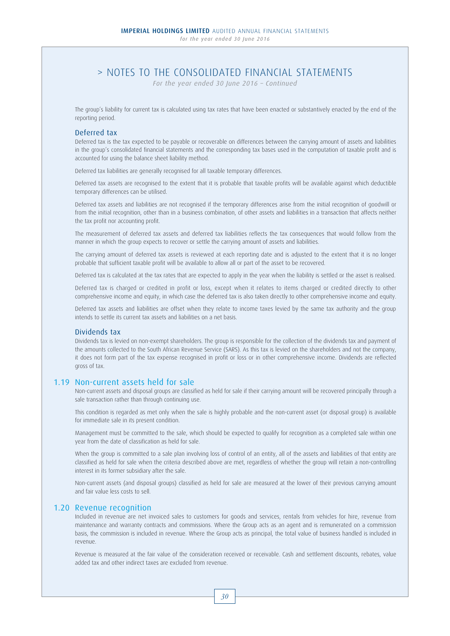*For the year ended 30 June 2016 – Continued*

 The group's liability for current tax is calculated using tax rates that have been enacted or substantively enacted by the end of the reporting period.

### Deferred tax

 Deferred tax is the tax expected to be payable or recoverable on differences between the carrying amount of assets and liabilities in the group's consolidated financial statements and the corresponding tax bases used in the computation of taxable profit and is accounted for using the balance sheet liability method.

Deferred tax liabilities are generally recognised for all taxable temporary differences.

 Deferred tax assets are recognised to the extent that it is probable that taxable profits will be available against which deductible temporary differences can be utilised.

 Deferred tax assets and liabilities are not recognised if the temporary differences arise from the initial recognition of goodwill or from the initial recognition, other than in a business combination, of other assets and liabilities in a transaction that affects neither the tax profit nor accounting profit.

 The measurement of deferred tax assets and deferred tax liabilities reflects the tax consequences that would follow from the manner in which the group expects to recover or settle the carrying amount of assets and liabilities.

 The carrying amount of deferred tax assets is reviewed at each reporting date and is adjusted to the extent that it is no longer probable that sufficient taxable profit will be available to allow all or part of the asset to be recovered.

Deferred tax is calculated at the tax rates that are expected to apply in the year when the liability is settled or the asset is realised.

 Deferred tax is charged or credited in profit or loss, except when it relates to items charged or credited directly to other comprehensive income and equity, in which case the deferred tax is also taken directly to other comprehensive income and equity.

 Deferred tax assets and liabilities are offset when they relate to income taxes levied by the same tax authority and the group intends to settle its current tax assets and liabilities on a net basis.

### Dividends tax

 Dividends tax is levied on non-exempt shareholders. The group is responsible for the collection of the dividends tax and payment of the amounts collected to the South African Revenue Service (SARS). As this tax is levied on the shareholders and not the company, it does not form part of the tax expense recognised in profit or loss or in other comprehensive income. Dividends are reflected gross of tax.

### 1.19 Non-current assets held for sale

 Non-current assets and disposal groups are classified as held for sale if their carrying amount will be recovered principally through a sale transaction rather than through continuing use.

 This condition is regarded as met only when the sale is highly probable and the non-current asset (or disposal group) is available for immediate sale in its present condition.

 Management must be committed to the sale, which should be expected to qualify for recognition as a completed sale within one year from the date of classification as held for sale.

When the group is committed to a sale plan involving loss of control of an entity, all of the assets and liabilities of that entity are classified as held for sale when the criteria described above are met, regardless of whether the group will retain a non-controlling interest in its former subsidiary after the sale.

 Non-current assets (and disposal groups) classified as held for sale are measured at the lower of their previous carrying amount and fair value less costs to sell.

### 1.20 Revenue recognition

 Included in revenue are net invoiced sales to customers for goods and services, rentals from vehicles for hire, revenue from maintenance and warranty contracts and commissions. Where the Group acts as an agent and is remunerated on a commission basis, the commission is included in revenue. Where the Group acts as principal, the total value of business handled is included in revenue.

 Revenue is measured at the fair value of the consideration received or receivable. Cash and settlement discounts, rebates, value added tax and other indirect taxes are excluded from revenue.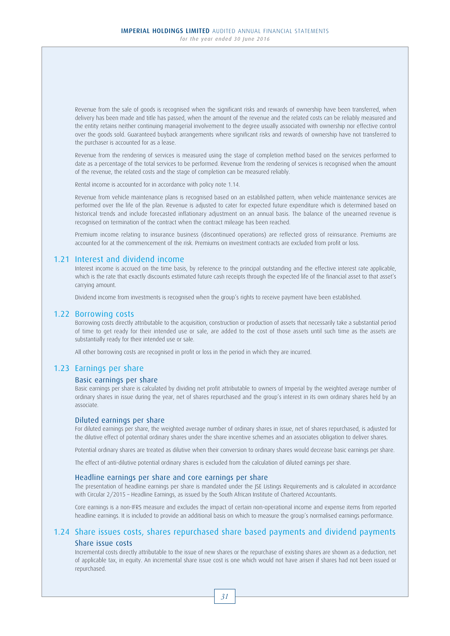Revenue from the sale of goods is recognised when the significant risks and rewards of ownership have been transferred, when delivery has been made and title has passed, when the amount of the revenue and the related costs can be reliably measured and the entity retains neither continuing managerial involvement to the degree usually associated with ownership nor effective control over the goods sold. Guaranteed buyback arrangements where significant risks and rewards of ownership have not transferred to the purchaser is accounted for as a lease.

 Revenue from the rendering of services is measured using the stage of completion method based on the services performed to date as a percentage of the total services to be performed. Revenue from the rendering of services is recognised when the amount of the revenue, the related costs and the stage of completion can be measured reliably.

Rental income is accounted for in accordance with policy note 1.14.

 Revenue from vehicle maintenance plans is recognised based on an established pattern, when vehicle maintenance services are performed over the life of the plan. Revenue is adjusted to cater for expected future expenditure which is determined based on historical trends and include forecasted inflationary adjustment on an annual basis. The balance of the unearned revenue is recognised on termination of the contract when the contract mileage has been reached.

 Premium income relating to insurance business (discontinued operations) are reflected gross of reinsurance. Premiums are accounted for at the commencement of the risk. Premiums on investment contracts are excluded from profit or loss.

## 1.21 Interest and dividend income

 Interest income is accrued on the time basis, by reference to the principal outstanding and the effective interest rate applicable, which is the rate that exactly discounts estimated future cash receipts through the expected life of the financial asset to that asset's carrying amount.

Dividend income from investments is recognised when the group's rights to receive payment have been established.

### 1.22 Borrowing costs

 Borrowing costs directly attributable to the acquisition, construction or production of assets that necessarily take a substantial period of time to get ready for their intended use or sale, are added to the cost of those assets until such time as the assets are substantially ready for their intended use or sale.

All other borrowing costs are recognised in profit or loss in the period in which they are incurred.

## 1.23 Earnings per share

## Basic earnings per share

 Basic earnings per share is calculated by dividing net profit attributable to owners of Imperial by the weighted average number of ordinary shares in issue during the year, net of shares repurchased and the group's interest in its own ordinary shares held by an associate.

### Diluted earnings per share

 For diluted earnings per share, the weighted average number of ordinary shares in issue, net of shares repurchased, is adjusted for the dilutive effect of potential ordinary shares under the share incentive schemes and an associates obligation to deliver shares.

Potential ordinary shares are treated as dilutive when their conversion to ordinary shares would decrease basic earnings per share.

The effect of anti-dilutive potential ordinary shares is excluded from the calculation of diluted earnings per share.

### Headline earnings per share and core earnings per share

 The presentation of headline earnings per share is mandated under the JSE Listings Requirements and is calculated in accordance with Circular 2/2015 – Headline Earnings, as issued by the South African Institute of Chartered Accountants.

 Core earnings is a non-IFRS measure and excludes the impact of certain non-operational income and expense items from reported headline earnings. It is included to provide an additional basis on which to measure the group's normalised earnings performance.

# 1.24 Share issues costs, shares repurchased share based payments and dividend payments

## Share issue costs

 Incremental costs directly attributable to the issue of new shares or the repurchase of existing shares are shown as a deduction, net of applicable tax, in equity. An incremental share issue cost is one which would not have arisen if shares had not been issued or repurchased.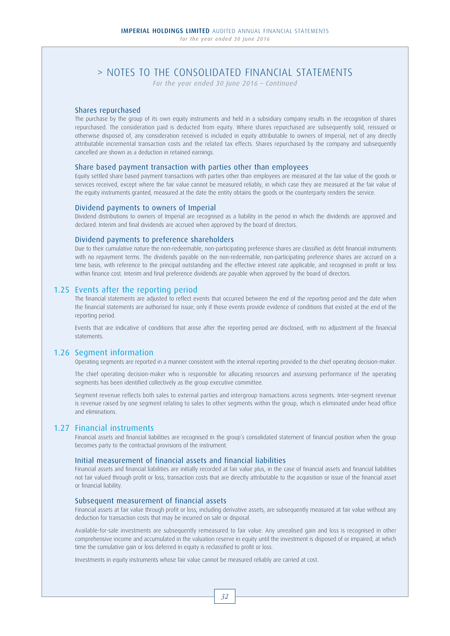*For the year ended 30 June 2016 – Continued*

## Shares repurchased

 The purchase by the group of its own equity instruments and held in a subsidiary company results in the recognition of shares repurchased. The consideration paid is deducted from equity. Where shares repurchased are subsequently sold, reissued or otherwise disposed of, any consideration received is included in equity attributable to owners of Imperial, net of any directly attributable incremental transaction costs and the related tax effects. Shares repurchased by the company and subsequently cancelled are shown as a deduction in retained earnings.

### Share based payment transaction with parties other than employees

 Equity settled share based payment transactions with parties other than employees are measured at the fair value of the goods or services received, except where the fair value cannot be measured reliably, in which case they are measured at the fair value of the equity instruments granted, measured at the date the entity obtains the goods or the counterparty renders the service.

### Dividend payments to owners of Imperial

 Dividend distributions to owners of Imperial are recognised as a liability in the period in which the dividends are approved and declared. Interim and final dividends are accrued when approved by the board of directors.

### Dividend payments to preference shareholders

 Due to their cumulative nature the non-redeemable, non-participating preference shares are classified as debt financial instruments with no repayment terms. The dividends payable on the non-redeemable, non-participating preference shares are accrued on a time basis, with reference to the principal outstanding and the effective interest rate applicable, and recognised in profit or loss within finance cost. Interim and final preference dividends are payable when approved by the board of directors.

## 1.25 Events after the reporting period

 The financial statements are adjusted to reflect events that occurred between the end of the reporting period and the date when the financial statements are authorised for issue, only if those events provide evidence of conditions that existed at the end of the reporting period.

 Events that are indicative of conditions that arose after the reporting period are disclosed, with no adjustment of the financial statements.

## 1.26 Segment information

Operating segments are reported in a manner consistent with the internal reporting provided to the chief operating decision-maker.

 The chief operating decision-maker who is responsible for allocating resources and assessing performance of the operating segments has been identified collectively as the group executive committee.

 Segment revenue reflects both sales to external parties and intergroup transactions across segments. Inter-segment revenue is revenue raised by one segment relating to sales to other segments within the group, which is eliminated under head office and eliminations.

## 1.27 Financial instruments

 Financial assets and financial liabilities are recognised in the group's consolidated statement of financial position when the group becomes party to the contractual provisions of the instrument.

## Initial measurement of financial assets and financial liabilities

 Financial assets and financial liabilities are initially recorded at fair value plus, in the case of financial assets and financial liabilities not fair valued through profit or loss, transaction costs that are directly attributable to the acquisition or issue of the financial asset or financial liability.

### Subsequent measurement of financial assets

 Financial assets at fair value through profit or loss, including derivative assets, are subsequently measured at fair value without any deduction for transaction costs that may be incurred on sale or disposal.

 Available-for-sale investments are subsequently remeasured to fair value. Any unrealised gain and loss is recognised in other comprehensive income and accumulated in the valuation reserve in equity until the investment is disposed of or impaired, at which time the cumulative gain or loss deferred in equity is reclassified to profit or loss.

Investments in equity instruments whose fair value cannot be measured reliably are carried at cost.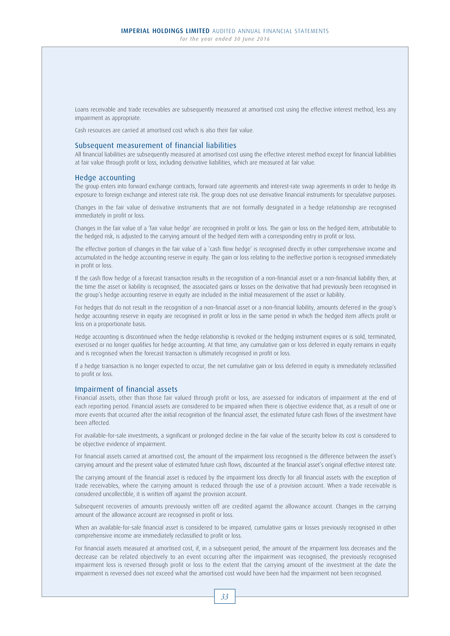Loans receivable and trade receivables are subsequently measured at amortised cost using the effective interest method, less any impairment as appropriate.

Cash resources are carried at amortised cost which is also their fair value.

### Subsequent measurement of financial liabilities

 All financial liabilities are subsequently measured at amortised cost using the effective interest method except for financial liabilities at fair value through profit or loss, including derivative liabilities, which are measured at fair value.

### Hedge accounting

 The group enters into forward exchange contracts, forward rate agreements and interest-rate swap agreements in order to hedge its exposure to foreign exchange and interest rate risk. The group does not use derivative financial instruments for speculative purposes.

 Changes in the fair value of derivative instruments that are not formally designated in a hedge relationship are recognised immediately in profit or loss.

 Changes in the fair value of a 'fair value hedge' are recognised in profit or loss. The gain or loss on the hedged item, attributable to the hedged risk, is adjusted to the carrying amount of the hedged item with a corresponding entry in profit or loss.

 The effective portion of changes in the fair value of a 'cash flow hedge' is recognised directly in other comprehensive income and accumulated in the hedge accounting reserve in equity. The gain or loss relating to the ineffective portion is recognised immediately in profit or loss.

 If the cash flow hedge of a forecast transaction results in the recognition of a non-financial asset or a non-financial liability then, at the time the asset or liability is recognised, the associated gains or losses on the derivative that had previously been recognised in the group's hedge accounting reserve in equity are included in the initial measurement of the asset or liability.

For hedges that do not result in the recognition of a non-financial asset or a non-financial liability, amounts deferred in the group's hedge accounting reserve in equity are recognised in profit or loss in the same period in which the hedged item affects profit or loss on a proportionate basis.

 Hedge accounting is discontinued when the hedge relationship is revoked or the hedging instrument expires or is sold, terminated, exercised or no longer qualifies for hedge accounting. At that time, any cumulative gain or loss deferred in equity remains in equity and is recognised when the forecast transaction is ultimately recognised in profit or loss.

 If a hedge transaction is no longer expected to occur, the net cumulative gain or loss deferred in equity is immediately reclassified to profit or loss.

#### Impairment of financial assets

 Financial assets, other than those fair valued through profit or loss, are assessed for indicators of impairment at the end of each reporting period. Financial assets are considered to be impaired when there is objective evidence that, as a result of one or more events that occurred after the initial recognition of the financial asset, the estimated future cash flows of the investment have been affected.

 For available-for-sale investments, a significant or prolonged decline in the fair value of the security below its cost is considered to be objective evidence of impairment.

 For financial assets carried at amortised cost, the amount of the impairment loss recognised is the difference between the asset's carrying amount and the present value of estimated future cash flows, discounted at the financial asset's original effective interest rate.

 The carrying amount of the financial asset is reduced by the impairment loss directly for all financial assets with the exception of trade receivables, where the carrying amount is reduced through the use of a provision account. When a trade receivable is considered uncollectible, it is written off against the provision account.

 Subsequent recoveries of amounts previously written off are credited against the allowance account. Changes in the carrying amount of the allowance account are recognised in profit or loss.

 When an available-for-sale financial asset is considered to be impaired, cumulative gains or losses previously recognised in other comprehensive income are immediately reclassified to profit or loss.

 For financial assets measured at amortised cost, if, in a subsequent period, the amount of the impairment loss decreases and the decrease can be related objectively to an event occurring after the impairment was recognised, the previously recognised impairment loss is reversed through profit or loss to the extent that the carrying amount of the investment at the date the impairment is reversed does not exceed what the amortised cost would have been had the impairment not been recognised.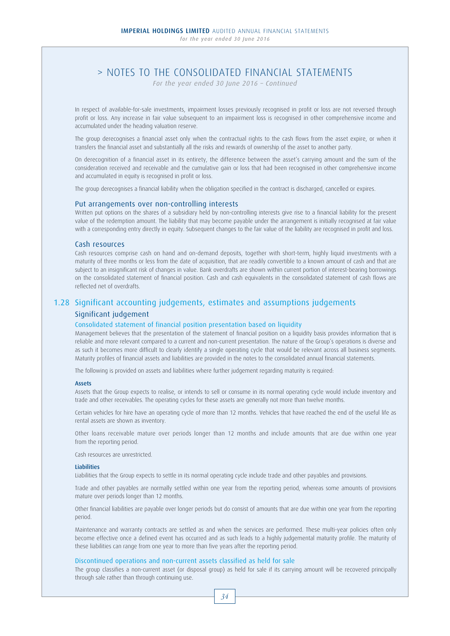*For the year ended 30 June 2016 – Continued*

 In respect of available-for-sale investments, impairment losses previously recognised in profit or loss are not reversed through profit or loss. Any increase in fair value subsequent to an impairment loss is recognised in other comprehensive income and accumulated under the heading valuation reserve.

 The group derecognises a financial asset only when the contractual rights to the cash flows from the asset expire, or when it transfers the financial asset and substantially all the risks and rewards of ownership of the asset to another party.

 On derecognition of a financial asset in its entirety, the difference between the asset's carrying amount and the sum of the consideration received and receivable and the cumulative gain or loss that had been recognised in other comprehensive income and accumulated in equity is recognised in profit or loss.

The group derecognises a financial liability when the obligation specified in the contract is discharged, cancelled or expires.

### Put arrangements over non-controlling interests

 Written put options on the shares of a subsidiary held by non-controlling interests give rise to a financial liability for the present value of the redemption amount. The liability that may become payable under the arrangement is initially recognised at fair value with a corresponding entry directly in equity. Subsequent changes to the fair value of the liability are recognised in profit and loss.

### Cash resources

 Cash resources comprise cash on hand and on-demand deposits, together with short-term, highly liquid investments with a maturity of three months or less from the date of acquisition, that are readily convertible to a known amount of cash and that are subject to an insignificant risk of changes in value. Bank overdrafts are shown within current portion of interest-bearing borrowings on the consolidated statement of financial position. Cash and cash equivalents in the consolidated statement of cash flows are reflected net of overdrafts.

# 1.28 Significant accounting judgements, estimates and assumptions judgements

## Significant judgement

#### Consolidated statement of financial position presentation based on liquidity

 Management believes that the presentation of the statement of financial position on a liquidity basis provides information that is reliable and more relevant compared to a current and non-current presentation. The nature of the Group's operations is diverse and as such it becomes more difficult to clearly identify a single operating cycle that would be relevant across all business segments. Maturity profiles of financial assets and liabilities are provided in the notes to the consolidated annual financial statements.

The following is provided on assets and liabilities where further judgement regarding maturity is required:

### Assets

 Assets that the Group expects to realise, or intends to sell or consume in its normal operating cycle would include inventory and trade and other receivables. The operating cycles for these assets are generally not more than twelve months.

 Certain vehicles for hire have an operating cycle of more than 12 months. Vehicles that have reached the end of the useful life as rental assets are shown as inventory.

 Other loans receivable mature over periods longer than 12 months and include amounts that are due within one year from the reporting period.

Cash resources are unrestricted.

### **Liabilities**

Liabilities that the Group expects to settle in its normal operating cycle include trade and other payables and provisions.

 Trade and other payables are normally settled within one year from the reporting period, whereas some amounts of provisions mature over periods longer than 12 months.

 Other financial liabilities are payable over longer periods but do consist of amounts that are due within one year from the reporting period.

 Maintenance and warranty contracts are settled as and when the services are performed. These multi-year policies often only become effective once a defined event has occurred and as such leads to a highly judgemental maturity profile. The maturity of these liabilities can range from one year to more than five years after the reporting period.

#### Discontinued operations and non-current assets classified as held for sale

 The group classifies a non-current asset (or disposal group) as held for sale if its carrying amount will be recovered principally through sale rather than through continuing use.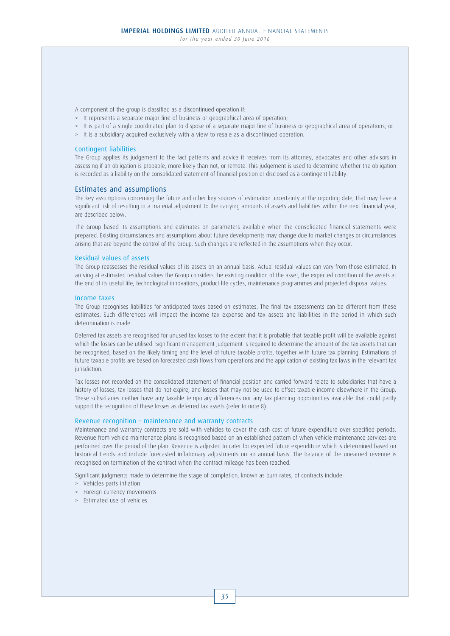A component of the group is classified as a discontinued operation if:

- > It represents a separate major line of business or geographical area of operation;
- > It is part of a single coordinated plan to dispose of a separate major line of business or geographical area of operations; or
- > It is a subsidiary acquired exclusively with a view to resale as a discontinued operation.

### Contingent liabilities

 The Group applies its judgement to the fact patterns and advice it receives from its attorney, advocates and other advisors in assessing if an obligation is probable, more likely than not, or remote. This judgement is used to determine whether the obligation is recorded as a liability on the consolidated statement of financial position or disclosed as a contingent liability.

### Estimates and assumptions

 The key assumptions concerning the future and other key sources of estimation uncertainty at the reporting date, that may have a significant risk of resulting in a material adjustment to the carrying amounts of assets and liabilities within the next financial year, are described below.

 The Group based its assumptions and estimates on parameters available when the consolidated financial statements were prepared. Existing circumstances and assumptions about future developments may change due to market changes or circumstances arising that are beyond the control of the Group. Such changes are reflected in the assumptions when they occur.

#### Residual values of assets

 The Group reassesses the residual values of its assets on an annual basis. Actual residual values can vary from those estimated. In arriving at estimated residual values the Group considers the existing condition of the asset, the expected condition of the assets at the end of its useful life, technological innovations, product life cycles, maintenance programmes and projected disposal values.

### Income taxes

 The Group recognises liabilities for anticipated taxes based on estimates. The final tax assessments can be different from these estimates. Such differences will impact the income tax expense and tax assets and liabilities in the period in which such determination is made.

 Deferred tax assets are recognised for unused tax losses to the extent that it is probable that taxable profit will be available against which the losses can be utilised. Significant management judgement is required to determine the amount of the tax assets that can be recognised, based on the likely timing and the level of future taxable profits, together with future tax planning. Estimations of future taxable profits are based on forecasted cash flows from operations and the application of existing tax laws in the relevant tax jurisdiction.

 Tax losses not recorded on the consolidated statement of financial position and carried forward relate to subsidiaries that have a history of losses, tax losses that do not expire, and losses that may not be used to offset taxable income elsewhere in the Group. These subsidiaries neither have any taxable temporary differences nor any tax planning opportunities available that could partly support the recognition of these losses as deferred tax assets (refer to note 8).

### Revenue recognition – maintenance and warranty contracts

 Maintenance and warranty contracts are sold with vehicles to cover the cash cost of future expenditure over specified periods. Revenue from vehicle maintenance plans is recognised based on an established pattern of when vehicle maintenance services are performed over the period of the plan. Revenue is adjusted to cater for expected future expenditure which is determined based on historical trends and include forecasted inflationary adjustments on an annual basis. The balance of the unearned revenue is recognised on termination of the contract when the contract mileage has been reached.

Significant judgments made to determine the stage of completion, known as burn rates, of contracts include:

- > Vehicles parts inflation
- > Foreign currency movements
- > Estimated use of vehicles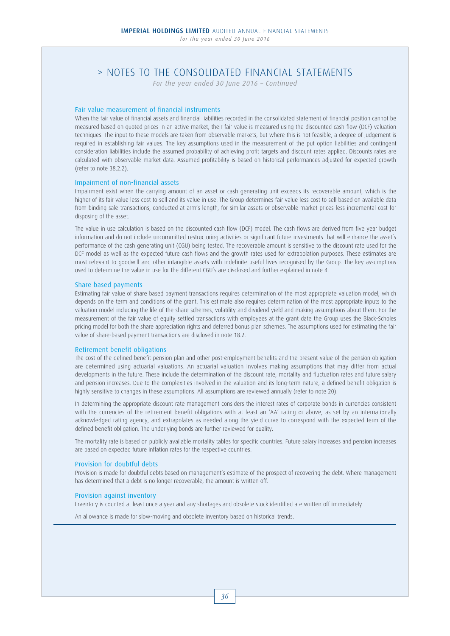*For the year ended 30 June 2016 – Continued*

### Fair value measurement of financial instruments

 When the fair value of financial assets and financial liabilities recorded in the consolidated statement of financial position cannot be measured based on quoted prices in an active market, their fair value is measured using the discounted cash flow (DCF) valuation techniques. The input to these models are taken from observable markets, but where this is not feasible, a degree of judgement is required in establishing fair values. The key assumptions used in the measurement of the put option liabilities and contingent consideration liabilities include the assumed probability of achieving profit targets and discount rates applied. Discounts rates are calculated with observable market data. Assumed profitability is based on historical performances adjusted for expected growth (refer to note 38.2.2).

### Impairment of non-financial assets

 Impairment exist when the carrying amount of an asset or cash generating unit exceeds its recoverable amount, which is the higher of its fair value less cost to sell and its value in use. The Group determines fair value less cost to sell based on available data from binding sale transactions, conducted at arm's length, for similar assets or observable market prices less incremental cost for disposing of the asset.

 The value in use calculation is based on the discounted cash flow (DCF) model. The cash flows are derived from five year budget information and do not include uncommitted restructuring activities or significant future investments that will enhance the asset's performance of the cash generating unit (CGU) being tested. The recoverable amount is sensitive to the discount rate used for the DCF model as well as the expected future cash flows and the growth rates used for extrapolation purposes. These estimates are most relevant to goodwill and other intangible assets with indefinite useful lives recognised by the Group. The key assumptions used to determine the value in use for the different CGU's are disclosed and further explained in note 4.

### Share based payments

 Estimating fair value of share based payment transactions requires determination of the most appropriate valuation model, which depends on the term and conditions of the grant. This estimate also requires determination of the most appropriate inputs to the valuation model including the life of the share schemes, volatility and dividend yield and making assumptions about them. For the measurement of the fair value of equity settled transactions with employees at the grant date the Group uses the Black-Scholes pricing model for both the share appreciation rights and deferred bonus plan schemes. The assumptions used for estimating the fair value of share-based payment transactions are disclosed in note 18.2.

#### Retirement benefit obligations

 The cost of the defined benefit pension plan and other post-employment benefits and the present value of the pension obligation are determined using actuarial valuations. An actuarial valuation involves making assumptions that may differ from actual developments in the future. These include the determination of the discount rate, mortality and fluctuation rates and future salary and pension increases. Due to the complexities involved in the valuation and its long-term nature, a defined benefit obligation is highly sensitive to changes in these assumptions. All assumptions are reviewed annually (refer to note 20).

 In determining the appropriate discount rate management considers the interest rates of corporate bonds in currencies consistent with the currencies of the retirement benefit obligations with at least an 'AA' rating or above, as set by an internationally acknowledged rating agency, and extrapolates as needed along the yield curve to correspond with the expected term of the defined benefit obligation. The underlying bonds are further reviewed for quality.

 The mortality rate is based on publicly available mortality tables for specific countries. Future salary increases and pension increases are based on expected future inflation rates for the respective countries.

### Provision for doubtful debts

 Provision is made for doubtful debts based on management's estimate of the prospect of recovering the debt. Where management has determined that a debt is no longer recoverable, the amount is written off.

### Provision against inventory

Inventory is counted at least once a year and any shortages and obsolete stock identified are written off immediately.

An allowance is made for slow-moving and obsolete inventory based on historical trends.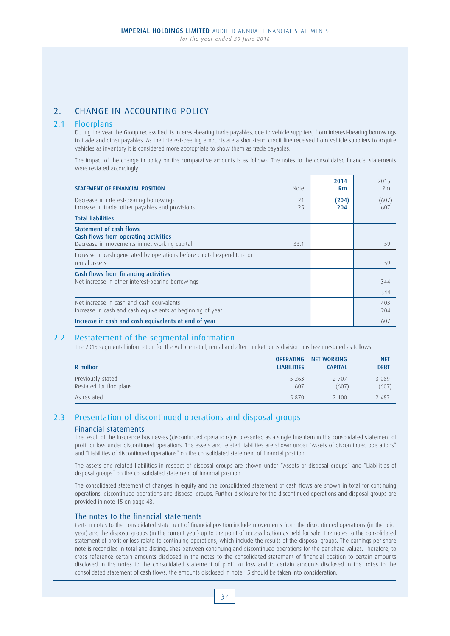# 2. CHANGE IN ACCOUNTING POLICY

## 2.1 Floorplans

 During the year the Group reclassified its interest-bearing trade payables, due to vehicle suppliers, from interest-bearing borrowings to trade and other payables. As the interest-bearing amounts are a short-term credit line received from vehicle suppliers to acquire vehicles as inventory it is considered more appropriate to show them as trade payables.

 The impact of the change in policy on the comparative amounts is as follows. The notes to the consolidated financial statements were restated accordingly.

| STATEMENT OF FINANCIAL POSITION<br><b>Note</b>                                                                                 | 2014<br><b>Rm</b> | 2015<br>Rm   |
|--------------------------------------------------------------------------------------------------------------------------------|-------------------|--------------|
| Decrease in interest-bearing borrowings<br>21<br>Increase in trade, other payables and provisions<br>25                        | (204)<br>204      | (607)<br>607 |
| <b>Total liabilities</b>                                                                                                       |                   |              |
| <b>Statement of cash flows</b><br>Cash flows from operating activities<br>Decrease in movements in net working capital<br>33.1 |                   | 59           |
| Increase in cash generated by operations before capital expenditure on<br>rental assets                                        |                   | 59           |
| Cash flows from financing activities<br>Net increase in other interest-bearing borrowings                                      |                   | 344          |
|                                                                                                                                |                   | 344          |
| Net increase in cash and cash equivalents<br>Increase in cash and cash equivalents at beginning of year                        |                   | 403<br>204   |
| Increase in cash and cash equivalents at end of year                                                                           |                   | 607          |

## 2.2 Restatement of the segmental information

The 2015 segmental information for the Vehicle retail, rental and after market parts division has been restated as follows:

| R million               | <b>OPERATING</b>   | NET WORKING    | <b>NET</b>  |
|-------------------------|--------------------|----------------|-------------|
|                         | <b>LIABILITIES</b> | <b>CAPITAL</b> | <b>DEBT</b> |
| Previously stated       | 5 2 6 3            | 2 707          | 3 0 8 9     |
| Restated for floorplans | 607                | (607)          | (607)       |
| As restated             | 5 8 7 0            | 2 100          | 2 4 8 2     |

## 2.3 Presentation of discontinued operations and disposal groups Financial statements

 The result of the Insurance businesses (discontinued operations) is presented as a single line item in the consolidated statement of profit or loss under discontinued operations. The assets and related liabilities are shown under "Assets of discontinued operations" and "Liabilities of discontinued operations" on the consolidated statement of financial position.

 The assets and related liabilities in respect of disposal groups are shown under "Assets of disposal groups" and "Liabilities of disposal groups" on the consolidated statement of financial position.

The consolidated statement of changes in equity and the consolidated statement of cash flows are shown in total for continuing operations, discontinued operations and disposal groups. Further disclosure for the discontinued operations and disposal groups are provided in note 15 on page 48.

## The notes to the financial statements

 Certain notes to the consolidated statement of financial position include movements from the discontinued operations (in the prior year) and the disposal groups (in the current year) up to the point of reclassification as held for sale. The notes to the consolidated statement of profit or loss relate to continuing operations, which include the results of the disposal groups. The earnings per share note is reconciled in total and distinguishes between continuing and discontinued operations for the per share values. Therefore, to cross reference certain amounts disclosed in the notes to the consolidated statement of financial position to certain amounts disclosed in the notes to the consolidated statement of profit or loss and to certain amounts disclosed in the notes to the consolidated statement of cash flows, the amounts disclosed in note 15 should be taken into consideration.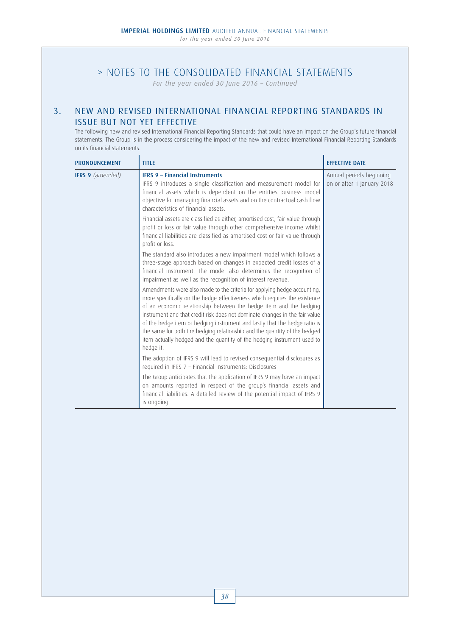*For the year ended 30 June 2016 – Continued*

# 3. NEW AND REVISED INTERNATIONAL FINANCIAL REPORTING STANDARDS IN ISSUE BUT NOT YET EFFECTIVE

 The following new and revised International Financial Reporting Standards that could have an impact on the Group's future financial statements. The Group is in the process considering the impact of the new and revised International Financial Reporting Standards on its financial statements.

| <b>PRONOUNCEMENT</b>    | <b>TITLE</b>                                                                                                                                                                                                                                                                                                                                                                                                                                                                                                                                                  | <b>EFFECTIVE DATE</b>                                  |
|-------------------------|---------------------------------------------------------------------------------------------------------------------------------------------------------------------------------------------------------------------------------------------------------------------------------------------------------------------------------------------------------------------------------------------------------------------------------------------------------------------------------------------------------------------------------------------------------------|--------------------------------------------------------|
| <b>IFRS 9</b> (amended) | <b>IFRS 9 - Financial Instruments</b><br>IFRS 9 introduces a single classification and measurement model for<br>financial assets which is dependent on the entities business model<br>objective for managing financial assets and on the contractual cash flow<br>characteristics of financial assets.                                                                                                                                                                                                                                                        | Annual periods beginning<br>on or after 1 January 2018 |
|                         | Financial assets are classified as either, amortised cost, fair value through<br>profit or loss or fair value through other comprehensive income whilst<br>financial liabilities are classified as amortised cost or fair value through<br>profit or loss.                                                                                                                                                                                                                                                                                                    |                                                        |
|                         | The standard also introduces a new impairment model which follows a<br>three-stage approach based on changes in expected credit losses of a<br>financial instrument. The model also determines the recognition of<br>impairment as well as the recognition of interest revenue.                                                                                                                                                                                                                                                                               |                                                        |
|                         | Amendments were also made to the criteria for applying hedge accounting,<br>more specifically on the hedge effectiveness which requires the existence<br>of an economic relationship between the hedge item and the hedging<br>instrument and that credit risk does not dominate changes in the fair value<br>of the hedge item or hedging instrument and lastly that the hedge ratio is<br>the same for both the hedging relationship and the quantity of the hedged<br>item actually hedged and the quantity of the hedging instrument used to<br>hedge it. |                                                        |
|                         | The adoption of IFRS 9 will lead to revised consequential disclosures as<br>required in IFRS 7 - Financial Instruments: Disclosures                                                                                                                                                                                                                                                                                                                                                                                                                           |                                                        |
|                         | The Group anticipates that the application of IFRS 9 may have an impact<br>on amounts reported in respect of the group's financial assets and<br>financial liabilities. A detailed review of the potential impact of IFRS 9<br>is ongoing.                                                                                                                                                                                                                                                                                                                    |                                                        |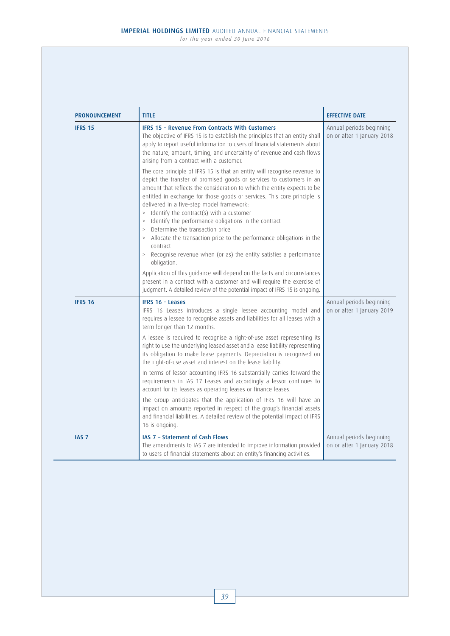| <b>PRONOUNCEMENT</b> | <b>TITLE</b>                                                                                                                                                                                                                                                                                                                                                                                                                                                                                                                                                                                                                                                                                                                                                                                                                         | <b>EFFECTIVE DATE</b>                                  |
|----------------------|--------------------------------------------------------------------------------------------------------------------------------------------------------------------------------------------------------------------------------------------------------------------------------------------------------------------------------------------------------------------------------------------------------------------------------------------------------------------------------------------------------------------------------------------------------------------------------------------------------------------------------------------------------------------------------------------------------------------------------------------------------------------------------------------------------------------------------------|--------------------------------------------------------|
| <b>IFRS 15</b>       | IFRS 15 - Revenue From Contracts With Customers<br>The objective of IFRS 15 is to establish the principles that an entity shall<br>apply to report useful information to users of financial statements about<br>the nature, amount, timing, and uncertainty of revenue and cash flows<br>arising from a contract with a customer.                                                                                                                                                                                                                                                                                                                                                                                                                                                                                                    | Annual periods beginning<br>on or after 1 January 2018 |
|                      | The core principle of IFRS 15 is that an entity will recognise revenue to<br>depict the transfer of promised goods or services to customers in an<br>amount that reflects the consideration to which the entity expects to be<br>entitled in exchange for those goods or services. This core principle is<br>delivered in a five-step model framework:<br>> Identify the contract(s) with a customer<br>> Identify the performance obligations in the contract<br>> Determine the transaction price<br>> Allocate the transaction price to the performance obligations in the<br>contract<br>> Recognise revenue when (or as) the entity satisfies a performance<br>obligation.<br>Application of this guidance will depend on the facts and circumstances<br>present in a contract with a customer and will require the exercise of |                                                        |
|                      | judgment. A detailed review of the potential impact of IFRS 15 is ongoing.                                                                                                                                                                                                                                                                                                                                                                                                                                                                                                                                                                                                                                                                                                                                                           |                                                        |
| <b>IFRS 16</b>       | <b>IFRS 16 - Leases</b><br>IFRS 16 Leases introduces a single lessee accounting model and<br>requires a lessee to recognise assets and liabilities for all leases with a<br>term longer than 12 months.                                                                                                                                                                                                                                                                                                                                                                                                                                                                                                                                                                                                                              | Annual periods beginning<br>on or after 1 January 2019 |
|                      | A lessee is required to recognise a right-of-use asset representing its<br>right to use the underlying leased asset and a lease liability representing<br>its obligation to make lease payments. Depreciation is recognised on<br>the right-of-use asset and interest on the lease liability.                                                                                                                                                                                                                                                                                                                                                                                                                                                                                                                                        |                                                        |
|                      | In terms of lessor accounting IFRS 16 substantially carries forward the<br>requirements in IAS 17 Leases and accordingly a lessor continues to<br>account for its leases as operating leases or finance leases.                                                                                                                                                                                                                                                                                                                                                                                                                                                                                                                                                                                                                      |                                                        |
|                      | The Group anticipates that the application of IFRS 16 will have an<br>impact on amounts reported in respect of the group's financial assets<br>and financial liabilities. A detailed review of the potential impact of IFRS<br>16 is ongoing.                                                                                                                                                                                                                                                                                                                                                                                                                                                                                                                                                                                        |                                                        |
| IAS <sub>7</sub>     | IAS 7 - Statement of Cash Flows<br>The amendments to IAS 7 are intended to improve information provided<br>to users of financial statements about an entity's financing activities.                                                                                                                                                                                                                                                                                                                                                                                                                                                                                                                                                                                                                                                  | Annual periods beginning<br>on or after 1 January 2018 |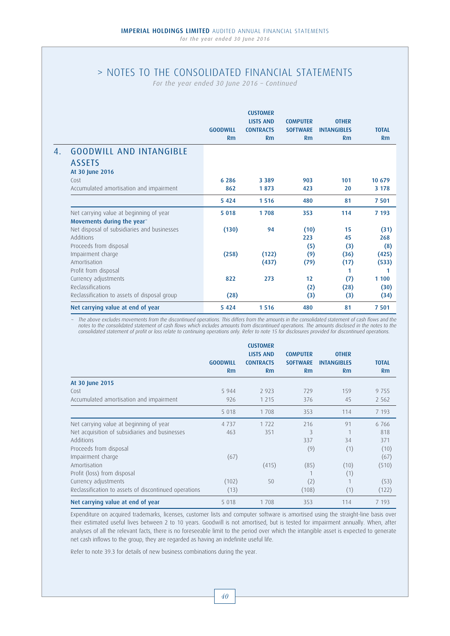*For the year ended 30 June 2016 – Continued*

|                                                                      |                 | <b>CUSTOMER</b>                      |                                    |                                    |                       |
|----------------------------------------------------------------------|-----------------|--------------------------------------|------------------------------------|------------------------------------|-----------------------|
|                                                                      | <b>GOODWILL</b> | <b>LISTS AND</b><br><b>CONTRACTS</b> | <b>COMPUTER</b><br><b>SOFTWARE</b> | <b>OTHER</b><br><b>INTANGIBLES</b> | <b>TOTAL</b>          |
|                                                                      | Rm              | Rm                                   | Rm                                 | Rm                                 | Rm                    |
| <b>GOODWILL AND INTANGIBLE</b><br><b>ASSETS</b><br>At 30 June 2016   |                 |                                      |                                    |                                    |                       |
| Cost                                                                 | 6 2 8 6         | 3 3 8 9                              | 903                                | 101                                | 10 679                |
| Accumulated amortisation and impairment                              | 862             | 1873                                 | 423                                | 20                                 | 3 1 7 8               |
|                                                                      | 5 4 2 4         | 1516                                 | 480                                | 81                                 | 7 5 0 1               |
| Net carrying value at beginning of year<br>Movements during the year | 5 0 1 8         | 1708                                 | 353                                | 114                                | 7 193                 |
| Net disposal of subsidiaries and businesses<br>Additions             | (130)           | 94                                   | (10)<br>223                        | 15<br>45                           | (31)<br>268           |
| Proceeds from disposal<br>Impairment charge<br>Amortisation          | (258)           | (122)<br>(437)                       | (5)<br>(9)<br>(79)                 | (3)<br>(36)<br>(17)                | (8)<br>(425)<br>(533) |
| Profit from disposal                                                 |                 |                                      |                                    | 1                                  |                       |
| Currency adjustments                                                 | 822             | 273                                  | 12                                 | (7)                                | 1 100                 |
| Reclassifications                                                    |                 |                                      | (2)                                | (28)                               | (30)                  |
| Reclassification to assets of disposal group                         | (28)            |                                      | (3)                                | (3)                                | (34)                  |
| Net carrying value at end of year                                    | 5 4 2 4         | 1 5 1 6                              | 480                                | 81                                 | 7 501                 |

The above excludes movements from the discontinued operations. This differs from the amounts in the consolidated statement of cash flows and the notes to the consolidated statement of cash flows which includes amounts from discontinued operations. The amounts disclosed in the notes to the consolidated statement of profit or loss relate to continuing operations only. Refer to note 15 for disclosures provided for discontinued operations.

|                                                       |                       | <b>CUSTOMER</b>                            |                                          |                                          |                    |
|-------------------------------------------------------|-----------------------|--------------------------------------------|------------------------------------------|------------------------------------------|--------------------|
|                                                       | <b>GOODWILL</b><br>Rm | <b>LISTS AND</b><br><b>CONTRACTS</b><br>Rm | <b>COMPUTER</b><br><b>SOFTWARE</b><br>Rm | <b>OTHER</b><br><b>INTANGIBLES</b><br>Rm | <b>TOTAL</b><br>Rm |
| At 30 June 2015                                       |                       |                                            |                                          |                                          |                    |
| Cost                                                  | 5 9 4 4               | 2 9 2 3                                    | 729                                      | 159                                      | 9755               |
| Accumulated amortisation and impairment               | 926                   | 1 2 1 5                                    | 376                                      | 45                                       | 2 5 6 2            |
|                                                       | 5 0 1 8               | 1708                                       | 353                                      | 114                                      | 7 1 9 3            |
| Net carrying value at beginning of year               | 4 7 3 7               | 1722                                       | 216                                      | 91                                       | 6766               |
| Net acquisition of subsidiaries and businesses        | 463                   | 351                                        | 3                                        |                                          | 818                |
| Additions                                             |                       |                                            | 337                                      | 34                                       | 371                |
| Proceeds from disposal                                |                       |                                            | (9)                                      | (1)                                      | (10)               |
| Impairment charge                                     | (67)                  |                                            |                                          |                                          | (67)               |
| Amortisation                                          |                       | (415)                                      | (85)                                     | (10)                                     | (510)              |
| Profit (loss) from disposal                           |                       |                                            |                                          | (1)                                      |                    |
| Currency adjustments                                  | (102)                 | 50                                         | (2)                                      |                                          | (53)               |
| Reclassification to assets of discontinued operations | (13)                  |                                            | (108)                                    | (1)                                      | (122)              |
| Net carrying value at end of year                     | 5 0 1 8               | 1708                                       | 353                                      | 114                                      | 7 1 9 3            |

Expenditure on acquired trademarks, licenses, customer lists and computer software is amortised using the straight-line basis over their estimated useful lives between 2 to 10 years. Goodwill is not amortised, but is tested for impairment annually. When, after analyses of all the relevant facts, there is no foreseeable limit to the period over which the intangible asset is expected to generate net cash inflows to the group, they are regarded as having an indefinite useful life.

Refer to note 39.3 for details of new business combinations during the year.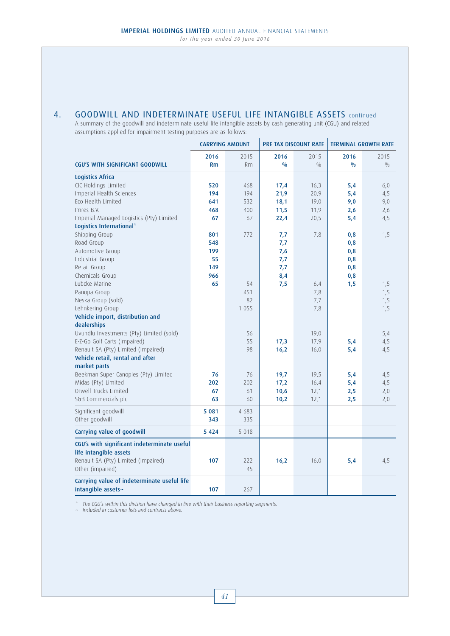# 4. GOODWILL AND INDETERMINATE USEFUL LIFE INTANGIBLE ASSETS continued

A summary of the goodwill and indeterminate useful life intangible assets by cash generating unit (CGU) and related assumptions applied for impairment testing purposes are as follows:  $\mathbf{r}$ 

|                                             |           | <b>CARRYING AMOUNT</b> | <b>PRE TAX DISCOUNT RATE</b> |      | <b>TERMINAL GROWTH RATE</b> |      |
|---------------------------------------------|-----------|------------------------|------------------------------|------|-----------------------------|------|
|                                             | 2016      | 2015                   | 2016                         | 2015 | 2016                        | 2015 |
| <b>CGU'S WITH SIGNIFICANT GOODWILL</b>      | <b>Rm</b> | <b>Rm</b>              | 0/0                          | 0/0  | 0/0                         | 0/0  |
| <b>Logistics Africa</b>                     |           |                        |                              |      |                             |      |
| CIC Holdings Limited                        | 520       | 468                    | 17,4                         | 16,3 | 5,4                         | 6,0  |
| Imperial Health Sciences                    | 194       | 194                    | 21,9                         | 20,9 | 5,4                         | 4,5  |
| Eco Health Limited                          | 641       | 532                    | 18,1                         | 19,0 | 9,0                         | 9,0  |
| Imres B.V.                                  | 468       | 400                    | 11,5                         | 11,9 | 2,6                         | 2,6  |
| Imperial Managed Logistics (Pty) Limited    | 67        | 67                     | 22,4                         | 20,5 | 5,4                         | 4,5  |
| Logistics International*                    |           |                        |                              |      |                             |      |
| Shipping Group                              | 801       | 772                    | 7,7                          | 7,8  | 0,8                         | 1,5  |
| Road Group                                  | 548       |                        | 7,7                          |      | 0,8                         |      |
| Automotive Group                            | 199       |                        | 7,6                          |      | 0,8                         |      |
| Industrial Group                            | 55        |                        | 7,7                          |      | 0,8                         |      |
| Retail Group                                | 149       |                        | 7,7                          |      | 0,8                         |      |
| Chemicals Group                             | 966       |                        | 8,4                          |      | 0,8                         |      |
| Lubcke Marine                               | 65        | 54                     | 7,5                          | 6,4  | 1,5                         | 1,5  |
| Panopa Group                                |           | 451                    |                              | 7,8  |                             | 1,5  |
| Neska Group (sold)                          |           | 82                     |                              | 7,7  |                             | 1,5  |
| Lehnkering Group                            |           | 1 0 5 5                |                              | 7,8  |                             | 1,5  |
| Vehicle import, distribution and            |           |                        |                              |      |                             |      |
| dealerships                                 |           |                        |                              |      |                             |      |
| Uvundlu Investments (Pty) Limited (sold)    |           | 56                     |                              | 19,0 |                             | 5,4  |
| E-Z-Go Golf Carts (impaired)                |           | 55                     | 17,3                         | 17,9 | 5,4                         | 4,5  |
| Renault SA (Pty) Limited (impaired)         |           | 98                     | 16,2                         | 16,0 | 5,4                         | 4,5  |
| Vehicle retail, rental and after            |           |                        |                              |      |                             |      |
| market parts                                |           |                        |                              |      |                             |      |
| Beekman Super Canopies (Pty) Limited        | 76        | 76                     | 19,7                         | 19,5 | 5,4                         | 4,5  |
| Midas (Pty) Limited                         | 202       | 202                    | 17,2                         | 16,4 | 5,4                         | 4,5  |
| Orwell Trucks Limited                       | 67        | 61                     | 10,6                         | 12,1 | 2,5                         | 2,0  |
| S&B Commercials plc                         | 63        | 60                     | 10,2                         | 12,1 | 2,5                         | 2,0  |
| Significant goodwill                        | 5 0 8 1   | 4 683                  |                              |      |                             |      |
| Other goodwill                              | 343       | 335                    |                              |      |                             |      |
| Carrying value of goodwill                  | 5 4 2 4   | 5 0 1 8                |                              |      |                             |      |
| CGU's with significant indeterminate useful |           |                        |                              |      |                             |      |
| life intangible assets                      |           |                        |                              |      |                             |      |
| Renault SA (Pty) Limited (impaired)         | 107       | 222                    | 16,2                         | 16,0 | 5,4                         | 4,5  |
| Other (impaired)                            |           | 45                     |                              |      |                             |      |
| Carrying value of indeterminate useful life |           |                        |                              |      |                             |      |
| intangible assets~                          | 107       | 267                    |                              |      |                             |      |

\* The CGU's within this division have changed in line with their business reporting segments. ~ Included in customer lists and contracts above.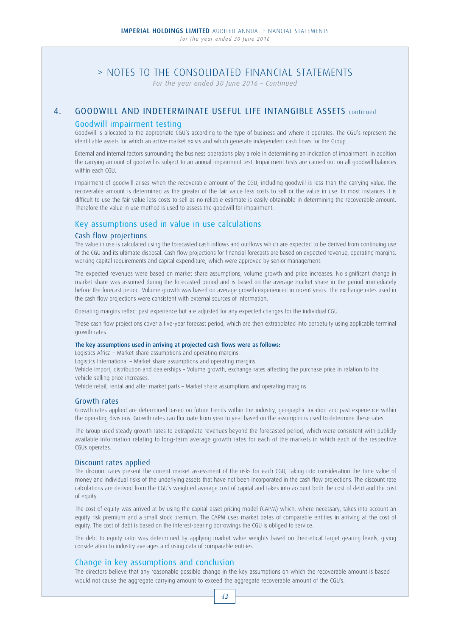*For the year ended 30 June 2016 – Continued*

## 4. GOODWILL AND INDETERMINATE USEFUL LIFE INTANGIBLE ASSETS continued

## Goodwill impairment testing

 Goodwill is allocated to the appropriate CGU's according to the type of business and where it operates. The CGU's represent the identifiable assets for which an active market exists and which generate independent cash flows for the Group.

 External and internal factors surrounding the business operations play a role in determining an indication of impairment. In addition the carrying amount of goodwill is subject to an annual impairment test. Impairment tests are carried out on all goodwill balances within each CGU.

 Impairment of goodwill arises when the recoverable amount of the CGU, including goodwill is less than the carrying value. The recoverable amount is determined as the greater of the fair value less costs to sell or the value in use. In most instances it is difficult to use the fair value less costs to sell as no reliable estimate is easily obtainable in determining the recoverable amount. Therefore the value in use method is used to assess the goodwill for impairment.

## Key assumptions used in value in use calculations

### Cash flow projections

 The value in use is calculated using the forecasted cash inflows and outflows which are expected to be derived from continuing use of the CGU and its ultimate disposal. Cash flow projections for financial forecasts are based on expected revenue, operating margins, working capital requirements and capital expenditure, which were approved by senior management.

 The expected revenues were based on market share assumptions, volume growth and price increases. No significant change in market share was assumed during the forecasted period and is based on the average market share in the period immediately before the forecast period. Volume growth was based on average growth experienced in recent years. The exchange rates used in the cash flow projections were consistent with external sources of information.

Operating margins reflect past experience but are adjusted for any expected changes for the individual CGU.

 These cash flow projections cover a five-year forecast period, which are then extrapolated into perpetuity using applicable terminal growth rates.

#### The key assumptions used in arriving at projected cash flows were as follows:

Logistics Africa – Market share assumptions and operating margins.

Logistics International – Market share assumptions and operating margins.

 Vehicle import, distribution and dealerships – Volume growth, exchange rates affecting the purchase price in relation to the vehicle selling price increases.

Vehicle retail, rental and after market parts – Market share assumptions and operating margins.

### Growth rates

 Growth rates applied are determined based on future trends within the industry, geographic location and past experience within the operating divisions. Growth rates can fluctuate from year to year based on the assumptions used to determine these rates.

 The Group used steady growth rates to extrapolate revenues beyond the forecasted period, which were consistent with publicly available information relating to long-term average growth rates for each of the markets in which each of the respective CGUs operates.

### Discount rates applied

 The discount rates present the current market assessment of the risks for each CGU, taking into consideration the time value of money and individual risks of the underlying assets that have not been incorporated in the cash flow projections. The discount rate calculations are derived from the CGU's weighted average cost of capital and takes into account both the cost of debt and the cost of equity.

The cost of equity was arrived at by using the capital asset pricing model (CAPM) which, where necessary, takes into account an equity risk premium and a small stock premium. The CAPM uses market betas of comparable entities in arriving at the cost of equity. The cost of debt is based on the interest-bearing borrowings the CGU is obliged to service.

 The debt to equity ratio was determined by applying market value weights based on theoretical target gearing levels, giving consideration to industry averages and using data of comparable entities.

## Change in key assumptions and conclusion

 The directors believe that any reasonable possible change in the key assumptions on which the recoverable amount is based would not cause the aggregate carrying amount to exceed the aggregate recoverable amount of the CGU's.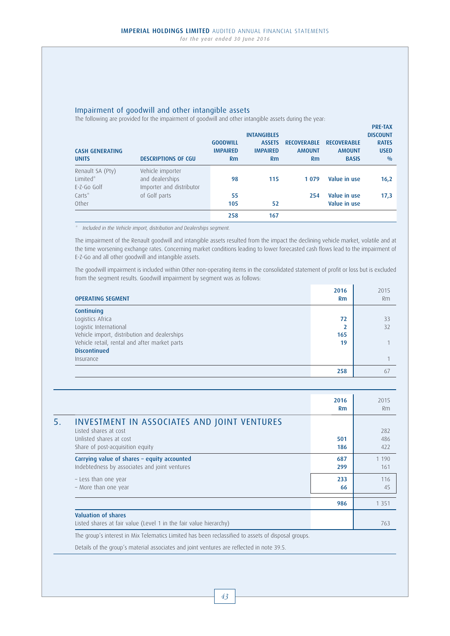## Impairment of goodwill and other intangible assets

The following are provided for the impairment of goodwill and other intangible assets during the year:

| <b>CASH GENERATING</b><br><b>UNITS</b>      | <b>DESCRIPTIONS OF CGU</b>                                      | <b>GOODWILL</b><br><b>IMPAIRED</b><br>Rm | <b>INTANGIBLES</b><br><b>ASSETS</b><br><b>IMPAIRED</b><br><b>Rm</b> | <b>RECOVERABLE</b><br><b>AMOUNT</b><br><b>Rm</b> | <b>RECOVERABLE</b><br><b>AMOUNT</b><br><b>BASIS</b> | <b>DISCOUNT</b><br><b>RATES</b><br><b>USED</b><br>0/0 |
|---------------------------------------------|-----------------------------------------------------------------|------------------------------------------|---------------------------------------------------------------------|--------------------------------------------------|-----------------------------------------------------|-------------------------------------------------------|
| Renault SA (Pty)<br>Limited*<br>E-Z-Go Golf | Vehicle importer<br>and dealerships<br>Importer and distributor | 98                                       | 115                                                                 | 1079                                             | Value in use                                        | 16,2                                                  |
| $Carts^*$<br>Other                          | of Golf parts                                                   | 55<br>105                                | 52                                                                  | 254                                              | Value in use<br>Value in use                        | 17,3                                                  |
|                                             |                                                                 | 258                                      | 167                                                                 |                                                  |                                                     |                                                       |

PRE-TAX

\* Included in the Vehicle import, distribution and Dealerships segment.

 The impairment of the Renault goodwill and intangible assets resulted from the impact the declining vehicle market, volatile and at the time worsening exchange rates. Concerning market conditions leading to lower forecasted cash flows lead to the impairment of E-Z-Go and all other goodwill and intangible assets.

 The goodwill impairment is included within Other non-operating items in the consolidated statement of profit or loss but is excluded from the segment results. Goodwill impairment by segment was as follows:

| <b>OPERATING SEGMENT</b>                      | 2016<br><b>Rm</b> | 2015<br>Rm |
|-----------------------------------------------|-------------------|------------|
| Continuing                                    |                   |            |
| Logistics Africa                              | 72                | 33         |
| Logistic International                        |                   | 32         |
| Vehicle import, distribution and dealerships  | 165               |            |
| Vehicle retail, rental and after market parts | 19                |            |
| <b>Discontinued</b>                           |                   |            |
| Insurance                                     |                   |            |
|                                               | 258               | 67         |

|                                                                                                                                     | 2016<br>Rm | 2015<br><b>Rm</b> |
|-------------------------------------------------------------------------------------------------------------------------------------|------------|-------------------|
| INVESTMENT IN ASSOCIATES AND JOINT VENTURES<br>Listed shares at cost<br>Unlisted shares at cost<br>Share of post-acquisition equity | 501<br>186 | 282<br>486<br>422 |
| Carrying value of shares - equity accounted<br>Indebtedness by associates and joint ventures                                        | 687<br>299 | 1 1 9 0<br>161    |
| - Less than one year<br>- More than one year                                                                                        | 233<br>66  | 116<br>45         |
|                                                                                                                                     | 986        | 1 3 5 1           |
| Valuation of shares<br>Listed shares at fair value (Level 1 in the fair value hierarchy)                                            |            | 763               |

The group's interest in Mix Telematics Limited has been reclassified to assets of disposal groups.

Details of the group's material associates and joint ventures are reflected in note 39.5.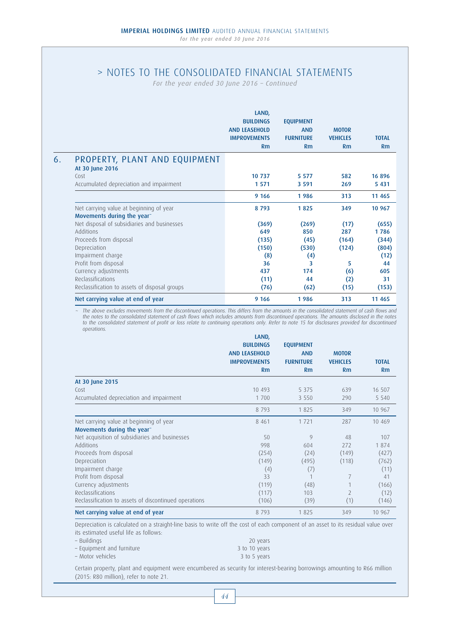*For the year ended 30 June 2016 – Continued*

|    |                                                  | LAND,<br><b>BUILDINGS</b><br><b>AND LEASEHOLD</b><br><b>IMPROVEMENTS</b><br>Rm | <b>EQUIPMENT</b><br><b>AND</b><br><b>FURNITURE</b><br>Rm | <b>MOTOR</b><br><b>VEHICLES</b><br>Rm | <b>TOTAL</b><br>Rm |
|----|--------------------------------------------------|--------------------------------------------------------------------------------|----------------------------------------------------------|---------------------------------------|--------------------|
| 6. | PROPERTY, PLANT AND EQUIPMENT<br>At 30 June 2016 |                                                                                |                                                          |                                       |                    |
|    | Cost                                             | 10 737                                                                         | 5 5 7 7                                                  | 582                                   | 16896              |
|    | Accumulated depreciation and impairment          | 1 5 7 1                                                                        | 3 5 9 1                                                  | 269                                   | 5 4 3 1            |
|    |                                                  | 9 1 6 6                                                                        | 1986                                                     | 313                                   | 11 465             |
|    | Net carrying value at beginning of year          | 8793                                                                           | 1825                                                     | 349                                   | 10 967             |
|    | Movements during the year"                       |                                                                                |                                                          |                                       |                    |
|    | Net disposal of subsidiaries and businesses      | (369)                                                                          | (269)                                                    | (17)                                  | (655)              |
|    | <b>Additions</b>                                 | 649                                                                            | 850                                                      | 287                                   | 1786               |
|    | Proceeds from disposal                           | (135)                                                                          | (45)                                                     | (164)                                 | (344)              |
|    | Depreciation                                     | (150)                                                                          | (530)                                                    | (124)                                 | (804)              |
|    | Impairment charge                                | (8)                                                                            | (4)                                                      |                                       | (12)               |
|    | Profit from disposal                             | 36                                                                             | 3                                                        | 5                                     | 44                 |
|    | Currency adjustments                             | 437                                                                            | 174                                                      | (6)                                   | 605                |
|    | Reclassifications                                | (11)                                                                           | 44                                                       | (2)                                   | 31                 |
|    | Reclassification to assets of disposal groups    | (76)                                                                           | (62)                                                     | (15)                                  | (153)              |
|    | Net carrying value at end of year                | 9 1 6 6                                                                        | 1986                                                     | 313                                   | 11 4 65            |

~ The above excludes movements from the discontinued operations. This differs from the amounts in the consolidated statement of cash flows and the notes to the consolidated statement of cash flows which includes amounts from discontinued operations. The amounts disclosed in the notes to the consolidated statement of profit or loss relate to continuing operations only. Refer to note 15 for disclosures provided for discontinued operations.

|                                                       | LAND,                |                  |                          |              |
|-------------------------------------------------------|----------------------|------------------|--------------------------|--------------|
|                                                       | <b>BUILDINGS</b>     | <b>EQUIPMENT</b> |                          |              |
|                                                       | <b>AND LEASEHOLD</b> | <b>AND</b>       | <b>MOTOR</b>             |              |
|                                                       | <b>IMPROVEMENTS</b>  | <b>FURNITURE</b> | <b>VEHICLES</b>          | <b>TOTAL</b> |
|                                                       | Rm                   | Rm               | Rm                       | Rm           |
| At 30 June 2015                                       |                      |                  |                          |              |
| Cost                                                  | 10 493               | 5 3 7 5          | 639                      | 16 507       |
| Accumulated depreciation and impairment               | 1 700                | 3 5 5 0          | 290                      | 5 5 4 0      |
|                                                       | 8793                 | 1825             | 349                      | 10 967       |
| Net carrying value at beginning of year               | 8 4 6 1              | 1721             | 287                      | 10 4 69      |
| Movements during the year                             |                      |                  |                          |              |
| Net acquisition of subsidiaries and businesses        | 50                   | 9                | 48                       | 107          |
| Additions                                             | 998                  | 604              | 272                      | 1874         |
| Proceeds from disposal                                | (254)                | (24)             | (149)                    | (427)        |
| Depreciation                                          | (149)                | (495)            | (118)                    | (762)        |
| Impairment charge                                     | (4)                  | (7)              |                          | (11)         |
| Profit from disposal                                  | 33                   |                  | 7                        | 41           |
| Currency adjustments                                  | (119)                | (48)             |                          | (166)        |
| Reclassifications                                     | (117)                | 103              | $\overline{\phantom{1}}$ | (12)         |
| Reclassification to assets of discontinued operations | (106)                | (39)             | (1)                      | (146)        |
| Net carrying value at end of year                     | 8793                 | 1825             | 349                      | 10 967       |

Depreciation is calculated on a straight-line basis to write off the cost of each component of an asset to its residual value over its estimated useful life as follows:

| – Buildings               | 20 years      |
|---------------------------|---------------|
| - Equipment and furniture | 3 to 10 years |
| - Motor vehicles          | 3 to 5 years  |

Certain property, plant and equipment were encumbered as security for interest-bearing borrowings amounting to R66 million (2015: R80 million), refer to note 21.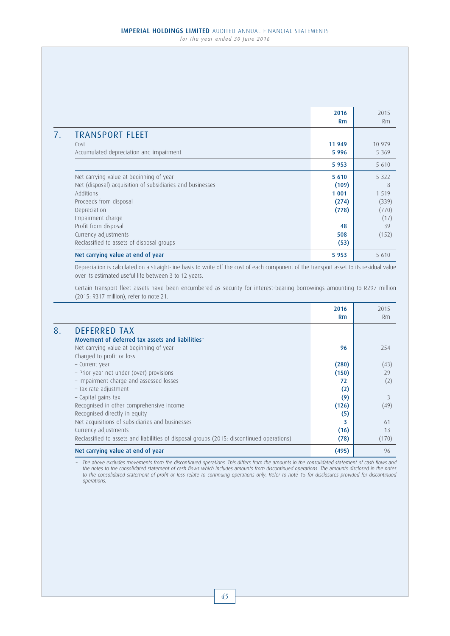2016 2015 Rm Rm 7. TRANSPORT FLEET Cost 2008 11 949 10 979 10 979 10 979 10 979 10 979 10 979 10 979 10 979 10 979 10 979 10 979 10 979 10 979 10 Accumulated depreciation and impairment 5 996 5 369 5 369 5 369 5 369 5 369 5 369 5 369 5 369 5 369 5 369 5 369 5 953 5 610 Net carrying value at beginning of year 5 610 5 610 5 610 5 610 5 610 5 612 5 610 5 612 5 612 5 610 5 612 5 61 Net (disposal) acquisition of subsidiaries and businesses (109) 8 Additions 1999 - 1999 - 1999 - 1999 - 1999 - 1999 - 1999 - 1999 - 1999 - 1999 - 1999 - 1999 - 1999 - 1999 - 19 Proceeds from disposal (274) (339) (339) Depreciation (778) (770) Impairment charge (17) Profit from disposal and the set of the set of the set of the set of the set of the set of the set of the set of the set of the set of the set of the set of the set of the set of the set of the set of the set of the set of Currency adjustments **508** (152) (152) Reclassified to assets of disposal groups (53) (53) Net carrying value at end of year 5 610

Depreciation is calculated on a straight-line basis to write off the cost of each component of the transport asset to its residual value over its estimated useful life between 3 to 12 years.

Certain transport fleet assets have been encumbered as security for interest-bearing borrowings amounting to R297 million (2015: R317 million), refer to note 21.

|                                                                                           | 2016<br><b>Rm</b> | 2015<br><b>Rm</b> |
|-------------------------------------------------------------------------------------------|-------------------|-------------------|
| <b>DEFERRED TAX</b>                                                                       |                   |                   |
| Movement of deferred tax assets and liabilities~                                          |                   |                   |
| Net carrying value at beginning of year                                                   | 96                | 254               |
| Charged to profit or loss                                                                 |                   |                   |
| - Current year                                                                            | (280)             | (43)              |
| - Prior year net under (over) provisions                                                  | (150)             | 29                |
| - Impairment charge and assessed losses                                                   | 72                | (2)               |
| - Tax rate adjustment                                                                     | (2)               |                   |
| - Capital gains tax                                                                       | (9)               | 3                 |
| Recognised in other comprehensive income                                                  | (126)             | (49)              |
| Recognised directly in equity                                                             | (5)               |                   |
| Net acquisitions of subsidiaries and businesses                                           | 3                 | 61                |
| Currency adjustments                                                                      | (16)              | 13                |
| Reclassified to assets and liabilities of disposal groups (2015: discontinued operations) | (78)              | (170)             |
| Net carrying value at end of year                                                         | (495)             | 96                |

The above excludes movements from the discontinued operations. This differs from the amounts in the consolidated statement of cash flows and the notes to the consolidated statement of cash flows which includes amounts from discontinued operations. The amounts disclosed in the notes to the consolidated statement of profit or loss relate to continuing operations only. Refer to note 15 for disclosures provided for discontinued operations.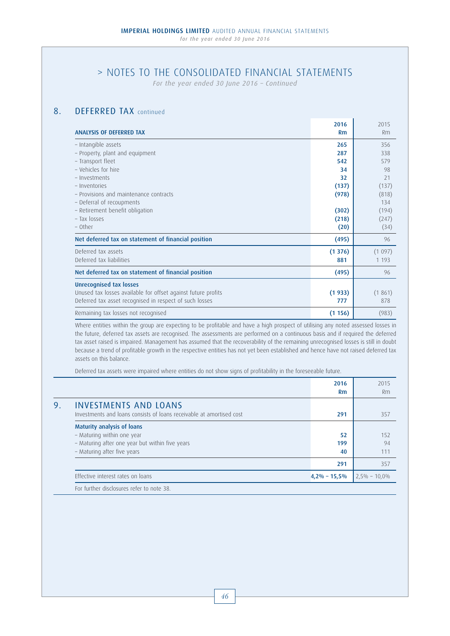# > NOTES TO THE CONSOLIDATED FINANCIAL STATEMENTS

*For the year ended 30 June 2016 – Continued*

# 8. **DEFERRED TAX** continued

| <b>ANALYSIS OF DEFERRED TAX</b>                                                                                                                            | 2016<br>Rm                 | 2015<br>Rm                        |
|------------------------------------------------------------------------------------------------------------------------------------------------------------|----------------------------|-----------------------------------|
| - Intangible assets<br>- Property, plant and equipment<br>- Transport fleet                                                                                | 265<br>287<br>542          | 356<br>338<br>579                 |
| - Vehicles for hire<br>- Investments<br>- Inventories<br>- Provisions and maintenance contracts<br>- Deferral of recoupments                               | 34<br>32<br>(137)<br>(978) | 98<br>21<br>(137)<br>(818)<br>134 |
| - Retirement benefit obligation<br>- Tax losses<br>- Other                                                                                                 | (302)<br>(218)<br>(20)     | (194)<br>(247)<br>(34)            |
| Net deferred tax on statement of financial position<br>Deferred tax assets<br>Deferred tax liabilities                                                     | (495)<br>(1376)<br>881     | 96<br>(1097)<br>1 1 9 3           |
| Net deferred tax on statement of financial position                                                                                                        | (495)                      | 96                                |
| <b>Unrecognised tax losses</b><br>Unused tax losses available for offset against future profits<br>Deferred tax asset recognised in respect of such losses | (1933)<br>777              | (1861)<br>878                     |
| Remaining tax losses not recognised                                                                                                                        | (1156)                     | (983)                             |

Where entities within the group are expecting to be profitable and have a high prospect of utilising any noted assessed losses in the future, deferred tax assets are recognised. The assessments are performed on a continuous basis and if required the deferred tax asset raised is impaired. Management has assumed that the recoverability of the remaining unrecognised losses is still in doubt because a trend of profitable growth in the respective entities has not yet been established and hence have not raised deferred tax assets on this balance.

Deferred tax assets were impaired where entities do not show signs of profitability in the foreseeable future.

|    |                                                                                                                                                   | 2016<br><b>Rm</b> | 2015<br>Rm       |
|----|---------------------------------------------------------------------------------------------------------------------------------------------------|-------------------|------------------|
| 9. | <b>INVESTMENTS AND LOANS</b><br>Investments and loans consists of loans receivable at amortised cost                                              | 291               | 357              |
|    | <b>Maturity analysis of loans</b><br>- Maturing within one year<br>- Maturing after one year but within five years<br>- Maturing after five years | 52<br>199<br>40   | 152<br>94<br>111 |
|    |                                                                                                                                                   | 291               | 357              |
|    | Effective interest rates on loans                                                                                                                 | $4,2\% - 15,5\%$  | $2,5\% - 10,0\%$ |
|    | For further disclosures refer to note 38.                                                                                                         |                   |                  |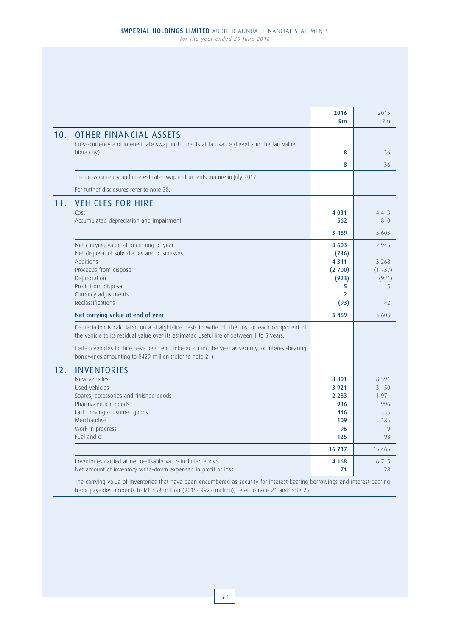|     |                                                                                                                                                                                             | 2016<br><b>Rm</b> | 2015<br>Rm        |
|-----|---------------------------------------------------------------------------------------------------------------------------------------------------------------------------------------------|-------------------|-------------------|
| 10. | <b>OTHER FINANCIAL ASSETS</b><br>Cross-currency and interest rate swap instruments at fair value (Level 2 in the fair value                                                                 |                   |                   |
|     | hierarchy)                                                                                                                                                                                  | 8                 | 36                |
|     |                                                                                                                                                                                             | 8                 | 36                |
|     | The cross currency and interest rate swap instruments mature in July 2017.                                                                                                                  |                   |                   |
|     | For further disclosures refer to note 38.                                                                                                                                                   |                   |                   |
| 11. | <b>VEHICLES FOR HIRE</b>                                                                                                                                                                    |                   |                   |
|     | Cost                                                                                                                                                                                        | 4 0 3 1           | 4 4 1 3           |
|     | Accumulated depreciation and impairment                                                                                                                                                     | 562               | 810               |
|     |                                                                                                                                                                                             | 3 4 6 9           | 3 603             |
|     | Net carrying value at beginning of year                                                                                                                                                     | 3 6 0 3           | 2 9 4 5           |
|     | Net disposal of subsidiaries and businesses                                                                                                                                                 | (736)             |                   |
|     | Additions<br>Proceeds from disposal                                                                                                                                                         | 4 3 1 1<br>(2700) | 3 2 6 8<br>(1737) |
|     | Depreciation                                                                                                                                                                                | (923)             | (921)             |
|     | Profit from disposal                                                                                                                                                                        | 5                 | 5                 |
|     | Currency adjustments                                                                                                                                                                        | $\overline{2}$    | $\mathbf{1}$      |
|     | Reclassifications                                                                                                                                                                           | (93)              | 42                |
|     | Net carrying value at end of year                                                                                                                                                           | 3 4 6 9           | 3 603             |
|     | Depreciation is calculated on a straight-line basis to write off the cost of each component of<br>the vehicle to its residual value over its estimated useful life of between 1 to 5 years. |                   |                   |
|     | Certain vehicles for hire have been encumbered during the year as security for interest-bearing<br>borrowings amounting to R429 million (refer to note 21).                                 |                   |                   |
| 12. | <b>INVENTORIES</b>                                                                                                                                                                          |                   |                   |
|     | New vehicles                                                                                                                                                                                | 8801              | 8 5 9 1           |
|     | Used vehicles                                                                                                                                                                               | 3 9 2 1           | 3 1 5 0           |
|     | Spares, accessories and finished goods                                                                                                                                                      | 2 2 8 3           | 1971              |
|     | Pharmaceutical goods<br>Fast moving consumer goods                                                                                                                                          | 936<br>446        | 996<br>355        |
|     | Merchandise                                                                                                                                                                                 | 109               | 185               |
|     | Work in progress                                                                                                                                                                            | 96                | 119               |
|     | Fuel and oil                                                                                                                                                                                | 125               | 98                |
|     |                                                                                                                                                                                             | 16 717            | 15 4 65           |
|     | Inventories carried at net realisable value included above                                                                                                                                  | 4 1 6 8           | 6 7 1 5           |
|     | Net amount of inventory write-down expensed in profit or loss                                                                                                                               | 71                | 28                |

trade payables amounts to R1 458 million (2015: R927 million), refer to note 21 and note 25.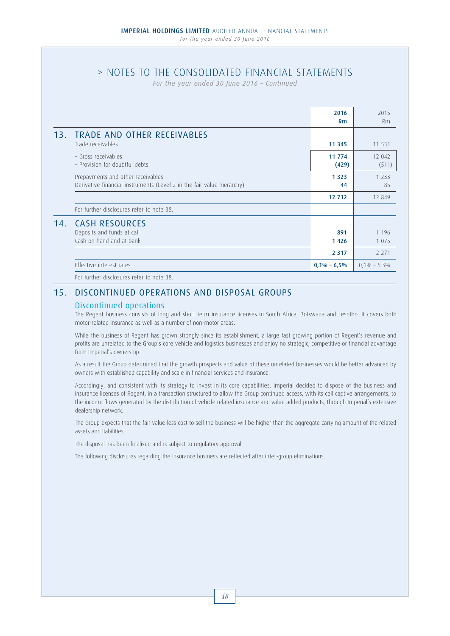# > NOTES TO THE CONSOLIDATED FINANCIAL STATEMENTS

*For the year ended 30 June 2016 – Continued*

|     |                                                                                                             | 2016            | 2015            |
|-----|-------------------------------------------------------------------------------------------------------------|-----------------|-----------------|
|     |                                                                                                             | Rm              | <b>Rm</b>       |
| 13. | <b>TRADE AND OTHER RECEIVABLES</b><br>Trade receivables                                                     | 11 3 45         | 11 531          |
|     | - Gross receivables<br>- Provision for doubtful debts                                                       | 11 774<br>(429) | 12 042<br>(511) |
|     | Prepayments and other receivables<br>Derivative financial instruments (Level 2 in the fair value hierarchy) | 1 3 2 3<br>44   | 1 2 3 3<br>85   |
|     |                                                                                                             | 12 712          | 12 849          |
|     | For further disclosures refer to note 38.                                                                   |                 |                 |
| 14. | <b>CASH RESOURCES</b>                                                                                       |                 |                 |
|     | Deposits and funds at call                                                                                  | 891             | 1 1 9 6         |
|     | Cash on hand and at bank                                                                                    | 1426            | 1 0 7 5         |
|     |                                                                                                             | 2 3 1 7         | 2 2 7 1         |
|     | Effective interest rates                                                                                    | $0,1\% - 6,5\%$ | $0,1\% - 5,3\%$ |
|     | $\mathbf{r} = \mathbf{r} + \mathbf{r} + \mathbf{r} + \mathbf{r} + \mathbf{r} + \mathbf{r}$                  |                 |                 |

For further disclosures refer to note 38.

# 15. DISCONTINUED OPERATIONS AND DISPOSAL GROUPS

## Discontinued operations

 The Regent business consists of long and short term insurance licenses in South Africa, Botswana and Lesotho. It covers both motor-related insurance as well as a number of non-motor areas.

While the business of Regent has grown strongly since its establishment, a large fast growing portion of Regent's revenue and profits are unrelated to the Group's core vehicle and logistics businesses and enjoy no strategic, competitive or financial advantage from Imperial's ownership.

 As a result the Group determined that the growth prospects and value of these unrelated businesses would be better advanced by owners with established capability and scale in financial services and insurance.

 Accordingly, and consistent with its strategy to invest in its core capabilities, Imperial decided to dispose of the business and insurance licenses of Regent, in a transaction structured to allow the Group continued access, with its cell captive arrangements, to the income flows generated by the distribution of vehicle related insurance and value added products, through Imperial's extensive dealership network.

 The Group expects that the fair value less cost to sell the business will be higher than the aggregate carrying amount of the related assets and liabilities.

The disposal has been finalised and is subject to regulatory approval.

The following disclosures regarding the Insurance business are reflected after inter-group eliminations.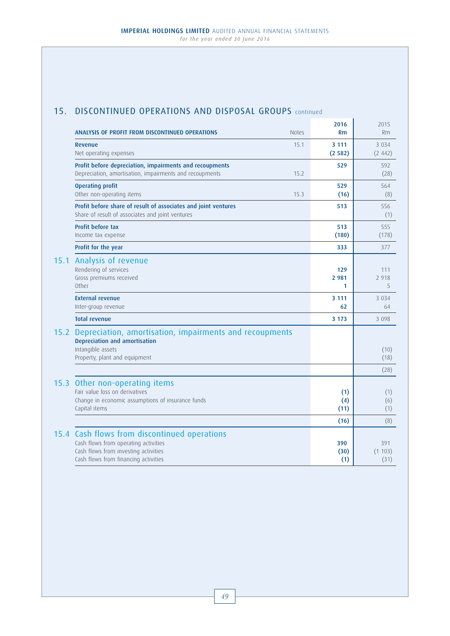# 15. DISCONTINUED OPERATIONS AND DISPOSAL GROUPS continued

|      | ANALYSIS OF PROFIT FROM DISCONTINUED OPERATIONS<br><b>Notes</b>                                                                                                      | 2016<br><b>Rm</b>   | 2015<br>Rm            |
|------|----------------------------------------------------------------------------------------------------------------------------------------------------------------------|---------------------|-----------------------|
|      | 15.1<br>Revenue<br>Net operating expenses                                                                                                                            | 3 1 1 1<br>(2582)   | 3 0 3 4<br>(2.442)    |
|      | Profit before depreciation, impairments and recoupments<br>Depreciation, amortisation, impairments and recoupments<br>15.2                                           | 529                 | 592<br>(28)           |
|      | <b>Operating profit</b><br>Other non-operating items<br>15.3                                                                                                         | 529<br>(16)         | 564<br>(8)            |
|      | Profit before share of result of associates and joint ventures<br>Share of result of associates and joint ventures                                                   | 513                 | 556<br>(1)            |
|      | <b>Profit before tax</b><br>Income tax expense                                                                                                                       | 513<br>(180)        | 555<br>(178)          |
|      | Profit for the year                                                                                                                                                  | 333                 | 377                   |
| 15.1 | Analysis of revenue<br>Rendering of services<br>Gross premiums received<br>Other                                                                                     | 129<br>2 9 8 1<br>1 | 111<br>2 9 1 8<br>5   |
|      | <b>External revenue</b><br>Inter-group revenue                                                                                                                       | 3 1 1 1<br>62       | 3 0 3 4<br>64         |
|      | <b>Total revenue</b>                                                                                                                                                 | 3 1 7 3             | 3 0 9 8               |
| 15.2 | Depreciation, amortisation, impairments and recoupments<br>Depreciation and amortisation<br>Intangible assets<br>Property, plant and equipment                       |                     | (10)<br>(18)          |
|      |                                                                                                                                                                      |                     | (28)                  |
| 15.3 | Other non-operating items<br>Fair value loss on derivatives<br>Change in economic assumptions of insurance funds<br>Capital items                                    | (1)<br>(4)<br>(11)  | (1)<br>(6)<br>(1)     |
|      |                                                                                                                                                                      | (16)                | (8)                   |
|      | 15.4 Cash flows from discontinued operations<br>Cash flows from operating activities<br>Cash flows from investing activities<br>Cash flows from financing activities | 390<br>(30)<br>(1)  | 391<br>(1103)<br>(31) |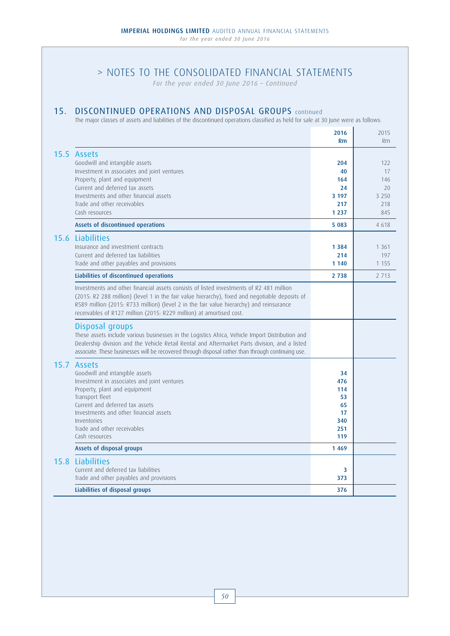*For the year ended 30 June 2016 – Continued*

# 15. DISCONTINUED OPERATIONS AND DISPOSAL GROUPS continued

The major classes of assets and liabilities of the discontinued operations classified as held for sale at 30 June were as follows:

|                                                                                                                                                                                                                                                                                                                                                             | 2016       | 2015      |
|-------------------------------------------------------------------------------------------------------------------------------------------------------------------------------------------------------------------------------------------------------------------------------------------------------------------------------------------------------------|------------|-----------|
|                                                                                                                                                                                                                                                                                                                                                             | Rm         | Rm        |
| 15.5 Assets<br>Goodwill and intangible assets<br>Investment in associates and joint ventures                                                                                                                                                                                                                                                                | 204<br>40  | 122<br>17 |
| Property, plant and equipment<br>Current and deferred tax assets                                                                                                                                                                                                                                                                                            | 164<br>24  | 146<br>20 |
| Investments and other financial assets                                                                                                                                                                                                                                                                                                                      | 3 197      | 3 2 5 0   |
| Trade and other receivables                                                                                                                                                                                                                                                                                                                                 | 217        | 218       |
| Cash resources                                                                                                                                                                                                                                                                                                                                              | 1 2 3 7    | 845       |
| Assets of discontinued operations                                                                                                                                                                                                                                                                                                                           | 5 0 8 3    | 4618      |
| 15.6 Liabilities                                                                                                                                                                                                                                                                                                                                            |            |           |
| Insurance and investment contracts                                                                                                                                                                                                                                                                                                                          | 1 3 8 4    | 1 3 6 1   |
| Current and deferred tax liabilities                                                                                                                                                                                                                                                                                                                        | 214        | 197       |
| Trade and other payables and provisions                                                                                                                                                                                                                                                                                                                     | 1 1 4 0    | 1 1 5 5   |
| Liabilities of discontinued operations                                                                                                                                                                                                                                                                                                                      | 2 7 3 8    | 2 7 1 3   |
| Investments and other financial assets consists of listed investments of R2 481 million<br>(2015: R2 288 million) (level 1 in the fair value hierarchy), fixed and negotiable deposits of<br>R589 million (2015: R733 million) (level 2 in the fair value hierarchy) and reinsurance<br>receivables of R127 million (2015: R229 million) at amortised cost. |            |           |
| Disposal groups<br>These assets include various businesses in the Logistics Africa, Vehicle Import Distribution and<br>Dealership division and the Vehicle Retail Rental and Aftermarket Parts division, and a listed<br>associate. These businesses will be recovered through disposal rather than through continuing use.                                 |            |           |
| 15.7 Assets<br>Goodwill and intangible assets                                                                                                                                                                                                                                                                                                               | 34         |           |
| Investment in associates and joint ventures                                                                                                                                                                                                                                                                                                                 | 476        |           |
| Property, plant and equipment                                                                                                                                                                                                                                                                                                                               | 114        |           |
| Transport fleet<br>Current and deferred tax assets                                                                                                                                                                                                                                                                                                          | 53<br>65   |           |
| Investments and other financial assets                                                                                                                                                                                                                                                                                                                      | 17         |           |
| Inventories                                                                                                                                                                                                                                                                                                                                                 | 340        |           |
| Trade and other receivables<br>Cash resources                                                                                                                                                                                                                                                                                                               | 251<br>119 |           |
| Assets of disposal groups                                                                                                                                                                                                                                                                                                                                   | 1 4 6 9    |           |
| 15.8 Liabilities                                                                                                                                                                                                                                                                                                                                            |            |           |
| Current and deferred tax liabilities                                                                                                                                                                                                                                                                                                                        | 3          |           |
| Trade and other payables and provisions                                                                                                                                                                                                                                                                                                                     | 373        |           |
| Liabilities of disposal groups                                                                                                                                                                                                                                                                                                                              | 376        |           |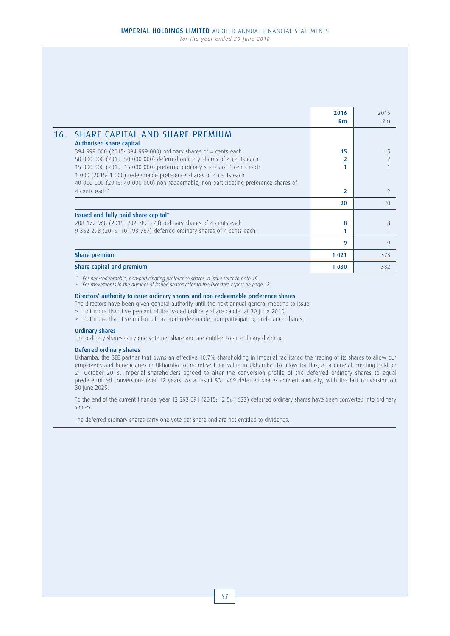2016 2015 Rm Rm 16. SHARE CAPITAL AND SHARE PREMIUM Authorised share capital 394 999 000 (2015: 394 999 000) ordinary shares of 4 cents each 15 15 50 000 000 (2015: 50 000 000) deferred ordinary shares of 4 cents each 2 2 15 000 000 (2015: 15 000 000) preferred ordinary shares of 4 cents each 1 1 1 000 (2015: 1 000) redeemable preference shares of 4 cents each 40 000 000 (2015: 40 000 000) non-redeemable, non-participating preference shares of 4 cents each\* 2 2  $20$  20 Issued and fully paid share capital~ 208 172 968 (2015: 202 782 278) ordinary shares of 4 cents each 8 8 9 362 298 (2015: 10 193 767) deferred ordinary shares of 4 cents each 1 1 **9** 9 **Share premium 1 021 | 273** 373 Share capital and premium 1 030  $\vert$  382

\* For non-redeemable, non-participating preference shares in issue refer to note 19.

~ For movements in the number of issued shares refer to the Directors report on page 12.

#### Directors' authority to issue ordinary shares and non-redeemable preference shares

The directors have been given general authority until the next annual general meeting to issue:

> not more than five percent of the issued ordinary share capital at 30 June 2015;

> not more than five million of the non-redeemable, non-participating preference shares.

#### Ordinary shares

The ordinary shares carry one vote per share and are entitled to an ordinary dividend.

### Deferred ordinary shares

 Ukhamba, the BEE partner that owns an effective 10,7% shareholding in Imperial facilitated the trading of its shares to allow our employees and beneficiaries in Ukhamba to monetise their value in Ukhamba. To allow for this, at a general meeting held on 21 October 2013, Imperial shareholders agreed to alter the conversion profile of the deferred ordinary shares to equal predetermined conversions over 12 years. As a result 831 469 deferred shares convert annually, with the last conversion on 30 June 2025.

 To the end of the current financial year 13 393 091 (2015: 12 561 622) deferred ordinary shares have been converted into ordinary shares.

The deferred ordinary shares carry one vote per share and are not entitled to dividends.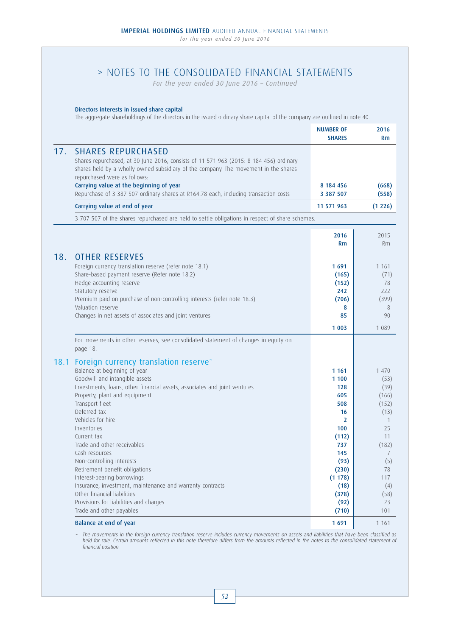*For the year ended 30 June 2016 – Continued*

### Directors interests in issued share capital

The aggregate shareholdings of the directors in the issued ordinary share capital of the company are outlined in note 40.

|      |                                                                                                                                                                                                                                                                                                                                                                                                                                                                                                                                                                                                                                          | <b>NUMBER OF</b><br><b>SHARES</b>                                                                                                           | 2016<br>Rm                                                                                                                                |
|------|------------------------------------------------------------------------------------------------------------------------------------------------------------------------------------------------------------------------------------------------------------------------------------------------------------------------------------------------------------------------------------------------------------------------------------------------------------------------------------------------------------------------------------------------------------------------------------------------------------------------------------------|---------------------------------------------------------------------------------------------------------------------------------------------|-------------------------------------------------------------------------------------------------------------------------------------------|
| 17.  | <b>SHARES REPURCHASED</b><br>Shares repurchased, at 30 June 2016, consists of 11 571 963 (2015: 8 184 456) ordinary<br>shares held by a wholly owned subsidiary of the company. The movement in the shares<br>repurchased were as follows:<br>Carrying value at the beginning of year<br>Repurchase of 3 387 507 ordinary shares at R164.78 each, including transaction costs                                                                                                                                                                                                                                                            | 8 184 456<br>3 3 8 7 5 0 7                                                                                                                  | (668)<br>(558)                                                                                                                            |
|      | Carrying value at end of year                                                                                                                                                                                                                                                                                                                                                                                                                                                                                                                                                                                                            | 11 571 963                                                                                                                                  | (1 226)                                                                                                                                   |
|      | 3 707 507 of the shares repurchased are held to settle obligations in respect of share schemes.                                                                                                                                                                                                                                                                                                                                                                                                                                                                                                                                          |                                                                                                                                             |                                                                                                                                           |
|      |                                                                                                                                                                                                                                                                                                                                                                                                                                                                                                                                                                                                                                          | 2016<br>Rm                                                                                                                                  | 2015<br>Rm                                                                                                                                |
| 18.  | <b>OTHER RESERVES</b><br>Foreign currency translation reserve (refer note 18.1)<br>Share-based payment reserve (Refer note 18.2)<br>Hedge accounting reserve<br>Statutory reserve<br>Premium paid on purchase of non-controlling interests (refer note 18.3)<br>Valuation reserve<br>Changes in net assets of associates and joint ventures                                                                                                                                                                                                                                                                                              | 1691<br>(165)<br>(152)<br>242<br>(706)<br>8<br>85<br>1 0 0 3                                                                                | 1 1 6 1<br>(71)<br>78<br>222<br>(399)<br>8<br>90<br>1 0 8 9                                                                               |
|      | For movements in other reserves, see consolidated statement of changes in equity on<br>page 18.                                                                                                                                                                                                                                                                                                                                                                                                                                                                                                                                          |                                                                                                                                             |                                                                                                                                           |
| 18.1 | Foreign currency translation reserve <sup>-</sup><br>Balance at beginning of year<br>Goodwill and intangible assets<br>Investments, loans, other financial assets, associates and joint ventures<br>Property, plant and equipment<br>Transport fleet<br>Deferred tax<br>Vehicles for hire<br>Inventories<br>Current tax<br>Trade and other receivables<br>Cash resources<br>Non-controlling interests<br>Retirement benefit obligations<br>Interest-bearing borrowings<br>Insurance, investment, maintenance and warranty contracts<br>Other financial liabilities<br>Provisions for liabilities and charges<br>Trade and other payables | 1 1 6 1<br>1 100<br>128<br>605<br>508<br>16<br>2<br>100<br>(112)<br>737<br>145<br>(93)<br>(230)<br>(1178)<br>(18)<br>(378)<br>(92)<br>(710) | 1 470<br>(53)<br>(39)<br>(166)<br>(152)<br>(13)<br>$\mathbf{1}$<br>25<br>11<br>(182)<br>7<br>(5)<br>78<br>117<br>(4)<br>(58)<br>23<br>101 |
|      | Balance at end of year                                                                                                                                                                                                                                                                                                                                                                                                                                                                                                                                                                                                                   | 1691                                                                                                                                        | 1 1 6 1                                                                                                                                   |

The movements in the foreign currency translation reserve includes currency movements on assets and liabilities that have been classified as<br>held for sale. Certain amounts reflected in this note therefore differs from the financial position.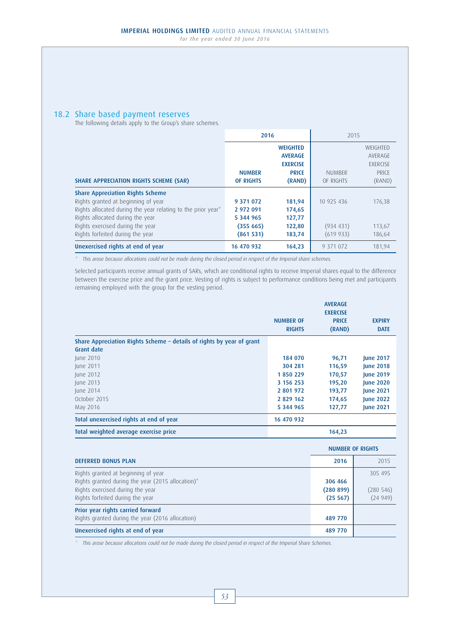# 18.2 Share based payment reserves

The following details apply to the Group's share schemes.

|                                                              | 2016             |                 | 2015          |                 |
|--------------------------------------------------------------|------------------|-----------------|---------------|-----------------|
|                                                              |                  | <b>WEIGHTED</b> |               | WEIGHTED        |
|                                                              |                  | <b>AVERAGE</b>  |               | AVERAGE         |
|                                                              |                  | <b>EXERCISE</b> |               | <b>FXFRCISE</b> |
|                                                              | <b>NUMBER</b>    | <b>PRICE</b>    | <b>NUMBER</b> | PRICE           |
| <b>SHARE APPRECIATION RIGHTS SCHEME (SAR)</b>                | <b>OF RIGHTS</b> | (RAND)          | OF RIGHTS     | (RAND)          |
| <b>Share Appreciation Rights Scheme</b>                      |                  |                 |               |                 |
| Rights granted at beginning of year                          | 9 371 072        | 181,94          | 10 925 436    | 176,38          |
| Rights allocated during the year relating to the prior year* | 2 972 091        | 174,65          |               |                 |
| Rights allocated during the year                             | 5 344 965        | 127,77          |               |                 |
| Rights exercised during the year                             | (355665)         | 122,80          | (934 431)     | 113,67          |
| Rights forfeited during the year                             | (861531)         | 183,74          | (619933)      | 186,64          |
| Unexercised rights at end of year                            | 16 470 932       | 164,23          | 9 371 072     | 181.94          |

\* This arose because allocations could not be made during the closed period in respect of the Imperial share schemes.

Selected participants receive annual grants of SARs, which are conditional rights to receive Imperial shares equal to the difference between the exercise price and the grant price. Vesting of rights is subject to performance conditions being met and participants remaining employed with the group for the vesting period.

|                                                                       |                  | <b>AVERAGE</b>  |                  |
|-----------------------------------------------------------------------|------------------|-----------------|------------------|
|                                                                       |                  | <b>EXERCISE</b> |                  |
|                                                                       | <b>NUMBER OF</b> | <b>PRICE</b>    | <b>EXPIRY</b>    |
|                                                                       | <b>RIGHTS</b>    | (RAND)          | <b>DATE</b>      |
| Share Appreciation Rights Scheme - details of rights by year of grant |                  |                 |                  |
| Grant date                                                            |                  |                 |                  |
| June 2010                                                             | 184 070          | 96,71           | <b>June 2017</b> |
| June 2011                                                             | 304 281          | 116,59          | <b>June 2018</b> |
| June 2012                                                             | 1850229          | 170,57          | <b>June 2019</b> |
| June 2013                                                             | 3 156 253        | 195,20          | <b>June 2020</b> |
| June 2014                                                             | 2 801 972        | 193,77          | <b>June 2021</b> |
| October 2015                                                          | 2 829 162        | 174,65          | <b>June 2022</b> |
| May 2016                                                              | 5 344 965        | 127,77          | <b>June 2021</b> |
| Total unexercised rights at end of year                               | 16 470 932       |                 |                  |
| Total weighted average exercise price                                 |                  | 164,23          |                  |

|                                                                                                                                                                  |                                  | <b>NUMBER OF RIGHTS</b>        |  |
|------------------------------------------------------------------------------------------------------------------------------------------------------------------|----------------------------------|--------------------------------|--|
| <b>DEFERRED BONUS PLAN</b>                                                                                                                                       | 2016                             | 2015                           |  |
| Rights granted at beginning of year<br>Rights granted during the year (2015 allocation)*<br>Rights exercised during the year<br>Rights forfeited during the year | 306 466<br>(280 899)<br>(25 567) | 305 495<br>(280546)<br>(24949) |  |
| Prior year rights carried forward<br>Rights granted during the year (2016 allocation)                                                                            | 489 770                          |                                |  |
| Unexercised rights at end of year                                                                                                                                | 489 770                          |                                |  |

This arose because allocations could not be made during the closed period in respect of the Imperial Share Schemes.

### 53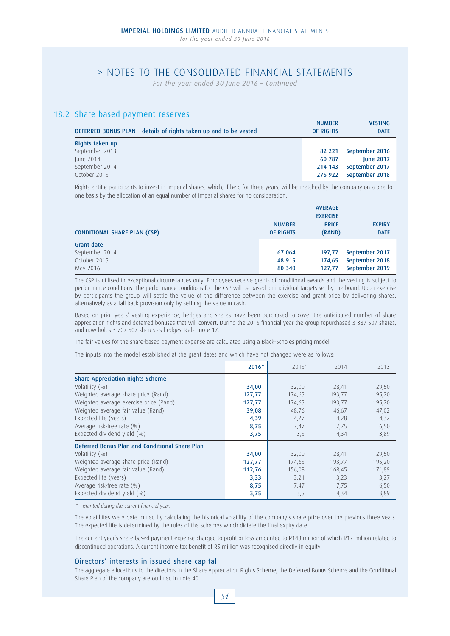*For the year ended 30 June 2016 – Continued*

## 18.2 Share based payment reserves

| DEFERRED BONUS PLAN - details of rights taken up and to be vested | <b>NUMBER</b><br><b>OF RIGHTS</b> | <b>VESTING</b><br><b>DATE</b> |
|-------------------------------------------------------------------|-----------------------------------|-------------------------------|
| Rights taken up                                                   |                                   |                               |
| September 2013                                                    | 82 221                            | September 2016                |
| June 2014                                                         | 60 787                            | <b>June 2017</b>              |
| September 2014                                                    | 214 143                           | September 2017                |
| October 2015                                                      | 275 922                           | September 2018                |

Rights entitle participants to invest in Imperial shares, which, if held for three years, will be matched by the company on a one-forone basis by the allocation of an equal number of Imperial shares for no consideration.

|                                     |                  | <b>AVERAGE</b>  |                |
|-------------------------------------|------------------|-----------------|----------------|
|                                     |                  | <b>EXERCISE</b> |                |
|                                     | <b>NUMBER</b>    | <b>PRICE</b>    | <b>EXPIRY</b>  |
| <b>CONDITIONAL SHARE PLAN (CSP)</b> | <b>OF RIGHTS</b> | (RAND)          | <b>DATE</b>    |
| Grant date                          |                  |                 |                |
| September 2014                      | 67 064           | 197.77          | September 2017 |
| October 2015                        | 48 915           | 174.65          | September 2018 |
| May 2016                            | 80 340           | 127.77          | September 2019 |

The CSP is utilised in exceptional circumstances only. Employees receive grants of conditional awards and the vesting is subject to performance conditions. The performance conditions for the CSP will be based on individual targets set by the board. Upon exercise by participants the group will settle the value of the difference between the exercise and grant price by delivering shares, alternatively as a fall back provision only by settling the value in cash.

Based on prior years' vesting experience, hedges and shares have been purchased to cover the anticipated number of share appreciation rights and deferred bonuses that will convert. During the 2016 financial year the group repurchased 3 387 507 shares, and now holds 3 707 507 shares as hedges. Refer note 17.

The fair values for the share-based payment expense are calculated using a Black-Scholes pricing model.

The inputs into the model established at the grant dates and which have not changed were as follows:

|                                                | 2016^  | $2015^{\circ}$ | 2014   | 2013   |
|------------------------------------------------|--------|----------------|--------|--------|
| <b>Share Appreciation Rights Scheme</b>        |        |                |        |        |
| Volatility (%)                                 | 34,00  | 32,00          | 28,41  | 29,50  |
| Weighted average share price (Rand)            | 127,77 | 174,65         | 193,77 | 195,20 |
| Weighted average exercise price (Rand)         | 127,77 | 174,65         | 193,77 | 195,20 |
| Weighted average fair value (Rand)             | 39,08  | 48,76          | 46,67  | 47,02  |
| Expected life (years)                          | 4,39   | 4,27           | 4,28   | 4,32   |
| Average risk-free rate (%)                     | 8,75   | 7,47           | 7,75   | 6,50   |
| Expected dividend yield (%)                    | 3,75   | 3,5            | 4,34   | 3,89   |
| Deferred Bonus Plan and Conditional Share Plan |        |                |        |        |
| Volatility $(%)$                               | 34,00  | 32,00          | 28,41  | 29,50  |
| Weighted average share price (Rand)            | 127,77 | 174,65         | 193,77 | 195,20 |
| Weighted average fair value (Rand)             | 112,76 | 156,08         | 168,45 | 171,89 |
| Expected life (years)                          | 3,33   | 3,21           | 3,23   | 3,27   |
| Average risk-free rate (%)                     | 8,75   | 7,47           | 7,75   | 6,50   |
| Expected dividend yield (%)                    | 3,75   | 3,5            | 4,34   | 3,89   |

^ Granted during the current financial year.

The volatilities were determined by calculating the historical volatility of the company's share price over the previous three years. The expected life is determined by the rules of the schemes which dictate the final expiry date.

The current year's share based payment expense charged to profit or loss amounted to R148 million of which R17 million related to discontinued operations. A current income tax benefit of R5 million was recognised directly in equity.

### Directors' interests in issued share capital

The aggregate allocations to the directors in the Share Appreciation Rights Scheme, the Deferred Bonus Scheme and the Conditional Share Plan of the company are outlined in note 40.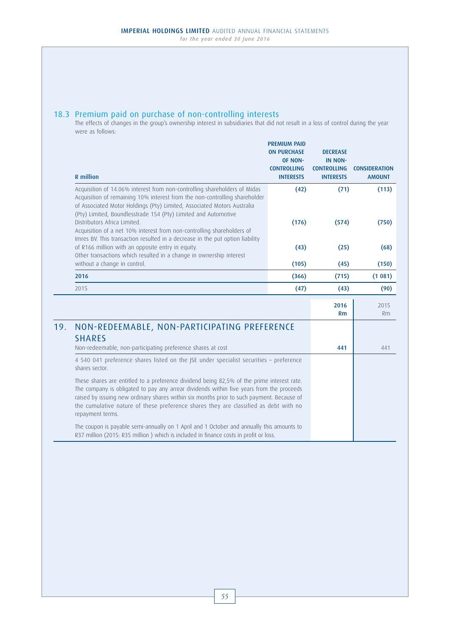## 18.3 Premium paid on purchase of non-controlling interests

The effects of changes in the group's ownership interest in subsidiaries that did not result in a loss of control during the year were as follows:

|     | <b>R</b> million                                                                                                                                                                                                                                                                                                                                                                                | <b>PREMIUM PAID</b><br><b>ON PURCHASE</b><br>OF NON-<br><b>CONTROLLING</b><br><b>INTERESTS</b> | <b>DECREASE</b><br><b>IN NON-</b><br><b>CONTROLLING</b><br><b>INTERESTS</b> | <b>CONSIDERATION</b><br><b>AMOUNT</b> |
|-----|-------------------------------------------------------------------------------------------------------------------------------------------------------------------------------------------------------------------------------------------------------------------------------------------------------------------------------------------------------------------------------------------------|------------------------------------------------------------------------------------------------|-----------------------------------------------------------------------------|---------------------------------------|
|     | Acquisition of 14.06% interest from non-controlling shareholders of Midas<br>Acquisition of remaining 10% interest from the non-controlling shareholder<br>of Associated Motor Holdings (Pty) Limited, Associated Motors Australia                                                                                                                                                              | (42)                                                                                           | (71)                                                                        | (113)                                 |
|     | (Pty) Limited, Boundlesstrade 154 (Pty) Limited and Automotive<br>Distributors Africa Limited.<br>Acquisition of a net 10% interest from non-controlling shareholders of<br>Imres BV. This transaction resulted in a decrease in the put option liability                                                                                                                                       | (176)                                                                                          | (574)                                                                       | (750)                                 |
|     | of R166 million with an opposite entry in equity.<br>Other transactions which resulted in a change in ownership interest                                                                                                                                                                                                                                                                        | (43)                                                                                           | (25)                                                                        | (68)                                  |
|     | without a change in control.                                                                                                                                                                                                                                                                                                                                                                    | (105)                                                                                          | (45)                                                                        | (150)                                 |
|     | 2016                                                                                                                                                                                                                                                                                                                                                                                            | (366)                                                                                          | (715)                                                                       | (1081)                                |
|     | 2015                                                                                                                                                                                                                                                                                                                                                                                            | (47)                                                                                           | (43)                                                                        | (90)                                  |
|     |                                                                                                                                                                                                                                                                                                                                                                                                 |                                                                                                | 2016<br>Rm                                                                  | 2015<br>Rm                            |
| 19. | NON-REDEEMABLE, NON-PARTICIPATING PREFERENCE<br><b>SHARES</b><br>Non-redeemable, non-participating preference shares at cost                                                                                                                                                                                                                                                                    |                                                                                                | 441                                                                         | 441                                   |
|     | 4 540 041 preference shares listed on the JSE under specialist securities - preference<br>shares sector.                                                                                                                                                                                                                                                                                        |                                                                                                |                                                                             |                                       |
|     | These shares are entitled to a preference dividend being 82,5% of the prime interest rate.<br>The company is obligated to pay any arrear dividends within five years from the proceeds<br>raised by issuing new ordinary shares within six months prior to such payment. Because of<br>the cumulative nature of these preference shares they are classified as debt with no<br>repayment terms. |                                                                                                |                                                                             |                                       |
|     | The coupon is payable semi-annually on 1 April and 1 October and annually this amounts to<br>R37 million (2015: R35 million) which is included in finance costs in profit or loss.                                                                                                                                                                                                              |                                                                                                |                                                                             |                                       |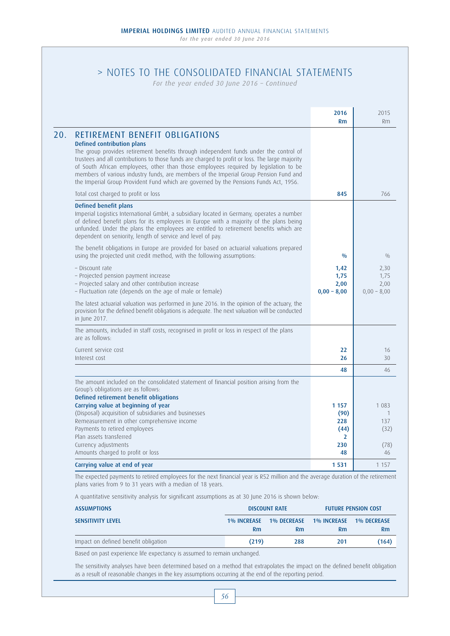*For the year ended 30 June 2016 – Continued*

|                                                                                                                                                                                                                                                                                                                                                                                                                                                                                                                                           | 2016<br><b>Rm</b>                     | 2015<br>Rm                            |
|-------------------------------------------------------------------------------------------------------------------------------------------------------------------------------------------------------------------------------------------------------------------------------------------------------------------------------------------------------------------------------------------------------------------------------------------------------------------------------------------------------------------------------------------|---------------------------------------|---------------------------------------|
| <b>RETIREMENT BENEFIT OBLIGATIONS</b><br>Defined contribution plans<br>The group provides retirement benefits through independent funds under the control of<br>trustees and all contributions to those funds are charged to profit or loss. The large majority<br>of South African employees, other than those employees required by legislation to be<br>members of various industry funds, are members of the Imperial Group Pension Fund and<br>the Imperial Group Provident Fund which are governed by the Pensions Funds Act, 1956. |                                       |                                       |
| Total cost charged to profit or loss                                                                                                                                                                                                                                                                                                                                                                                                                                                                                                      | 845                                   | 766                                   |
| Defined benefit plans<br>Imperial Logistics International GmbH, a subsidiary located in Germany, operates a number<br>of defined benefit plans for its employees in Europe with a majority of the plans being<br>unfunded. Under the plans the employees are entitled to retirement benefits which are<br>dependent on seniority, length of service and level of pay.                                                                                                                                                                     |                                       |                                       |
| The benefit obligations in Europe are provided for based on actuarial valuations prepared<br>using the projected unit credit method, with the following assumptions:                                                                                                                                                                                                                                                                                                                                                                      | 0/0                                   | 0/0                                   |
| - Discount rate<br>- Projected pension payment increase<br>- Projected salary and other contribution increase<br>- Fluctuation rate (depends on the age of male or female)                                                                                                                                                                                                                                                                                                                                                                | 1,42<br>1,75<br>2,00<br>$0,00 - 8,00$ | 2,30<br>1,75<br>2,00<br>$0,00 - 8,00$ |
| The latest actuarial valuation was performed in June 2016. In the opinion of the actuary, the<br>provision for the defined benefit obligations is adequate. The next valuation will be conducted<br>in June 2017.                                                                                                                                                                                                                                                                                                                         |                                       |                                       |
| The amounts, included in staff costs, recognised in profit or loss in respect of the plans<br>are as follows:                                                                                                                                                                                                                                                                                                                                                                                                                             |                                       |                                       |
| Current service cost<br>Interest cost                                                                                                                                                                                                                                                                                                                                                                                                                                                                                                     | 22<br>26                              | 16<br>30                              |
|                                                                                                                                                                                                                                                                                                                                                                                                                                                                                                                                           | 48                                    | 46                                    |
| The amount included on the consolidated statement of financial position arising from the<br>Group's obligations are as follows:<br>Defined retirement benefit obligations                                                                                                                                                                                                                                                                                                                                                                 |                                       |                                       |
| Carrying value at beginning of year<br>(Disposal) acquisition of subsidiaries and businesses<br>Remeasurement in other comprehensive income                                                                                                                                                                                                                                                                                                                                                                                               | 1 1 5 7<br>(90)<br>228                | 1 083<br>137                          |
| Payments to retired employees<br>Plan assets transferred                                                                                                                                                                                                                                                                                                                                                                                                                                                                                  | (44)<br>2                             | (32)                                  |
| Currency adjustments<br>Amounts charged to profit or loss                                                                                                                                                                                                                                                                                                                                                                                                                                                                                 | 230<br>48                             | (78)<br>46                            |
| Carrying value at end of year                                                                                                                                                                                                                                                                                                                                                                                                                                                                                                             | 1531                                  | 1 1 5 7                               |

plans varies from 9 to 31 years with a median of 18 years.

A quantitative sensitivity analysis for significant assumptions as at 30 June 2016 is shown below:

| <b>ASSUMPTIONS</b>                                                                                        |                    | <b>DISCOUNT RATE</b> | <b>FUTURE PENSION COST</b> |                |  |
|-----------------------------------------------------------------------------------------------------------|--------------------|----------------------|----------------------------|----------------|--|
| <b>SENSITIVITY LEVEL</b>                                                                                  | <b>1% INCREASE</b> | <b>1% DECREASE</b>   | 1% INCREASE 1% DECREASE    |                |  |
|                                                                                                           | Rm                 | <b>Rm</b>            | Rm                         | R <sub>m</sub> |  |
| Impact on defined benefit obligation                                                                      | (219)              | 288                  | 201                        | (164)          |  |
| 그는 그 사람들은 그 사람들을 하고 있는 것을 하고 있다. 그 사람들은 그 사람들은 아이들에게 아직 아니라 그 사람들을 지키고 있다. 그 사람들은 그 사람들은 아이들에게 지키지 않고 있다. |                    |                      |                            |                |  |

Based on past experience life expectancy is assumed to remain unchanged.

The sensitivity analyses have been determined based on a method that extrapolates the impact on the defined benefit obligation as a result of reasonable changes in the key assumptions occurring at the end of the reporting period.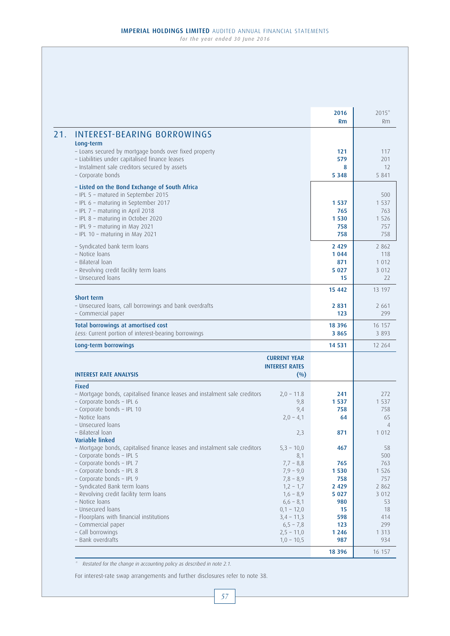|                                                                                                                                                                                                                                                                                                                                                                                                                                                |                                                                                                                                                                                              | 2016<br><b>Rm</b>                                                                               | $2015*$<br>Rm                                                                                        |
|------------------------------------------------------------------------------------------------------------------------------------------------------------------------------------------------------------------------------------------------------------------------------------------------------------------------------------------------------------------------------------------------------------------------------------------------|----------------------------------------------------------------------------------------------------------------------------------------------------------------------------------------------|-------------------------------------------------------------------------------------------------|------------------------------------------------------------------------------------------------------|
| <b>INTEREST-BEARING BORROWINGS</b><br>Long-term<br>- Loans secured by mortgage bonds over fixed property<br>- Liabilities under capitalised finance leases<br>- Instalment sale creditors secured by assets                                                                                                                                                                                                                                    |                                                                                                                                                                                              | 121<br>579<br>8                                                                                 | 117<br>201<br>12                                                                                     |
| - Corporate bonds                                                                                                                                                                                                                                                                                                                                                                                                                              |                                                                                                                                                                                              | 5 3 4 8                                                                                         | 5 8 4 1                                                                                              |
| - Listed on the Bond Exchange of South Africa<br>- IPL 5 - matured in September 2015<br>- IPL 6 - maturing in September 2017<br>- IPL 7 - maturing in April 2018<br>- IPL 8 - maturing in October 2020<br>- IPL 9 - maturing in May 2021<br>- IPL 10 - maturing in May 2021                                                                                                                                                                    |                                                                                                                                                                                              | 1 5 3 7<br>765<br>1 5 3 0<br>758<br>758                                                         | 500<br>1 5 3 7<br>763<br>1 5 2 6<br>757<br>758                                                       |
| - Syndicated bank term loans<br>- Notice Ioans<br>- Bilateral loan<br>- Revolving credit facility term loans<br>- Unsecured loans                                                                                                                                                                                                                                                                                                              |                                                                                                                                                                                              | 2 4 2 9<br>1 0 4 4<br>871<br>5 0 2 7<br>15                                                      | 2 8 6 2<br>118<br>1 0 1 2<br>3 0 1 2<br>22                                                           |
|                                                                                                                                                                                                                                                                                                                                                                                                                                                |                                                                                                                                                                                              | 15 442                                                                                          | 13 197                                                                                               |
| Short term<br>- Unsecured loans, call borrowings and bank overdrafts<br>- Commercial paper                                                                                                                                                                                                                                                                                                                                                     |                                                                                                                                                                                              | 2831<br>123                                                                                     | 2 6 6 1<br>299                                                                                       |
| <b>Total borrowings at amortised cost</b>                                                                                                                                                                                                                                                                                                                                                                                                      |                                                                                                                                                                                              | 18 3 9 6                                                                                        | 16 157                                                                                               |
| Less: Current portion of interest-bearing borrowings                                                                                                                                                                                                                                                                                                                                                                                           |                                                                                                                                                                                              | 3 8 6 5                                                                                         | 3 8 9 3                                                                                              |
| Long-term borrowings                                                                                                                                                                                                                                                                                                                                                                                                                           |                                                                                                                                                                                              | 14 5 31                                                                                         | 12 2 6 4                                                                                             |
| <b>INTEREST RATE ANALYSIS</b>                                                                                                                                                                                                                                                                                                                                                                                                                  | <b>CURRENT YEAR</b><br><b>INTEREST RATES</b><br>$($ %)                                                                                                                                       |                                                                                                 |                                                                                                      |
| <b>Fixed</b>                                                                                                                                                                                                                                                                                                                                                                                                                                   |                                                                                                                                                                                              |                                                                                                 |                                                                                                      |
| - Mortgage bonds, capitalised finance leases and instalment sale creditors<br>- Corporate bonds - IPL 6<br>- Corporate bonds - IPL 10<br>- Notice loans<br>- Unsecured loans<br>- Bilateral loan                                                                                                                                                                                                                                               | $2,0 - 11.8$<br>9,8<br>9,4<br>$2,0 - 4,1$<br>2,3                                                                                                                                             | 241<br>1 5 3 7<br>758<br>64<br>871                                                              | 272<br>1 5 3 7<br>758<br>65<br>1 0 1 2                                                               |
| Variable linked<br>- Mortgage bonds, capitalised finance leases and instalment sale creditors<br>- Corporate bonds - IPL 5<br>- Corporate bonds - IPL 7<br>- Corporate bonds - IPL 8<br>- Corporate bonds - IPL 9<br>- Syndicated Bank term loans<br>- Revolving credit facility term loans<br>- Notice Ioans<br>- Unsecured loans<br>- Floorplans with financial institutions<br>- Commercial paper<br>- Call borrowings<br>- Bank overdrafts | $5,3 - 10,0$<br>8,1<br>$7,7 - 8,8$<br>$7,9 - 9,0$<br>$7,8 - 8,9$<br>$1,2 - 1,7$<br>$1,6 - 8,9$<br>$6,6 - 8,1$<br>$0,1 - 12,0$<br>$3,4 - 11,3$<br>$6,5 - 7,8$<br>$2,5 - 11,0$<br>$1,0 - 10,5$ | 467<br>765<br>1 5 3 0<br>758<br>2 4 2 9<br>5 0 2 7<br>980<br>15<br>598<br>123<br>1 2 4 6<br>987 | 58<br>500<br>763<br>1 5 2 6<br>757<br>2 8 6 2<br>3 0 1 2<br>53<br>18<br>414<br>299<br>1 3 1 3<br>934 |
|                                                                                                                                                                                                                                                                                                                                                                                                                                                |                                                                                                                                                                                              | 18 3 9 6                                                                                        |                                                                                                      |

\* Restated for the change in accounting policy as described in note 2.1.

For interest-rate swap arrangements and further disclosures refer to note 38.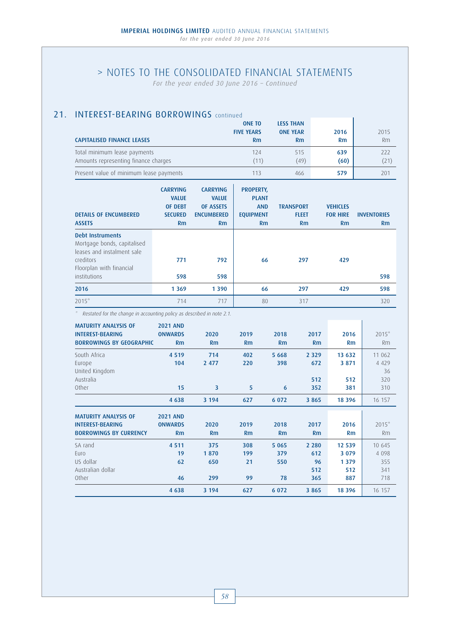*For the year ended 30 June 2016 – Continued*

# 21. **INTEREST-BEARING BORROWINGS** continued

|                                         | <b>ONE TO</b>     | <b>LESS THAN</b> |      |      |
|-----------------------------------------|-------------------|------------------|------|------|
|                                         | <b>FIVE YEARS</b> | <b>ONE YEAR</b>  | 2016 | 2015 |
| <b>CAPITALISED FINANCE LEASES</b>       | Rm                | R <sub>m</sub>   | Rm   | Rm   |
| Total minimum lease payments            | 124               | 515              | 639  | 222  |
| Amounts representing finance charges    | (11)              | (49)             | (60) | (21) |
| Present value of minimum lease payments | 113               | 466              | 579  | 201  |

| <b>DETAILS OF ENCUMBERED</b><br><b>ASSETS</b>                                                                                  | <b>CARRYING</b><br><b>VALUE</b><br><b>OF DEBT</b><br><b>SECURED</b><br>Rm | <b>CARRYING</b><br><b>VALUE</b><br><b>OF ASSETS</b><br><b>ENCUMBERED</b><br>Rm | <b>PROPERTY,</b><br><b>PLANT</b><br><b>AND</b><br><b>EQUIPMENT</b><br>Rm | <b>TRANSPORT</b><br><b>FLEET</b><br>Rm | <b>VEHICLES</b><br><b>FOR HIRE</b><br>Rm | <b>INVENTORIES</b><br>Rm |
|--------------------------------------------------------------------------------------------------------------------------------|---------------------------------------------------------------------------|--------------------------------------------------------------------------------|--------------------------------------------------------------------------|----------------------------------------|------------------------------------------|--------------------------|
| <b>Debt Instruments</b><br>Mortgage bonds, capitalised<br>leases and instalment sale.<br>creditors<br>Floorplan with financial | 771                                                                       | 792                                                                            | 66                                                                       | 297                                    | 429                                      |                          |
| institutions                                                                                                                   | 598                                                                       | 598                                                                            |                                                                          |                                        |                                          | 598                      |
| 2016                                                                                                                           | 1 3 6 9                                                                   | 1 3 9 0                                                                        | 66                                                                       | 297                                    | 429                                      | 598                      |
| $2015*$                                                                                                                        | 714                                                                       | 717                                                                            | 80                                                                       | 317                                    |                                          | 320                      |

\* Restated for the change in accounting policy as described in note 2.1.

| <b>MATURITY ANALYSIS OF</b><br><b>INTEREST-BEARING</b><br><b>BORROWINGS BY GEOGRAPHIC</b> | <b>2021 AND</b><br><b>ONWARDS</b><br><b>Rm</b> | 2020<br>Rm                | 2019<br>Rm             | 2018<br>Rm                  | 2017<br>Rm                         | 2016<br>Rm                                 | $2015*$<br>Rm                          |
|-------------------------------------------------------------------------------------------|------------------------------------------------|---------------------------|------------------------|-----------------------------|------------------------------------|--------------------------------------------|----------------------------------------|
| South Africa<br>Europe<br>United Kingdom                                                  | 4 5 1 9<br>104                                 | 714<br>2 4 7 7            | 402<br>220             | 5 6 6 8<br>398              | 2 3 2 9<br>672                     | 13 632<br>3 8 7 1                          | 11 062<br>4 4 2 9<br>36                |
| Australia<br>Other                                                                        | 15                                             | $\overline{\mathbf{3}}$   | 5                      | 6                           | 512<br>352                         | 512<br>381                                 | 320<br>310                             |
|                                                                                           | 4 6 3 8                                        | 3 1 9 4                   | 627                    | 6 0 7 2                     | 3 8 6 5                            | 18 3 9 6                                   | 16 157                                 |
| <b>MATURITY ANALYSIS OF</b><br><b>INTEREST-BEARING</b>                                    | <b>2021 AND</b><br><b>ONWARDS</b>              | 2020                      | 2019                   | 2018                        | 2017                               | 2016                                       | $2015*$                                |
| <b>BORROWINGS BY CURRENCY</b>                                                             | Rm                                             | Rm                        | Rm                     | Rm                          | Rm                                 | Rm                                         | Rm                                     |
| SA rand<br>Euro<br>US dollar<br>Australian dollar<br>Other                                | 4 5 1 1<br>19<br>62<br>46                      | 375<br>1870<br>650<br>299 | 308<br>199<br>21<br>99 | 5 0 6 5<br>379<br>550<br>78 | 2 2 8 0<br>612<br>96<br>512<br>365 | 12 539<br>3 0 7 9<br>1 3 7 9<br>512<br>887 | 10 645<br>4 0 9 8<br>355<br>341<br>718 |
|                                                                                           | 4 6 3 8                                        | 3 1 9 4                   | 627                    | 6 0 7 2                     | 3 8 6 5                            | 18 3 9 6                                   | 16 157                                 |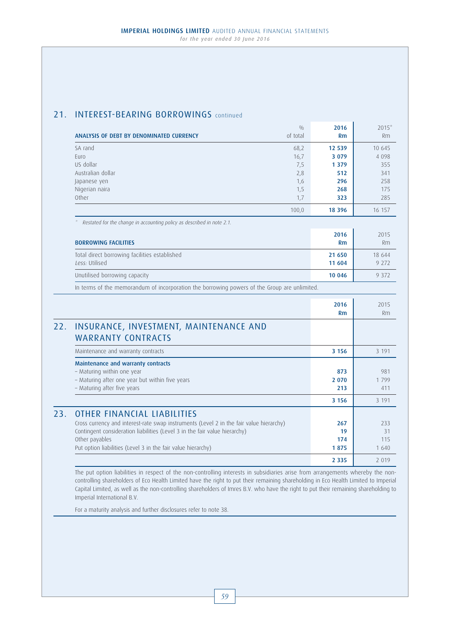## 21. **INTEREST-BEARING BORROWINGS** continued

| 10 645<br>4 0 9 8<br>355<br>341<br>258<br>175<br>285<br>16 157 |
|----------------------------------------------------------------|
|                                                                |
|                                                                |
|                                                                |
|                                                                |
|                                                                |
|                                                                |
|                                                                |
|                                                                |
|                                                                |
| 2015                                                           |
| Rm                                                             |
| 18 644                                                         |
| 9 2 7 2                                                        |
| 9 3 7 2                                                        |
|                                                                |
| 2015                                                           |
| Rm                                                             |
|                                                                |
| 3 1 9 1                                                        |
|                                                                |
| 981                                                            |
| 1799                                                           |
| 411                                                            |
|                                                                |
|                                                                |
|                                                                |
|                                                                |
|                                                                |
|                                                                |
| 3 1 9 1<br>233<br>31<br>115<br>1 640                           |
|                                                                |

The put option liabilities in respect of the non-controlling interests in subsidiaries arise from arrangements whereby the noncontrolling shareholders of Eco Health Limited have the right to put their remaining shareholding in Eco Health Limited to Imperial Capital Limited, as well as the non-controlling shareholders of Imres B.V. who have the right to put their remaining shareholding to Imperial International B.V.

For a maturity analysis and further disclosures refer to note 38.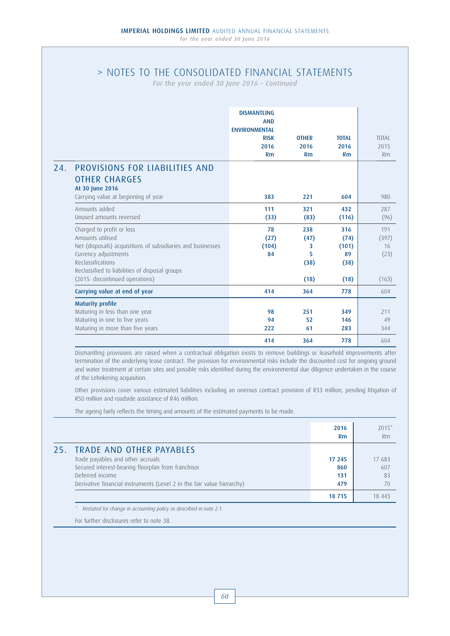# > NOTES TO THE CONSOLIDATED FINANCIAL STATEMENTS

*For the year ended 30 June 2016 – Continued*

|     |                                                                                                                                                                                                             | <b>DISMANTLING</b><br><b>AND</b><br><b>ENVIRONMENTAL</b><br><b>RISK</b><br>2016<br>Rm | <b>OTHER</b><br>2016<br>Rm    | <b>TOTAL</b><br>2016<br>Rm         | <b>TOTAL</b><br>2015<br>Rm |
|-----|-------------------------------------------------------------------------------------------------------------------------------------------------------------------------------------------------------------|---------------------------------------------------------------------------------------|-------------------------------|------------------------------------|----------------------------|
| 24. | PROVISIONS FOR LIABILITIES AND<br><b>OTHER CHARGES</b><br>At 30 June 2016                                                                                                                                   |                                                                                       |                               |                                    |                            |
|     | Carrying value at beginning of year                                                                                                                                                                         | 383                                                                                   | 221                           | 604                                | 980                        |
|     | Amounts added<br>Unused amounts reversed                                                                                                                                                                    | 111<br>(33)                                                                           | 321<br>(83)                   | 432<br>(116)                       | 287<br>(96)                |
|     | Charged to profit or loss<br>Amounts utilised<br>Net (disposals) acquisitions of subsidiaries and businesses<br>Currency adjustments<br>Reclassifications<br>Reclassified to liabilities of disposal groups | 78<br>(27)<br>(104)<br>84                                                             | 238<br>(47)<br>3<br>5<br>(38) | 316<br>(74)<br>(101)<br>89<br>(38) | 191<br>(397)<br>16<br>(23) |
|     | (2015: discontinued operations)                                                                                                                                                                             |                                                                                       | (18)                          | (18)                               | (163)                      |
|     | Carrying value at end of year                                                                                                                                                                               | 414                                                                                   | 364                           | 778                                | 604                        |
|     | <b>Maturity profile</b><br>Maturing in less than one year<br>Maturing in one to five years<br>Maturing in more than five years                                                                              | 98<br>94<br>222                                                                       | 251<br>52<br>61               | 349<br>146<br>283                  | 211<br>49<br>344           |
|     |                                                                                                                                                                                                             | 414                                                                                   | 364                           | 778                                | 604                        |

Dismantling provisions are raised when a contractual obligation exists to remove buildings or leasehold improvements after termination of the underlying lease contract. The provision for environmental risks include the discounted cost for ongoing ground and water treatment at certain sites and possible risks identified during the environmental due diligence undertaken in the course of the Lehnkering acquisition.

Other provisions cover various estimated liabilities including an onerous contract provision of R33 million, pending litigation of R50 million and roadside assistance of R46 million.

The ageing fairly reflects the timing and amounts of the estimated payments to be made.

|                                                                        | 2016<br>Rm | $2015*$<br>Rm |
|------------------------------------------------------------------------|------------|---------------|
| 25. TRADE AND OTHER PAYABLES                                           |            |               |
| Trade payables and other accruals                                      | 17 245     | 17 683        |
| Secured interest-bearing floorplan from franchisor                     | 860        | 607           |
| Deferred income                                                        | 131        | 83            |
| Derivative financial instruments (Level 2 in the fair value hierarchy) | 479        | 70            |
|                                                                        | 18 715     | 18 443        |

Restated for change in accounting policy as described in note 2.1.

For further disclosures refer to note 38.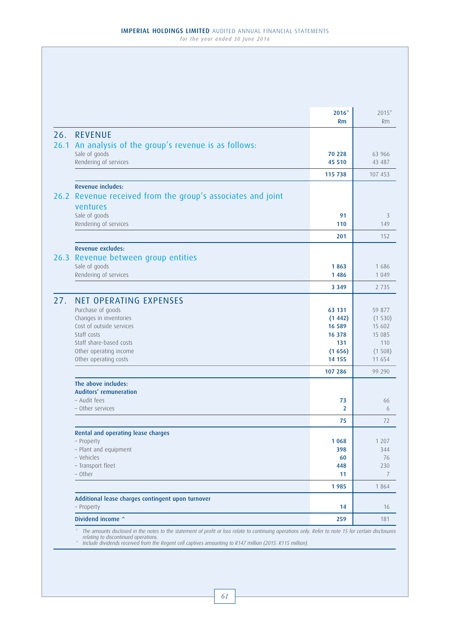|      |                                                             | $2016*$<br>Rm    | $2015*$<br>Rm    |
|------|-------------------------------------------------------------|------------------|------------------|
|      | 26. REVENUE                                                 |                  |                  |
|      | 26.1 An analysis of the group's revenue is as follows:      |                  |                  |
|      | Sale of goods                                               | 70 228           | 63 966           |
|      | Rendering of services                                       | 45 510           | 43 487           |
|      |                                                             | 115 738          | 107 453          |
|      | Revenue includes:                                           |                  |                  |
|      | 26.2 Revenue received from the group's associates and joint |                  |                  |
|      | ventures                                                    |                  |                  |
|      | Sale of goods<br>Rendering of services                      | 91<br>110        | 3<br>149         |
|      |                                                             | 201              | 152              |
|      | Revenue excludes:                                           |                  |                  |
| 26.3 | Revenue between group entities                              |                  |                  |
|      | Sale of goods                                               | 1863             | 1686             |
|      | Rendering of services                                       | 1 4 8 6          | 1 0 4 9          |
|      |                                                             | 3 3 4 9          | 2 7 3 5          |
| 27.  | <b>NET OPERATING EXPENSES</b>                               |                  |                  |
|      | Purchase of goods                                           | 63 131           | 59 877           |
|      | Changes in inventories                                      | (1442)           | (1530)           |
|      | Cost of outside services                                    | 16 589           | 15 602           |
|      | Staff costs                                                 | 16 378           | 15 085           |
|      | Staff share-based costs                                     | 131              | 110              |
|      | Other operating income<br>Other operating costs             | (1656)<br>14 155 | (1508)<br>11 654 |
|      |                                                             | 107 286          | 99 290           |
|      | The above includes:                                         |                  |                  |
|      | Auditors' remuneration                                      |                  |                  |
|      | - Audit fees                                                | 73               | 66               |
|      | - Other services                                            | 2                | 6                |
|      |                                                             | 75               | 72               |
|      | <b>Rental and operating lease charges</b>                   |                  |                  |
|      | - Property<br>- Plant and equipment                         | 1 0 6 8<br>398   | 1 207<br>344     |
|      | - Vehicles                                                  | 60               | 76               |
|      | - Transport fleet                                           | 448              | 230              |
|      | - Other                                                     | 11               | 7                |
|      |                                                             | 1985             | 1 8 6 4          |
|      | Additional lease charges contingent upon turnover           |                  |                  |
|      | - Property                                                  | 14               | 16               |
|      | Dividend income ^                                           | 259              | 181              |

relating to discontinued operations. ^ Include dividends received from the Regent cell captives amounting to R147 million (2015: R115 million).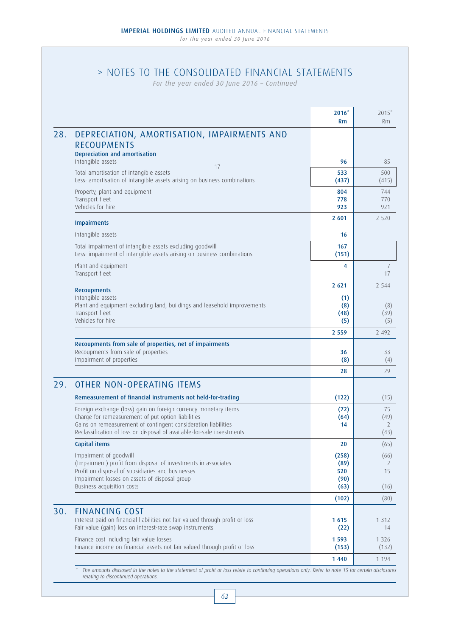# > NOTES TO THE CONSOLIDATED FINANCIAL STATEMENTS

*For the year ended 30 June 2016 – Continued*

|     |                                                                                                                                                                                                                                                                   | $2016*$<br>Rm                | $2015*$<br><b>Rm</b>                 |
|-----|-------------------------------------------------------------------------------------------------------------------------------------------------------------------------------------------------------------------------------------------------------------------|------------------------------|--------------------------------------|
| 28. | DEPRECIATION, AMORTISATION, IMPAIRMENTS AND<br><b>RECOUPMENTS</b><br>Depreciation and amortisation                                                                                                                                                                |                              |                                      |
|     | Intangible assets<br>17                                                                                                                                                                                                                                           | 96                           | 85                                   |
|     | Total amortisation of intangible assets<br>Less: amortisation of intangible assets arising on business combinations                                                                                                                                               | 533<br>(437)                 | 500<br>(415)                         |
|     | Property, plant and equipment<br>Transport fleet<br>Vehicles for hire                                                                                                                                                                                             | 804<br>778<br>923            | 744<br>770<br>971                    |
|     | <b>Impairments</b>                                                                                                                                                                                                                                                | 2 601                        | 2 5 2 0                              |
|     | Intangible assets                                                                                                                                                                                                                                                 | 16                           |                                      |
|     | Total impairment of intangible assets excluding goodwill<br>Less: impairment of intangible assets arising on business combinations                                                                                                                                | 167<br>(151)                 |                                      |
|     | Plant and equipment<br>Transport fleet                                                                                                                                                                                                                            | 4                            | 7<br>17                              |
|     | <b>Recoupments</b>                                                                                                                                                                                                                                                | 2 6 2 1                      | 2 5 4 4                              |
|     | Intangible assets<br>Plant and equipment excluding land, buildings and leasehold improvements<br>Transport fleet<br>Vehicles for hire                                                                                                                             | (1)<br>(8)<br>(48)<br>(5)    | (8)<br>(39)<br>(5)                   |
|     |                                                                                                                                                                                                                                                                   | 2 5 5 9                      | 2 4 9 2                              |
|     | Recoupments from sale of properties, net of impairments<br>Recoupments from sale of properties<br>Impairment of properties                                                                                                                                        | 36<br>(8)                    | 33<br>(4)                            |
|     |                                                                                                                                                                                                                                                                   | 28                           | 29                                   |
| 29. | <b>OTHER NON-OPERATING ITEMS</b>                                                                                                                                                                                                                                  |                              |                                      |
|     | Remeasurement of financial instruments not held-for-trading                                                                                                                                                                                                       | (122)                        | (15)                                 |
|     | Foreign exchange (loss) gain on foreign currency monetary items<br>Charge for remeasurement of put option liabilities<br>Gains on remeasurement of contingent consideration liabilities<br>Reclassification of loss on disposal of available-for-sale investments | (72)<br>(64)<br>14           | 75<br>(49)<br>$\overline{2}$<br>(43) |
|     | Capital items                                                                                                                                                                                                                                                     | 20                           | (65)                                 |
|     | Impairment of goodwill<br>(Impairment) profit from disposal of investments in associates<br>Profit on disposal of subsidiaries and businesses<br>Impairment losses on assets of disposal group                                                                    | (258)<br>(89)<br>520<br>(90) | (66)<br>2<br>15                      |
|     | Business acquisition costs                                                                                                                                                                                                                                        | (63)                         | (16)                                 |
|     |                                                                                                                                                                                                                                                                   | (102)                        | (80)                                 |
| 30. | <b>FINANCING COST</b><br>Interest paid on financial liabilities not fair valued through profit or loss<br>Fair value (gain) loss on interest-rate swap instruments                                                                                                | 1615<br>(22)                 | 1 3 1 2<br>14                        |
|     | Finance cost including fair value losses<br>Finance income on financial assets not fair valued through profit or loss                                                                                                                                             | 1 5 9 3<br>(153)             | 1 3 2 6<br>(132)                     |
|     |                                                                                                                                                                                                                                                                   | 1440                         | 1 1 9 4                              |

\* The amounts disclosed in the notes to the statement of profit or loss relate to continuing operations only. Refer to note 15 for certain disclosures relating to discontinued operations.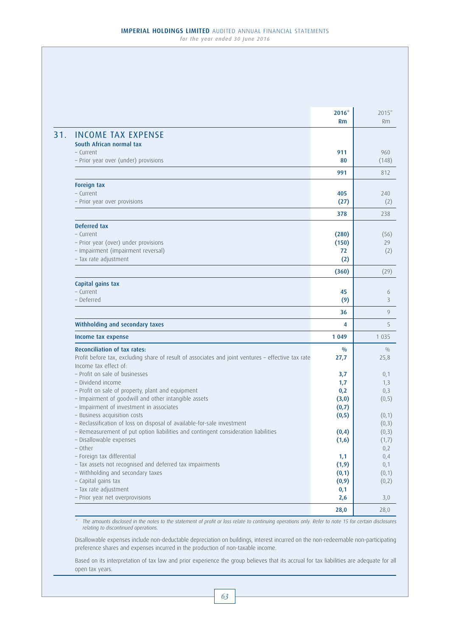|                                                                                                    | $2016*$       | $2015*$   |
|----------------------------------------------------------------------------------------------------|---------------|-----------|
|                                                                                                    | Rm            | <b>Rm</b> |
| <b>INCOME TAX EXPENSE</b>                                                                          |               |           |
| South African normal tax                                                                           |               |           |
| - Current                                                                                          | 911           | 960       |
| - Prior year over (under) provisions                                                               | 80            | (148)     |
|                                                                                                    | 991           | 812       |
| Foreign tax                                                                                        |               |           |
| - Current                                                                                          | 405           | 240       |
| - Prior year over provisions                                                                       | (27)          |           |
|                                                                                                    | 378           | 238       |
| Deferred tax                                                                                       |               |           |
| - Current                                                                                          | (280)         | (56)      |
| - Prior year (over) under provisions                                                               | (150)         |           |
| - Impairment (impairment reversal)<br>- Tax rate adjustment                                        | 72<br>(2)     |           |
|                                                                                                    | (360)         | (29)      |
| Capital gains tax                                                                                  |               |           |
| - Current                                                                                          | 45            |           |
| - Deferred                                                                                         | (9)           |           |
|                                                                                                    | 36            |           |
| Withholding and secondary taxes                                                                    | 4             |           |
| Income tax expense                                                                                 | 1 0 4 9       | 1 0 3 5   |
| <b>Reconciliation of tax rates:</b>                                                                | $\frac{0}{0}$ |           |
| Profit before tax, excluding share of result of associates and joint ventures - effective tax rate | 27,7          | 25,8      |
| Income tax effect of:                                                                              |               |           |
| - Profit on sale of businesses                                                                     | 3,7           |           |
| - Dividend income                                                                                  | 1,7           |           |
| - Profit on sale of property, plant and equipment                                                  | 0,2           |           |
| - Impairment of goodwill and other intangible assets                                               | (3,0)         | (0, 5)    |
| - Impairment of investment in associates                                                           | (0,7)         |           |
| - Business acquisition costs                                                                       | (0, 5)        | (0,1)     |
| - Reclassification of loss on disposal of available-for-sale investment                            |               | (0,3)     |
| - Remeasurement of put option liabilities and contingent consideration liabilities                 | (0, 4)        | (0,3)     |
| - Disallowable expenses                                                                            | (1,6)         | (1,7)     |
| - Other                                                                                            |               |           |
| - Foreign tax differential                                                                         | 1,1           |           |
| - Tax assets not recognised and deferred tax impairments                                           | (1, 9)        |           |
| - Withholding and secondary taxes                                                                  | (0,1)         | (0,1)     |
| - Capital gains tax                                                                                | (0, 9)        | (0, 2)    |
| - Tax rate adjustment                                                                              | 0,1           |           |
|                                                                                                    | 2,6           |           |
| - Prior year net overprovisions                                                                    |               | 3,0       |

\* The amounts disclosed in the notes to the statement of profit or loss relate to continuing operations only. Refer to note 15 for certain disclosures relating to discontinued operations.

Disallowable expenses include non-deductable depreciation on buildings, interest incurred on the non-redeemable non-participating preference shares and expenses incurred in the production of non-taxable income.

Based on its interpretation of tax law and prior experience the group believes that its accrual for tax liabilities are adequate for all open tax years.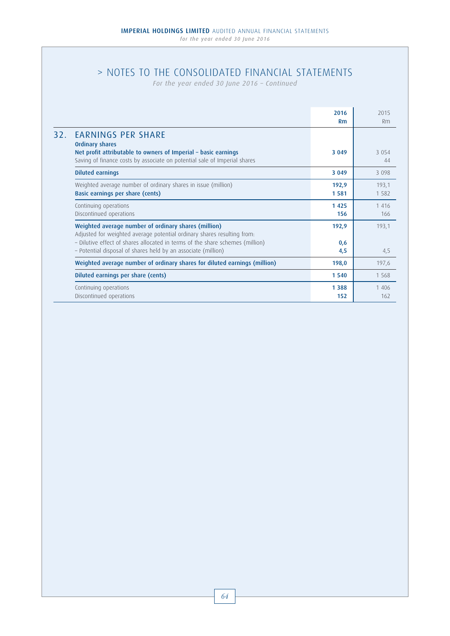# > NOTES TO THE CONSOLIDATED FINANCIAL STATEMENTS

*For the year ended 30 June 2016 – Continued*

|     |                                                                                                                                                                                                                                                                                   | 2016<br><b>Rm</b>   | 2015<br>Rm     |
|-----|-----------------------------------------------------------------------------------------------------------------------------------------------------------------------------------------------------------------------------------------------------------------------------------|---------------------|----------------|
| 32. | <b>EARNINGS PER SHARE</b><br><b>Ordinary shares</b><br>Net profit attributable to owners of Imperial - basic earnings                                                                                                                                                             | 3 0 4 9             | 3 0 5 4        |
|     | Saving of finance costs by associate on potential sale of Imperial shares                                                                                                                                                                                                         |                     | 44             |
|     | <b>Diluted earnings</b>                                                                                                                                                                                                                                                           | 3 0 4 9             | 3 0 9 8        |
|     | Weighted average number of ordinary shares in issue (million)<br>Basic earnings per share (cents)                                                                                                                                                                                 | 192,9<br>1581       | 193,1<br>1.582 |
|     | Continuing operations<br>Discontinued operations                                                                                                                                                                                                                                  | 1425<br>156         | 1416<br>166    |
|     | Weighted average number of ordinary shares (million)<br>Adjusted for weighted average potential ordinary shares resulting from:<br>- Dilutive effect of shares allocated in terms of the share schemes (million)<br>- Potential disposal of shares held by an associate (million) | 192,9<br>0,6<br>4,5 | 193,1<br>4,5   |
|     | Weighted average number of ordinary shares for diluted earnings (million)                                                                                                                                                                                                         | 198,0               | 197,6          |
|     | Diluted earnings per share (cents)                                                                                                                                                                                                                                                | 1 5 4 0             | 1568           |
|     | Continuing operations<br>Discontinued operations                                                                                                                                                                                                                                  | 1 3 8 8<br>152      | 1 4 0 6<br>162 |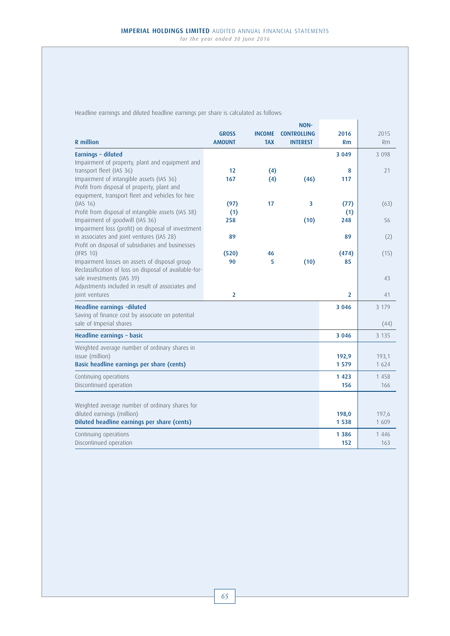Headline earnings and diluted headline earnings per share is calculated as follows:

|                                                                                                         |                |               | NON-                    |                |         |
|---------------------------------------------------------------------------------------------------------|----------------|---------------|-------------------------|----------------|---------|
|                                                                                                         | <b>GROSS</b>   | <b>INCOME</b> | <b>CONTROLLING</b>      | 2016           | 2015    |
| <b>R</b> million                                                                                        | <b>AMOUNT</b>  | <b>TAX</b>    | <b>INTEREST</b>         | <b>Rm</b>      | Rm      |
| Earnings - diluted                                                                                      |                |               |                         | 3 0 4 9        | 3 0 9 8 |
| Impairment of property, plant and equipment and                                                         |                |               |                         |                |         |
| transport fleet (IAS 36)<br>Impairment of intangible assets (IAS 36)                                    | 12<br>167      | (4)           | (46)                    | 8<br>117       | 21      |
| Profit from disposal of property, plant and                                                             |                | (4)           |                         |                |         |
| equipment, transport fleet and vehicles for hire                                                        |                |               |                         |                |         |
| (IAS 16)                                                                                                | (97)           | 17            | $\overline{\mathbf{3}}$ | (77)           | (63)    |
| Profit from disposal of intangible assets (IAS 38)                                                      | (1)            |               |                         | (1)            |         |
| Impairment of goodwill (IAS 36)                                                                         | 258            |               | (10)                    | 248            | 56      |
| Impairment loss (profit) on disposal of investment                                                      |                |               |                         |                |         |
| in associates and joint ventures (IAS 28)                                                               | 89             |               |                         | 89             | (2)     |
| Profit on disposal of subsidiaries and businesses                                                       |                |               |                         |                |         |
| (IFRS 10)                                                                                               | (520)<br>90    | 46<br>5       |                         | (474)          | (15)    |
| Impairment losses on assets of disposal group<br>Reclassification of loss on disposal of available-for- |                |               | (10)                    | 85             |         |
| sale investments (IAS 39)                                                                               |                |               |                         |                | 43      |
| Adjustments included in result of associates and                                                        |                |               |                         |                |         |
| joint ventures                                                                                          | $\overline{2}$ |               |                         | $\overline{2}$ | 41      |
| Headline earnings -diluted                                                                              |                |               |                         | 3 0 4 6        | 3 1 7 9 |
| Saving of finance cost by associate on potential                                                        |                |               |                         |                |         |
| sale of Imperial shares                                                                                 |                |               |                         |                | (44)    |
| Headline earnings - basic                                                                               |                |               |                         | 3 0 4 6        | 3 1 3 5 |
| Weighted average number of ordinary shares in                                                           |                |               |                         |                |         |
| issue (million)                                                                                         |                |               |                         | 192,9          | 193,1   |
| Basic headline earnings per share (cents)                                                               |                |               |                         | 1579           | 1 6 2 4 |
| Continuing operations                                                                                   |                |               |                         | 1 4 2 3        | 1 4 5 8 |
| Discontinued operation                                                                                  |                |               |                         | 156            | 166     |
|                                                                                                         |                |               |                         |                |         |
|                                                                                                         |                |               |                         |                |         |
| Weighted average number of ordinary shares for<br>diluted earnings (million)                            |                |               |                         | 198,0          | 197,6   |
| Diluted headline earnings per share (cents)                                                             |                |               |                         | 1 5 3 8        | 1 609   |
|                                                                                                         |                |               |                         |                |         |
| Continuing operations                                                                                   |                |               |                         | 1 3 8 6        | 1 4 4 6 |
| Discontinued operation                                                                                  |                |               |                         | 152            | 163     |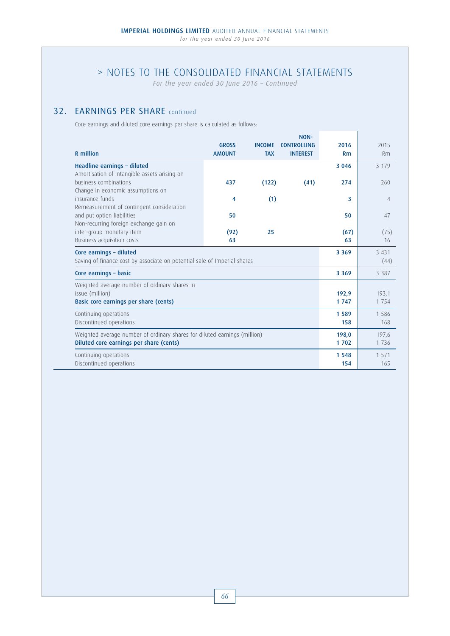*For the year ended 30 June 2016 – Continued*

# 32. **EARNINGS PER SHARE** continued

Core earnings and diluted core earnings per share is calculated as follows:

|                                                                           | <b>GROSS</b>                                                                                        | <b>INCOME</b> | NON-<br><b>CONTROLLING</b> | 2016       | 2015           |
|---------------------------------------------------------------------------|-----------------------------------------------------------------------------------------------------|---------------|----------------------------|------------|----------------|
| R million                                                                 | <b>AMOUNT</b>                                                                                       | <b>TAX</b>    | <b>INTEREST</b>            | Rm         | Rm             |
| Headline earnings - diluted                                               |                                                                                                     |               |                            | 3 0 4 6    | 3 1 7 9        |
| Amortisation of intangible assets arising on                              |                                                                                                     |               |                            |            |                |
| business combinations<br>Change in economic assumptions on                | 437                                                                                                 | (122)         | (41)                       | 274        | 260            |
| insurance funds                                                           | 4                                                                                                   | (1)           |                            | 3          | $\overline{4}$ |
| Remeasurement of contingent consideration                                 |                                                                                                     |               |                            |            |                |
| and put option liabilities                                                | 50                                                                                                  |               |                            | 50         | 47             |
| Non-recurring foreign exchange gain on<br>inter-group monetary item       |                                                                                                     | 25            |                            |            |                |
| Business acquisition costs                                                | (92)<br>63                                                                                          |               |                            | (67)<br>63 | (75)<br>16     |
|                                                                           |                                                                                                     |               |                            | 3 3 6 9    | 3 4 3 1        |
|                                                                           | Core earnings - diluted<br>Saving of finance cost by associate on potential sale of Imperial shares |               |                            |            | (44)           |
| Core earnings - basic                                                     |                                                                                                     |               |                            | 3 3 6 9    | 3 3 8 7        |
| Weighted average number of ordinary shares in                             |                                                                                                     |               |                            |            |                |
| issue (million)                                                           |                                                                                                     |               |                            | 192,9      | 193,1          |
| Basic core earnings per share (cents)                                     |                                                                                                     |               |                            | 1747       | 1 7 5 4        |
| Continuing operations                                                     |                                                                                                     |               |                            | 1589       | 1 586          |
| Discontinued operations                                                   |                                                                                                     |               |                            | 158        | 168            |
| Weighted average number of ordinary shares for diluted earnings (million) |                                                                                                     |               |                            |            | 197,6          |
| Diluted core earnings per share (cents)                                   |                                                                                                     |               | 1702                       | 1736       |                |
| Continuing operations                                                     |                                                                                                     |               |                            | 1 5 4 8    | 1 571          |
| Discontinued operations                                                   |                                                                                                     |               |                            | 154        | 165            |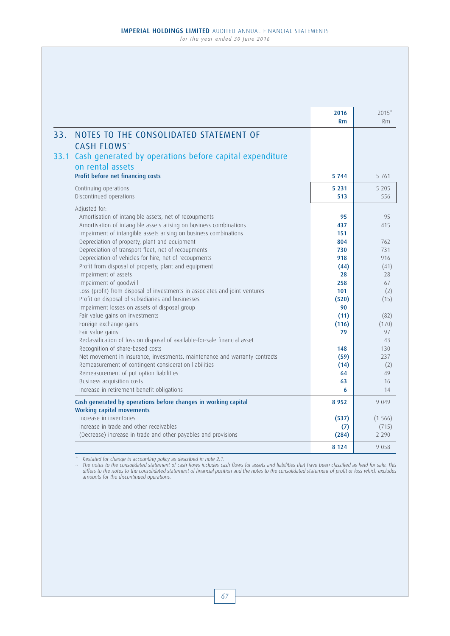|     |                                                                                                       | 2016<br><b>Rm</b> | $2015*$<br>Rm    |
|-----|-------------------------------------------------------------------------------------------------------|-------------------|------------------|
| 33. | NOTES TO THE CONSOLIDATED STATEMENT OF                                                                |                   |                  |
|     | <b>CASH FLOWS</b> ~                                                                                   |                   |                  |
|     | 33.1 Cash generated by operations before capital expenditure<br>on rental assets                      |                   |                  |
|     | Profit before net financing costs                                                                     | 5 7 4 4           | 5 7 6 1          |
|     | Continuing operations                                                                                 | 5 2 3 1           | 5 2 0 5          |
|     | Discontinued operations                                                                               | 513               | 556              |
|     | Adjusted for:                                                                                         |                   |                  |
|     | Amortisation of intangible assets, net of recoupments                                                 | 95                | 95               |
|     | Amortisation of intangible assets arising on business combinations                                    | 437               | 415              |
|     | Impairment of intangible assets arising on business combinations                                      | 151               |                  |
|     | Depreciation of property, plant and equipment                                                         | 804               | 762              |
|     | Depreciation of transport fleet, net of recoupments                                                   | 730               | 731              |
|     | Depreciation of vehicles for hire, net of recoupments                                                 | 918               | 916              |
|     | Profit from disposal of property, plant and equipment                                                 | (44)              | (41)             |
|     | Impairment of assets                                                                                  | 28                | 28<br>67         |
|     | Impairment of goodwill<br>Loss (profit) from disposal of investments in associates and joint ventures | 258<br>101        | (2)              |
|     | Profit on disposal of subsidiaries and businesses                                                     | (520)             | (15)             |
|     | Impairment losses on assets of disposal group                                                         | 90                |                  |
|     | Fair value gains on investments                                                                       | (11)              | (82)             |
|     | Foreign exchange gains                                                                                | (116)             | (170)            |
|     | Fair value gains                                                                                      | 79                | 97               |
|     | Reclassification of loss on disposal of available-for-sale financial asset                            |                   | 43               |
|     | Recognition of share-based costs                                                                      | 148               | 130              |
|     | Net movement in insurance, investments, maintenance and warranty contracts                            | (59)              | 237              |
|     | Remeasurement of contingent consideration liabilities                                                 | (14)              | (2)              |
|     | Remeasurement of put option liabilities                                                               | 64                | 49               |
|     | Business acquisition costs                                                                            | 63<br>6           | 16<br>14         |
|     | Increase in retirement benefit obligations                                                            |                   |                  |
|     | Cash generated by operations before changes in working capital                                        | 8952              | 9 0 4 9          |
|     | <b>Working capital movements</b>                                                                      |                   |                  |
|     | Increase in inventories<br>Increase in trade and other receivables                                    | (537)             | (1566)           |
|     | (Decrease) increase in trade and other payables and provisions                                        | (7)<br>(284)      | (715)<br>2 2 9 0 |
|     |                                                                                                       |                   |                  |
|     |                                                                                                       | 8 1 2 4           | 9058             |

\* Restated for change in accounting policy as described in note 2.1. ~ The notes to the consolidated statement of cash flows includes cash flows for assets and liabilities that have been classified as held for sale. This differs to the notes to the consolidated statement of financial position and the notes to the consolidated statement of profit or loss which excludes amounts for the discontinued operations.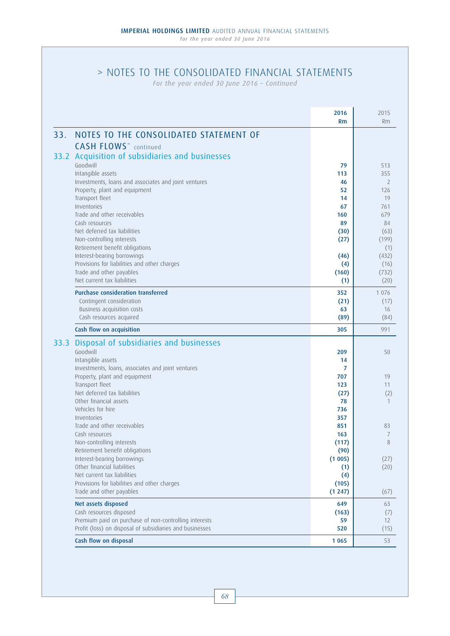# > NOTES TO THE CONSOLIDATED FINANCIAL STATEMENTS

*For the year ended 30 June 2016 – Continued*

|      |                                                                                                                                                                                                                                                                                                                                                                                                                                                                                                                                                   | 2016<br>Rm                                                                                    | 2015<br><b>Rm</b>                                                                                          |
|------|---------------------------------------------------------------------------------------------------------------------------------------------------------------------------------------------------------------------------------------------------------------------------------------------------------------------------------------------------------------------------------------------------------------------------------------------------------------------------------------------------------------------------------------------------|-----------------------------------------------------------------------------------------------|------------------------------------------------------------------------------------------------------------|
| 33.  | NOTES TO THE CONSOLIDATED STATEMENT OF                                                                                                                                                                                                                                                                                                                                                                                                                                                                                                            |                                                                                               |                                                                                                            |
|      | <b>CASH FLOWS</b> <sup>~</sup> continued<br>33.2 Acquisition of subsidiaries and businesses<br>Goodwill<br>Intangible assets<br>Investments, loans and associates and joint ventures<br>Property, plant and equipment<br>Transport fleet<br>Inventories<br>Trade and other receivables<br>Cash resources<br>Net deferred tax liabilities<br>Non-controlling interests<br>Retirement benefit obligations<br>Interest-bearing borrowings<br>Provisions for liabilities and other charges<br>Trade and other payables<br>Net current tax liabilities | 79<br>113<br>46<br>52<br>14<br>67<br>160<br>89<br>(30)<br>(27)<br>(46)<br>(4)<br>(160)<br>(1) | 513<br>355<br>2<br>126<br>19<br>761<br>679<br>84<br>(63)<br>(199)<br>(1)<br>(432)<br>(16)<br>(732)<br>(20) |
|      | <b>Purchase consideration transferred</b><br>Contingent consideration<br>Business acquisition costs<br>Cash resources acquired                                                                                                                                                                                                                                                                                                                                                                                                                    | 352<br>(21)<br>63<br>(89)                                                                     | 1 0 7 6<br>(17)<br>16<br>(84)                                                                              |
|      | Cash flow on acquisition                                                                                                                                                                                                                                                                                                                                                                                                                                                                                                                          | 305                                                                                           | 991                                                                                                        |
| 33.3 | Disposal of subsidiaries and businesses<br>Goodwill<br>Intangible assets<br>Investments, loans, associates and joint ventures<br>Property, plant and equipment<br>Transport fleet<br>Net deferred tax liabilities<br>Other financial assets                                                                                                                                                                                                                                                                                                       | 209<br>14<br>7<br>707<br>123<br>(27)<br>78                                                    | 50<br>19<br>11<br>(2)<br>1                                                                                 |
|      | Vehicles for hire<br>Inventories<br>Trade and other receivables<br>Cash resources<br>Non-controlling interests<br>Retirement benefit obligations<br>Interest-bearing borrowings<br>Other financial liabilities                                                                                                                                                                                                                                                                                                                                    | 736<br>357<br>851<br>163<br>(117)<br>(90)<br>(1005)<br>(1)                                    | 83<br>7<br>8<br>(27)<br>(20)                                                                               |
|      | Net current tax liabilities<br>Provisions for liabilities and other charges<br>Trade and other payables                                                                                                                                                                                                                                                                                                                                                                                                                                           | (4)<br>(105)<br>(1247)                                                                        | (67)                                                                                                       |
|      | Net assets disposed<br>Cash resources disposed<br>Premium paid on purchase of non-controlling interests<br>Profit (loss) on disposal of subsidiaries and businesses                                                                                                                                                                                                                                                                                                                                                                               | 649<br>(163)<br>59<br>520                                                                     | 63<br>(7)<br>12<br>(15)                                                                                    |
|      | Cash flow on disposal                                                                                                                                                                                                                                                                                                                                                                                                                                                                                                                             | 1 0 6 5                                                                                       | 53                                                                                                         |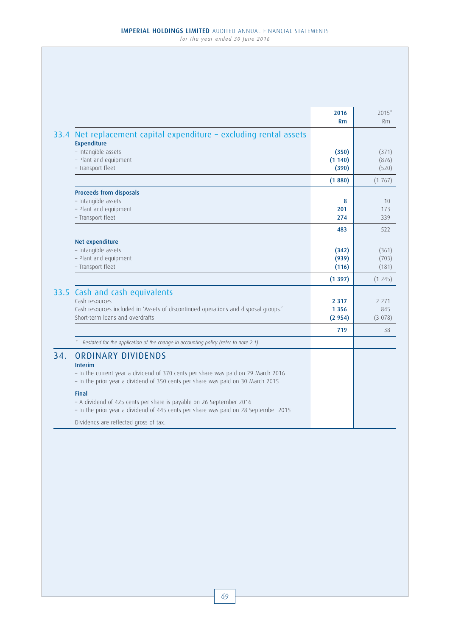|      |                                                                                                                                                                                        | 2016<br><b>Rm</b>            | $2015*$<br>Rm            |
|------|----------------------------------------------------------------------------------------------------------------------------------------------------------------------------------------|------------------------------|--------------------------|
| 33.4 | Net replacement capital expenditure - excluding rental assets<br><b>Expenditure</b>                                                                                                    |                              |                          |
|      | - Intangible assets<br>- Plant and equipment<br>- Transport fleet                                                                                                                      | (350)<br>(1140)<br>(390)     | (371)<br>(876)<br>(520)  |
|      |                                                                                                                                                                                        | (1880)                       | (1767)                   |
|      | <b>Proceeds from disposals</b><br>- Intangible assets<br>- Plant and equipment<br>- Transport fleet                                                                                    | 8<br>201<br>274              | 10<br>173<br>339         |
|      |                                                                                                                                                                                        | 483                          | 522                      |
|      | Net expenditure<br>- Intangible assets<br>- Plant and equipment<br>- Transport fleet                                                                                                   | (342)<br>(939)<br>(116)      | (361)<br>(703)<br>(181)  |
|      |                                                                                                                                                                                        | (1397)                       | (1245)                   |
|      | 33.5 Cash and cash equivalents<br>Cash resources<br>Cash resources included in 'Assets of discontinued operations and disposal groups.'<br>Short-term loans and overdrafts             | 2 3 1 7<br>1 3 5 6<br>(2954) | 2 2 7 1<br>845<br>(3078) |
|      |                                                                                                                                                                                        | 719                          | 38                       |
| 34.  | Restated for the application of the change in accounting policy (refer to note 2.1).<br><b>ORDINARY DIVIDENDS</b>                                                                      |                              |                          |
|      | <b>Interim</b><br>- In the current year a dividend of 370 cents per share was paid on 29 March 2016<br>- In the prior year a dividend of 350 cents per share was paid on 30 March 2015 |                              |                          |
|      | <b>Final</b><br>- A dividend of 425 cents per share is payable on 26 September 2016<br>- In the prior year a dividend of 445 cents per share was paid on 28 September 2015             |                              |                          |
|      | Dividends are reflected gross of tax.                                                                                                                                                  |                              |                          |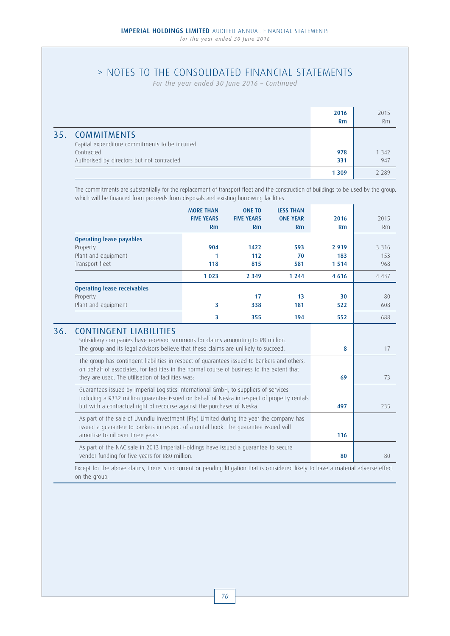# > NOTES TO THE CONSOLIDATED FINANCIAL STATEMENTS

*For the year ended 30 June 2016 – Continued*

|                                                                                                                               | 2016<br>Rm | 2015<br>Rm     |
|-------------------------------------------------------------------------------------------------------------------------------|------------|----------------|
| 35. COMMITMENTS<br>Capital expenditure commitments to be incurred<br>Contracted<br>Authorised by directors but not contracted | 978<br>331 | 1 3 4 2<br>947 |
|                                                                                                                               | 1 3 0 9    | 2 289          |

The commitments are substantially for the replacement of transport fleet and the construction of buildings to be used by the group, which will be financed from proceeds from disposals and existing borrowing facilities.

|     |                                                                                                                                                                                                                                                                                                                                                                                                                                                           | <b>MORE THAN</b><br><b>FIVE YEARS</b><br>Rm                                                                                                                                     | <b>ONE TO</b><br><b>FIVE YEARS</b><br>Rm | <b>LESS THAN</b><br><b>ONE YEAR</b><br>Rm | 2016<br>Rm             | 2015<br>Rm              |
|-----|-----------------------------------------------------------------------------------------------------------------------------------------------------------------------------------------------------------------------------------------------------------------------------------------------------------------------------------------------------------------------------------------------------------------------------------------------------------|---------------------------------------------------------------------------------------------------------------------------------------------------------------------------------|------------------------------------------|-------------------------------------------|------------------------|-------------------------|
|     | <b>Operating lease payables</b><br>Property<br>Plant and equipment<br>Transport fleet                                                                                                                                                                                                                                                                                                                                                                     | 904<br>1<br>118                                                                                                                                                                 | 1422<br>112<br>815                       | 593<br>70<br>581                          | 2 9 1 9<br>183<br>1514 | 3 3 1 6<br>153<br>968   |
|     |                                                                                                                                                                                                                                                                                                                                                                                                                                                           | 1 0 2 3                                                                                                                                                                         | 2 3 4 9                                  | 1 2 4 4                                   | 4 6 1 6                | 4 4 3 7                 |
|     | <b>Operating lease receivables</b><br>Property<br>Plant and equipment                                                                                                                                                                                                                                                                                                                                                                                     | 3                                                                                                                                                                               | 17<br>338                                | 13<br>181                                 | 30<br>522              | 80<br>608               |
|     |                                                                                                                                                                                                                                                                                                                                                                                                                                                           | 3                                                                                                                                                                               | 355                                      | 194                                       | 552                    | 688                     |
| 36. | <b>CONTINGENT LIABILITIES</b><br>Subsidiary companies have received summons for claims amounting to R8 million.<br>The group and its legal advisors believe that these claims are unlikely to succeed.<br>The group has contingent liabilities in respect of quarantees issued to bankers and others,<br>on behalf of associates, for facilities in the normal course of business to the extent that<br>they are used. The utilisation of facilities was: | 8<br>69                                                                                                                                                                         | 17<br>73                                 |                                           |                        |                         |
|     | Guarantees issued by Imperial Logistics International GmbH, to suppliers of services<br>including a R332 million quarantee issued on behalf of Neska in respect of property rentals<br>but with a contractual right of recourse against the purchaser of Neska.                                                                                                                                                                                           | 497                                                                                                                                                                             | 235                                      |                                           |                        |                         |
|     | amortise to nil over three years.                                                                                                                                                                                                                                                                                                                                                                                                                         | As part of the sale of Uvundlu Investment (Pty) Limited during the year the company has<br>issued a quarantee to bankers in respect of a rental book. The quarantee issued will |                                          |                                           |                        |                         |
|     | As part of the NAC sale in 2013 Imperial Holdings have issued a quarantee to secure<br>vendor funding for five years for R80 million.                                                                                                                                                                                                                                                                                                                     | 80                                                                                                                                                                              | 80                                       |                                           |                        |                         |
|     | is and found of the set of the condition of the constant of the detailed fundamental decomposition of High and News                                                                                                                                                                                                                                                                                                                                       |                                                                                                                                                                                 |                                          |                                           |                        | and at all the above as |

Except for the above claims, there is no current or pending litigation that is considered likely to have a material adverse effect on the group.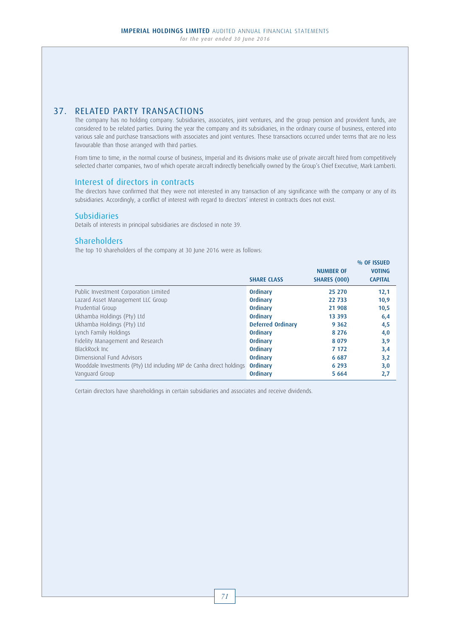# 37. RELATED PARTY TRANSACTIONS

 The company has no holding company. Subsidiaries, associates, joint ventures, and the group pension and provident funds, are considered to be related parties. During the year the company and its subsidiaries, in the ordinary course of business, entered into various sale and purchase transactions with associates and joint ventures. These transactions occurred under terms that are no less favourable than those arranged with third parties.

 From time to time, in the normal course of business, Imperial and its divisions make use of private aircraft hired from competitively selected charter companies, two of which operate aircraft indirectly beneficially owned by the Group's Chief Executive, Mark Lamberti.

## Interest of directors in contracts

 The directors have confirmed that they were not interested in any transaction of any significance with the company or any of its subsidiaries. Accordingly, a conflict of interest with regard to directors' interest in contracts does not exist.

## Subsidiaries

Details of interests in principal subsidiaries are disclosed in note 39.

## **Shareholders**

The top 10 shareholders of the company at 30 June 2016 were as follows:

|                                                                      | <b>SHARE CLASS</b>       | <b>NUMBER OF</b><br><b>SHARES (000)</b> | % OF ISSUED<br><b>VOTING</b><br><b>CAPITAL</b> |
|----------------------------------------------------------------------|--------------------------|-----------------------------------------|------------------------------------------------|
| Public Investment Corporation Limited                                | Ordinary                 | 25 270                                  | 12,1                                           |
| Lazard Asset Management LLC Group                                    | Ordinary                 | 22 733                                  | 10,9                                           |
| Prudential Group                                                     | Ordinary                 | 21 908                                  | 10,5                                           |
| Ukhamba Holdings (Pty) Ltd                                           | Ordinary                 | 13 3 9 3                                | 6,4                                            |
| Ukhamba Holdings (Pty) Ltd                                           | <b>Deferred Ordinary</b> | 9 3 6 2                                 | 4,5                                            |
| Lynch Family Holdings                                                | Ordinary                 | 8 2 7 6                                 | 4,0                                            |
| Fidelity Management and Research                                     | Ordinary                 | 8 0 7 9                                 | 3,9                                            |
| BlackRock Inc.                                                       | Ordinary                 | 7 1 7 2                                 | 3,4                                            |
| Dimensional Fund Advisors                                            | Ordinary                 | 6 6 8 7                                 | 3,2                                            |
| Wooddale Investments (Pty) Ltd including MP de Canha direct holdings | Ordinary                 | 6 2 9 3                                 | 3,0                                            |
| Vanguard Group                                                       | Ordinary                 | 5 6 6 4                                 | 2,7                                            |

Certain directors have shareholdings in certain subsidiaries and associates and receive dividends.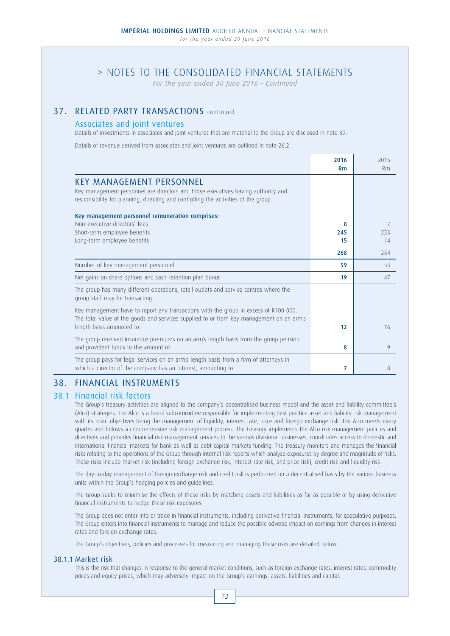*For the year ended 30 June 2016 – Continued*

# 37. RELATED PARTY TRANSACTIONS continued

## Associates and joint ventures

Details of investments in associates and joint ventures that are material to the Group are disclosed in note 39.

Details of revenue derived from associates and joint ventures are outlined in note 26.2.

|                                                                                                                                                                                  | 2016<br><b>Rm</b> | 2015<br>Rm    |
|----------------------------------------------------------------------------------------------------------------------------------------------------------------------------------|-------------------|---------------|
| <b>KEY MANAGEMENT PERSONNEL</b>                                                                                                                                                  |                   |               |
| Key management personnel are directors and those executives having authority and<br>responsibility for planning, directing and controlling the activities of the group.          |                   |               |
| Key management personnel remuneration comprises:                                                                                                                                 |                   |               |
| Non-executive directors' fees                                                                                                                                                    | 8                 | 7             |
| Short-term employee benefits                                                                                                                                                     | 245               | 233           |
| Long-term employee benefits                                                                                                                                                      | 15                | 14            |
|                                                                                                                                                                                  | 268               | 254           |
| Number of key management personnel                                                                                                                                               | 59                | 53            |
| Net gains on share options and cash retention plan bonus                                                                                                                         | 19                | 47            |
| The group has many different operations, retail outlets and service centres where the<br>group staff may be transacting.                                                         |                   |               |
| Key management have to report any transactions with the group in excess of R100 000.<br>The total value of the goods and services supplied to or from key management on an arm's |                   |               |
| length basis amounted to:                                                                                                                                                        | 12                | 16            |
| The group received insurance premiums on an arm's length basis from the group pension<br>and provident funds to the amount of:                                                   | 8                 | $\mathcal{Q}$ |
| The group pays for legal services on an arm's length basis from a firm of attorneys in                                                                                           |                   |               |
| which a director of the company has an interest, amounting to:                                                                                                                   | 7                 | 8             |

## 38. FINANCIAL INSTRUMENTS

## 38.1 Financial risk factors

 The Group's treasury activities are aligned to the company's decentralised business model and the asset and liability committee's (Alco) strategies. The Alco is a board subcommittee responsible for implementing best practice asset and liability risk management with its main objectives being the management of liquidity, interest rate, price and foreign exchange risk. The Alco meets every quarter and follows a comprehensive risk management process. The treasury implements the Alco risk management policies and directives and provides financial risk management services to the various divisional businesses, coordinates access to domestic and international financial markets for bank as well as debt capital markets funding. The treasury monitors and manages the financial risks relating to the operations of the Group through internal risk reports which analyse exposures by degree and magnitude of risks. These risks include market risk (including foreign exchange risk, interest rate risk, and price risk), credit risk and liquidity risk.

 The day-to-day management of foreign exchange risk and credit risk is performed on a decentralised basis by the various business units within the Group's hedging policies and guidelines.

 The Group seeks to minimise the effects of these risks by matching assets and liabilities as far as possible or by using derivative financial instruments to hedge these risk exposures.

 The Group does not enter into or trade in financial instruments, including derivative financial instruments, for speculative purposes. The Group enters into financial instruments to manage and reduce the possible adverse impact on earnings from changes in interest rates and foreign exchange rates.

The Group's objectives, policies and processes for measuring and managing these risks are detailed below.

### 38.1.1 Market risk

 This is the risk that changes in response to the general market conditions, such as foreign exchange rates, interest rates, commodity prices and equity prices, which may adversely impact on the Group's earnings, assets, liabilities and capital.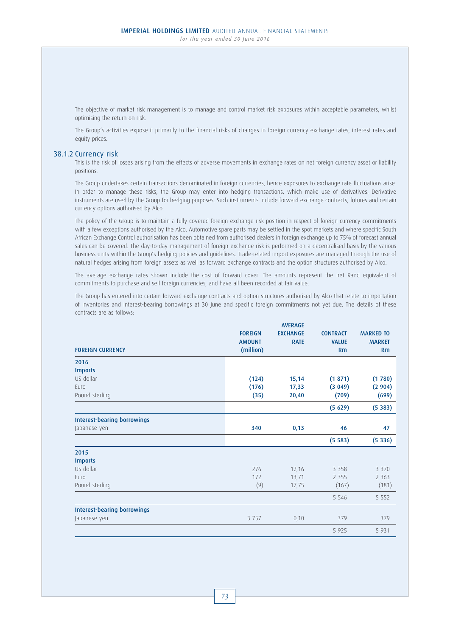The objective of market risk management is to manage and control market risk exposures within acceptable parameters, whilst optimising the return on risk.

 The Group's activities expose it primarily to the financial risks of changes in foreign currency exchange rates, interest rates and equity prices.

### 38.1.2 Currency risk

 This is the risk of losses arising from the effects of adverse movements in exchange rates on net foreign currency asset or liability positions.

 The Group undertakes certain transactions denominated in foreign currencies, hence exposures to exchange rate fluctuations arise. In order to manage these risks, the Group may enter into hedging transactions, which make use of derivatives. Derivative instruments are used by the Group for hedging purposes. Such instruments include forward exchange contracts, futures and certain currency options authorised by Alco.

 The policy of the Group is to maintain a fully covered foreign exchange risk position in respect of foreign currency commitments with a few exceptions authorised by the Alco. Automotive spare parts may be settled in the spot markets and where specific South African Exchange Control authorisation has been obtained from authorised dealers in foreign exchange up to 75% of forecast annual sales can be covered. The day-to-day management of foreign exchange risk is performed on a decentralised basis by the various business units within the Group's hedging policies and guidelines. Trade-related import exposures are managed through the use of natural hedges arising from foreign assets as well as forward exchange contracts and the option structures authorised by Alco.

 The average exchange rates shown include the cost of forward cover. The amounts represent the net Rand equivalent of commitments to purchase and sell foreign currencies, and have all been recorded at fair value.

 The Group has entered into certain forward exchange contracts and option structures authorised by Alco that relate to importation of inventories and interest-bearing borrowings at 30 June and specific foreign commitments not yet due. The details of these contracts are as follows:

| <b>FOREIGN CURRENCY</b>            | <b>FOREIGN</b><br><b>AMOUNT</b><br>(million) | <b>AVERAGE</b><br><b>EXCHANGE</b><br><b>RATE</b> | <b>CONTRACT</b><br><b>VALUE</b><br>Rm | <b>MARKED TO</b><br><b>MARKET</b><br>Rm |
|------------------------------------|----------------------------------------------|--------------------------------------------------|---------------------------------------|-----------------------------------------|
| 2016                               |                                              |                                                  |                                       |                                         |
| <b>Imports</b>                     |                                              |                                                  |                                       |                                         |
| US dollar                          | (124)                                        | 15,14                                            | (1871)                                | (1780)                                  |
| Euro                               | (176)                                        | 17,33                                            | (3049)                                | (2904)                                  |
| Pound sterling                     | (35)                                         | 20,40                                            | (709)                                 | (699)                                   |
|                                    |                                              |                                                  | (5629)                                | (5383)                                  |
| <b>Interest-bearing borrowings</b> |                                              |                                                  |                                       |                                         |
| Japanese yen                       | 340                                          | 0,13                                             | 46                                    | 47                                      |
|                                    |                                              |                                                  | (5583)                                | (5336)                                  |
| 2015                               |                                              |                                                  |                                       |                                         |
| <b>Imports</b>                     |                                              |                                                  |                                       |                                         |
| US dollar                          | 276                                          | 12,16                                            | 3 3 5 8                               | 3 3 7 0                                 |
| Euro                               | 172                                          | 13,71                                            | 2 3 5 5                               | 2 3 6 3                                 |
| Pound sterling                     | (9)                                          | 17,75                                            | (167)                                 | (181)                                   |
|                                    |                                              |                                                  | 5 5 4 6                               | 5 5 5 2                                 |
| <b>Interest-bearing borrowings</b> |                                              |                                                  |                                       |                                         |
| Japanese yen                       | 3 7 5 7                                      | 0, 10                                            | 379                                   | 379                                     |
|                                    |                                              |                                                  | 5 9 2 5                               | 5 9 3 1                                 |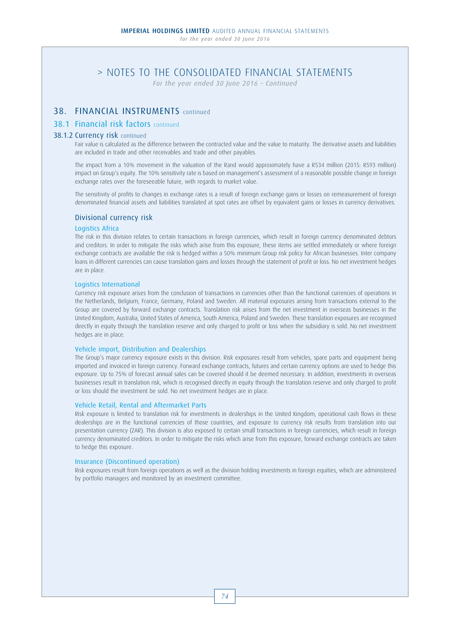*For the year ended 30 June 2016 – Continued*

# 38. FINANCIAL INSTRUMENTS continued

## 38.1 Financial risk factors continued

### 38.1.2 Currency risk continued

 Fair value is calculated as the difference between the contracted value and the value to maturity. The derivative assets and liabilities are included in trade and other receivables and trade and other payables.

 The impact from a 10% movement in the valuation of the Rand would approximately have a R534 million (2015: R593 million) impact on Group's equity. The 10% sensitivity rate is based on management's assessment of a reasonable possible change in foreign exchange rates over the foreseeable future, with regards to market value.

 The sensitivity of profits to changes in exchange rates is a result of foreign exchange gains or losses on remeasurement of foreign denominated financial assets and liabilities translated at spot rates are offset by equivalent gains or losses in currency derivatives.

### Divisional currency risk

## Logistics Africa

 The risk in this division relates to certain transactions in foreign currencies, which result in foreign currency denominated debtors and creditors. In order to mitigate the risks which arise from this exposure, these items are settled immediately or where foreign exchange contracts are available the risk is hedged within a 50% minimum Group risk policy for African businesses. Inter company loans in different currencies can cause translation gains and losses through the statement of profit or loss. No net investment hedges are in place.

### Logistics International

 Currency risk exposure arises from the conclusion of transactions in currencies other than the functional currencies of operations in the Netherlands, Belgium, France, Germany, Poland and Sweden. All material exposures arising from transactions external to the Group are covered by forward exchange contracts. Translation risk arises from the net investment in overseas businesses in the United Kingdom, Australia, United States of America, South America, Poland and Sweden. These translation exposures are recognised directly in equity through the translation reserve and only charged to profit or loss when the subsidiary is sold. No net investment hedges are in place.

### Vehicle import, Distribution and Dealerships

 The Group's major currency exposure exists in this division. Risk exposures result from vehicles, spare parts and equipment being imported and invoiced in foreign currency. Forward exchange contracts, futures and certain currency options are used to hedge this exposure. Up to 75% of forecast annual sales can be covered should it be deemed necessary. In addition, investments in overseas businesses result in translation risk, which is recognised directly in equity through the translation reserve and only charged to profit or loss should the investment be sold. No net investment hedges are in place.

### Vehicle Retail, Rental and Aftermarket Parts

 Risk exposure is limited to translation risk for investments in dealerships in the United Kingdom, operational cash flows in these dealerships are in the functional currencies of those countries, and exposure to currency risk results from translation into our presentation currency (ZAR). This division is also exposed to certain small transactions in foreign currencies, which result in foreign currency denominated creditors. In order to mitigate the risks which arise from this exposure, forward exchange contracts are taken to hedge this exposure.

### Insurance (Discontinued operation)

 Risk exposures result from foreign operations as well as the division holding investments in foreign equities, which are administered by portfolio managers and monitored by an investment committee.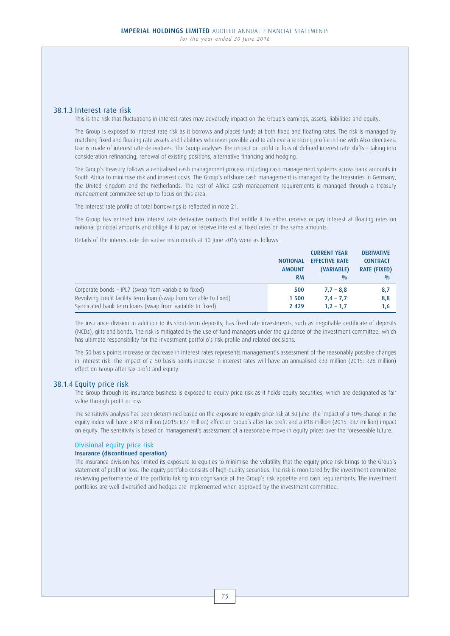### 38.1.3 Interest rate risk

This is the risk that fluctuations in interest rates may adversely impact on the Group's earnings, assets, liabilities and equity.

 The Group is exposed to interest rate risk as it borrows and places funds at both fixed and floating rates. The risk is managed by matching fixed and floating rate assets and liabilities wherever possible and to achieve a repricing profile in line with Alco directives. Use is made of interest rate derivatives. The Group analyses the impact on profit or loss of defined interest rate shifts – taking into consideration refinancing, renewal of existing positions, alternative financing and hedging.

 The Group's treasury follows a centralised cash management process including cash management systems across bank accounts in South Africa to minimise risk and interest costs. The Group's offshore cash management is managed by the treasuries in Germany, the United Kingdom and the Netherlands. The rest of Africa cash management requirements is managed through a treasury management committee set up to focus on this area.

The interest rate profile of total borrowings is reflected in note 21.

 The Group has entered into interest rate derivative contracts that entitle it to either receive or pay interest at floating rates on notional principal amounts and oblige it to pay or receive interest at fixed rates on the same amounts.

Details of the interest rate derivative instruments at 30 June 2016 were as follows:

|                                                                   |                 | <b>CURRENT YEAR</b>   | <b>DERIVATIVE</b>   |
|-------------------------------------------------------------------|-----------------|-----------------------|---------------------|
|                                                                   | <b>NOTIONAL</b> | <b>EFFECTIVE RATE</b> | <b>CONTRACT</b>     |
|                                                                   | <b>AMOUNT</b>   | (VARIABLE)            | <b>RATE (FIXED)</b> |
|                                                                   | <b>RM</b>       | 0/0                   | 0/0                 |
| Corporate bonds - IPL7 (swap from variable to fixed)              | 500             | $7.7 - 8.8$           | 8,7                 |
| Revolving credit facility term loan (swap from variable to fixed) | 1 500           | $7,4 - 7,7$           | 8,8                 |
| Syndicated bank term loans (swap from variable to fixed)          | 2 4 2 9         | $1.2 - 1.7$           | 1,6                 |

 The insurance division in addition to its short-term deposits, has fixed rate investments, such as negotiable certificate of deposits (NCDs), gilts and bonds. The risk is mitigated by the use of fund managers under the guidance of the investment committee, which has ultimate responsibility for the investment portfolio's risk profile and related decisions.

 The 50 basis points increase or decrease in interest rates represents management's assessment of the reasonably possible changes in interest risk. The impact of a 50 basis points increase in interest rates will have an annualised R33 million (2015: R26 million) effect on Group after tax profit and equity.

### 38.1.4 Equity price risk

 The Group through its insurance business is exposed to equity price risk as it holds equity securities, which are designated as fair value through profit or loss.

 The sensitivity analysis has been determined based on the exposure to equity price risk at 30 June. The impact of a 10% change in the equity index will have a R18 million (2015: R37 million) effect on Group's after tax profit and a R18 million (2015: R37 million) impact on equity. The sensitivity is based on management's assessment of a reasonable move in equity prices over the foreseeable future.

### Divisional equity price risk

#### Insurance (discontinued operation)

 The insurance division has limited its exposure to equities to minimise the volatility that the equity price risk brings to the Group's statement of profit or loss. The equity portfolio consists of high-quality securities. The risk is monitored by the investment committee reviewing performance of the portfolio taking into cognisance of the Group's risk appetite and cash requirements. The investment portfolios are well diversified and hedges are implemented when approved by the investment committee.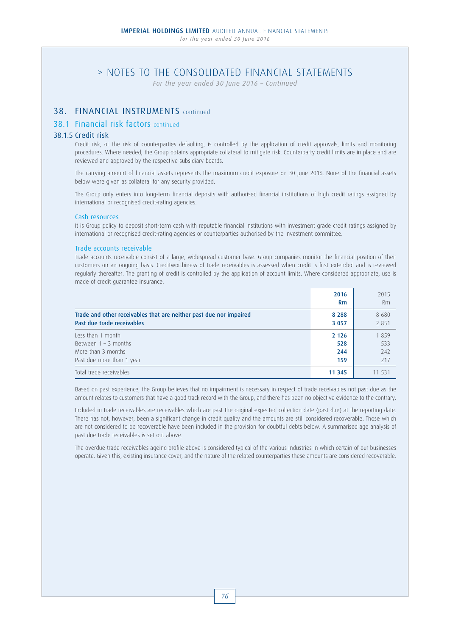*For the year ended 30 June 2016 – Continued*

## 38. FINANCIAL INSTRUMENTS continued

## 38.1 Financial risk factors continued

### 38.1.5 Credit risk

 Credit risk, or the risk of counterparties defaulting, is controlled by the application of credit approvals, limits and monitoring procedures. Where needed, the Group obtains appropriate collateral to mitigate risk. Counterparty credit limits are in place and are reviewed and approved by the respective subsidiary boards.

 The carrying amount of financial assets represents the maximum credit exposure on 30 June 2016. None of the financial assets below were given as collateral for any security provided.

 The Group only enters into long-term financial deposits with authorised financial institutions of high credit ratings assigned by international or recognised credit-rating agencies.

### Cash resources

 It is Group policy to deposit short-term cash with reputable financial institutions with investment grade credit ratings assigned by international or recognised credit-rating agencies or counterparties authorised by the investment committee.

### Trade accounts receivable

 Trade accounts receivable consist of a large, widespread customer base. Group companies monitor the financial position of their customers on an ongoing basis. Creditworthiness of trade receivables is assessed when credit is first extended and is reviewed regularly thereafter. The granting of credit is controlled by the application of account limits. Where considered appropriate, use is made of credit guarantee insurance.

|                                                                    | 2016<br>Rm | 2015<br>Rm |
|--------------------------------------------------------------------|------------|------------|
| Trade and other receivables that are neither past due nor impaired | 8 2 8 8    | 8680       |
| Past due trade receivables                                         | 3 0 5 7    | 2 8 5 1    |
| Less than 1 month                                                  | 2 1 2 6    | 1859       |
| Between $1 - 3$ months                                             | 528        | 533        |
| More than 3 months                                                 | 244        | 242        |
| Past due more than 1 year                                          | 159        | 217        |
| Total trade receivables                                            | 11 3 45    | 11 531     |

 Based on past experience, the Group believes that no impairment is necessary in respect of trade receivables not past due as the amount relates to customers that have a good track record with the Group, and there has been no objective evidence to the contrary.

 Included in trade receivables are receivables which are past the original expected collection date (past due) at the reporting date. There has not, however, been a significant change in credit quality and the amounts are still considered recoverable. Those which are not considered to be recoverable have been included in the provision for doubtful debts below. A summarised age analysis of past due trade receivables is set out above.

 The overdue trade receivables ageing profile above is considered typical of the various industries in which certain of our businesses operate. Given this, existing insurance cover, and the nature of the related counterparties these amounts are considered recoverable.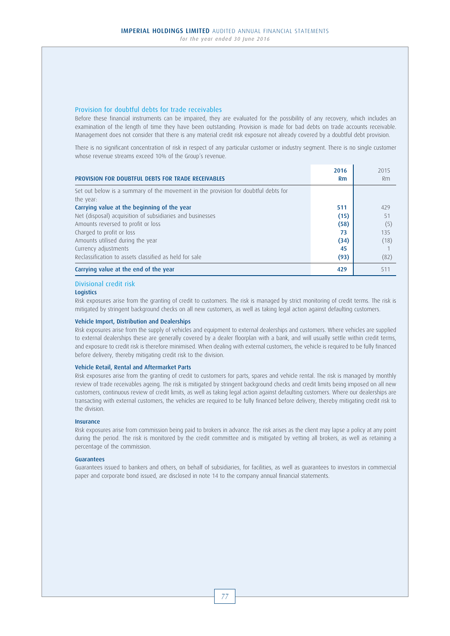### Provision for doubtful debts for trade receivables

 Before these financial instruments can be impaired, they are evaluated for the possibility of any recovery, which includes an examination of the length of time they have been outstanding. Provision is made for bad debts on trade accounts receivable. Management does not consider that there is any material credit risk exposure not already covered by a doubtful debt provision.

 There is no significant concentration of risk in respect of any particular customer or industry segment. There is no single customer whose revenue streams exceed 10% of the Group's revenue.

|                                                                                    | 2016 | 2015 |
|------------------------------------------------------------------------------------|------|------|
| PROVISION FOR DOUBTFUL DEBTS FOR TRADE RECEIVABLES                                 | Rm   | Rm   |
| Set out below is a summary of the movement in the provision for doubtful debts for |      |      |
| the year:                                                                          |      |      |
| Carrying value at the beginning of the year                                        | 511  | 429  |
| Net (disposal) acquisition of subsidiaries and businesses                          | (15) | 51   |
| Amounts reversed to profit or loss                                                 | (58) | (5)  |
| Charged to profit or loss                                                          | 73   | 135  |
| Amounts utilised during the year                                                   | (34) | (18) |
| Currency adjustments                                                               | 45   |      |
| Reclassification to assets classified as held for sale                             | (93) | (82) |
| Carrying value at the end of the year                                              | 429  | 511  |

### Divisional credit risk

### **Logistics**

 Risk exposures arise from the granting of credit to customers. The risk is managed by strict monitoring of credit terms. The risk is mitigated by stringent background checks on all new customers, as well as taking legal action against defaulting customers.

#### Vehicle Import, Distribution and Dealerships

 Risk exposures arise from the supply of vehicles and equipment to external dealerships and customers. Where vehicles are supplied to external dealerships these are generally covered by a dealer floorplan with a bank, and will usually settle within credit terms, and exposure to credit risk is therefore minimised. When dealing with external customers, the vehicle is required to be fully financed before delivery, thereby mitigating credit risk to the division.

## Vehicle Retail, Rental and Aftermarket Parts

 Risk exposures arise from the granting of credit to customers for parts, spares and vehicle rental. The risk is managed by monthly review of trade receivables ageing. The risk is mitigated by stringent background checks and credit limits being imposed on all new customers, continuous review of credit limits, as well as taking legal action against defaulting customers. Where our dealerships are transacting with external customers, the vehicles are required to be fully financed before delivery, thereby mitigating credit risk to the division.

#### Insurance

 Risk exposures arise from commission being paid to brokers in advance. The risk arises as the client may lapse a policy at any point during the period. The risk is monitored by the credit committee and is mitigated by vetting all brokers, as well as retaining a percentage of the commission.

#### Guarantees

 Guarantees issued to bankers and others, on behalf of subsidiaries, for facilities, as well as guarantees to investors in commercial paper and corporate bond issued, are disclosed in note 14 to the company annual financial statements.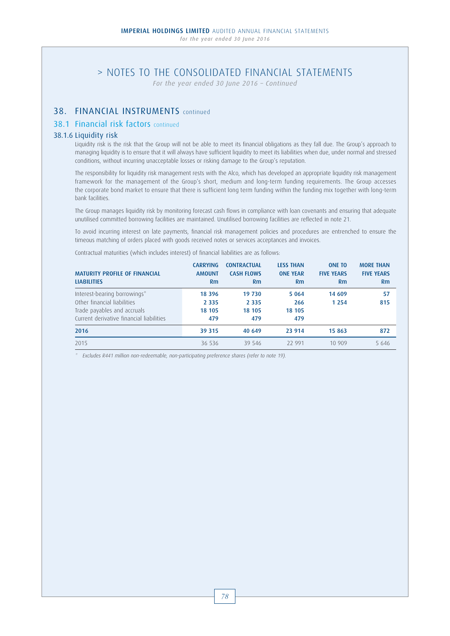*For the year ended 30 June 2016 – Continued*

# 38. FINANCIAL INSTRUMENTS continued

## 38.1 Financial risk factors continued

### 38.1.6 Liquidity risk

 Liquidity risk is the risk that the Group will not be able to meet its financial obligations as they fall due. The Group's approach to managing liquidity is to ensure that it will always have sufficient liquidity to meet its liabilities when due, under normal and stressed conditions, without incurring unacceptable losses or risking damage to the Group's reputation.

 The responsibility for liquidity risk management rests with the Alco, which has developed an appropriate liquidity risk management framework for the management of the Group's short, medium and long-term funding requirements. The Group accesses the corporate bond market to ensure that there is sufficient long term funding within the funding mix together with long-term bank facilities.

 The Group manages liquidity risk by monitoring forecast cash flows in compliance with loan covenants and ensuring that adequate unutilised committed borrowing facilities are maintained. Unutilised borrowing facilities are reflected in note 21.

 To avoid incurring interest on late payments, financial risk management policies and procedures are entrenched to ensure the timeous matching of orders placed with goods received notes or services acceptances and invoices.

Contractual maturities (which includes interest) of financial liabilities are as follows:

| <b>MATURITY PROFILE OF FINANCIAL</b><br><b>LIABILITIES</b> | <b>CARRYING</b><br><b>AMOUNT</b><br>Rm | <b>CONTRACTUAL</b><br><b>CASH FLOWS</b><br>Rm | <b>LESS THAN</b><br><b>ONE YEAR</b><br><b>Rm</b> | <b>ONE TO</b><br><b>FIVE YEARS</b><br><b>Rm</b> | <b>MORE THAN</b><br><b>FIVE YEARS</b><br><b>Rm</b> |
|------------------------------------------------------------|----------------------------------------|-----------------------------------------------|--------------------------------------------------|-------------------------------------------------|----------------------------------------------------|
| Interest-bearing borrowings*                               | 18 3 9 6                               | 19 730                                        | 5 0 6 4                                          | 14 609                                          | 57                                                 |
| Other financial liabilities                                | 2 3 3 5                                | 2 3 3 5                                       | 266                                              | 1 2 5 4                                         | 815                                                |
| Trade payables and accruals                                | 18 105                                 | 18 105                                        | 18 105                                           |                                                 |                                                    |
| Current derivative financial liabilities                   | 479                                    | 479                                           | 479                                              |                                                 |                                                    |
| 2016                                                       | 39 315                                 | 40 649                                        | 23 9 14                                          | 15 863                                          | 872                                                |
| 2015                                                       | 36 536                                 | 39 546                                        | 22 991                                           | 10 909                                          | 5 646                                              |

Excludes R441 million non-redeemable, non-participating preference shares (refer to note 19).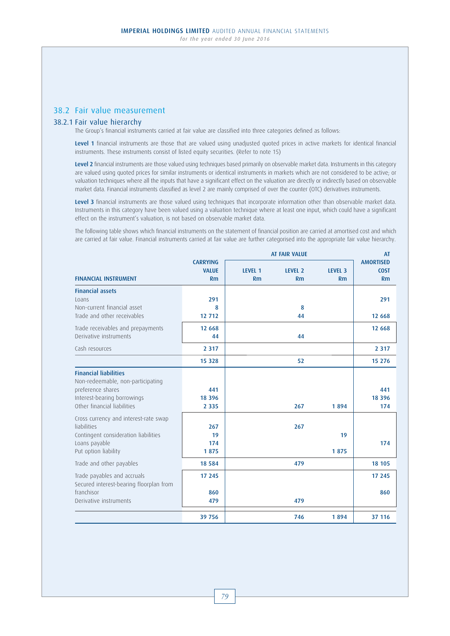## 38.2 Fair value measurement

## 38.2.1 Fair value hierarchy

The Group's financial instruments carried at fair value are classified into three categories defined as follows:

Level 1 financial instruments are those that are valued using unadjusted quoted prices in active markets for identical financial instruments. These instruments consist of listed equity securities. (Refer to note 15)

Level 2 financial instruments are those valued using techniques based primarily on observable market data. Instruments in this category are valued using quoted prices for similar instruments or identical instruments in markets which are not considered to be active; or valuation techniques where all the inputs that have a significant effect on the valuation are directly or indirectly based on observable market data. Financial instruments classified as level 2 are mainly comprised of over the counter (OTC) derivatives instruments.

Level 3 financial instruments are those valued using techniques that incorporate information other than observable market data. Instruments in this category have been valued using a valuation technique where at least one input, which could have a significant effect on the instrument's valuation, is not based on observable market data.

 The following table shows which financial instruments on the statement of financial position are carried at amortised cost and which are carried at fair value. Financial instruments carried at fair value are further categorised into the appropriate fair value hierarchy.

|                                                                                                                                                      |                            | <b>AT FAIR VALUE</b> |                      |                      |                        |
|------------------------------------------------------------------------------------------------------------------------------------------------------|----------------------------|----------------------|----------------------|----------------------|------------------------|
|                                                                                                                                                      | <b>CARRYING</b>            |                      |                      |                      | <b>AMORTISED</b>       |
| <b>FINANCIAL INSTRUMENT</b>                                                                                                                          | <b>VALUE</b><br>Rm         | <b>LEVEL 1</b><br>Rm | <b>LEVEL 2</b><br>Rm | <b>LEVEL 3</b><br>Rm | <b>COST</b><br>Rm      |
|                                                                                                                                                      |                            |                      |                      |                      |                        |
| <b>Financial assets</b>                                                                                                                              |                            |                      |                      |                      |                        |
| Loans                                                                                                                                                | 291                        |                      |                      |                      | 291                    |
| Non-current financial asset<br>Trade and other receivables                                                                                           | 8<br>12 712                |                      | 8<br>44              |                      | 12 6 68                |
|                                                                                                                                                      |                            |                      |                      |                      |                        |
| Trade receivables and prepayments                                                                                                                    | 12 6 68                    |                      |                      |                      | 12 6 68                |
| Derivative instruments                                                                                                                               | 44                         |                      | 44                   |                      |                        |
| Cash resources                                                                                                                                       | 2 3 1 7                    |                      |                      |                      | 2 3 1 7                |
|                                                                                                                                                      | 15 3 28                    |                      | 52                   |                      | 15 276                 |
| <b>Financial liabilities</b><br>Non-redeemable, non-participating<br>preference shares<br>Interest-bearing borrowings<br>Other financial liabilities | 441<br>18 3 9 6<br>2 3 3 5 |                      | 267                  | 1894                 | 441<br>18 3 9 6<br>174 |
| Cross currency and interest-rate swap<br><b>liabilities</b><br>Contingent consideration liabilities<br>Loans payable<br>Put option liability         | 267<br>19<br>174<br>1875   |                      | 267                  | 19<br>1875           | 174                    |
| Trade and other payables                                                                                                                             | 18 5 8 4                   |                      | 479                  |                      | 18 10 5                |
| Trade payables and accruals<br>Secured interest-bearing floorplan from                                                                               | 17 245                     |                      |                      |                      | 17 245                 |
| franchisor<br>Derivative instruments                                                                                                                 | 860<br>479                 |                      | 479                  |                      | 860                    |
|                                                                                                                                                      | 39 756                     |                      | 746                  | 1894                 | 37 116                 |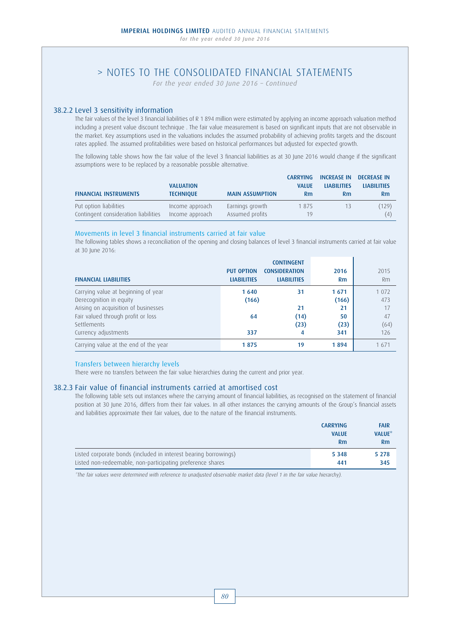*For the year ended 30 June 2016 – Continued*

## 38.2.2 Level 3 sensitivity information

 The fair values of the level 3 financial liabilities of R 1 894 million were estimated by applying an income approach valuation method including a present value discount technique . The fair value measurement is based on significant inputs that are not observable in the market. Key assumptions used in the valuations includes the assumed probability of achieving profits targets and the discount rates applied. The assumed profitabilities were based on historical performances but adjusted for expected growth.

The following table shows how the fair value of the level 3 financial liabilities as at 30 June 2016 would change if the significant assumptions were to be replaced by a reasonable possible alternative.

|                                      |                  |                        | <b>CARRYING</b> | <b>INCREASE IN</b> | <b>DECREASE IN</b> |
|--------------------------------------|------------------|------------------------|-----------------|--------------------|--------------------|
|                                      | <b>VALUATION</b> |                        | <b>VALUE</b>    | <b>LIABILITIES</b> | <b>LIABILITIES</b> |
| <b>FINANCIAL INSTRUMENTS</b>         | <b>TECHNIOUE</b> | <b>MAIN ASSUMPTION</b> | Rm              | R <sub>m</sub>     | <b>Rm</b>          |
| Put option liabilities               | Income approach  | Earnings growth        | 1875            | 13                 | (129)              |
| Contingent consideration liabilities | Income approach  | Assumed profits        | 19              |                    | (4)                |

### Movements in level 3 financial instruments carried at fair value

 The following tables shows a reconciliation of the opening and closing balances of level 3 financial instruments carried at fair value at 30 June 2016:

| <b>FINANCIAL LIABILITIES</b>          | <b>PUT OPTION</b><br><b>LIABILITIES</b> | <b>CONTINGENT</b><br><b>CONSIDERATION</b><br><b>LIABILITIES</b> | 2016<br><b>Rm</b> | 2015<br>Rm |
|---------------------------------------|-----------------------------------------|-----------------------------------------------------------------|-------------------|------------|
| Carrying value at beginning of year   | 1640                                    | 31                                                              | 1671              | 1 0 7 2    |
| Derecognition in equity               | (166)                                   |                                                                 | (166)             | 473        |
| Arising on acquisition of businesses  |                                         | 21                                                              | 21                | 17         |
| Fair valued through profit or loss    | 64                                      | (14)                                                            | 50                | 47         |
| Settlements                           |                                         | (23)                                                            | (23)              | (64)       |
| Currency adjustments                  | 337                                     | 4                                                               | 341               | 126        |
| Carrying value at the end of the year | 1875                                    | 19                                                              | 1894              | 1 671      |

## Transfers between hierarchy levels

There were no transfers between the fair value hierarchies during the current and prior year.

## 38.2.3 Fair value of financial instruments carried at amortised cost

 The following table sets out instances where the carrying amount of financial liabilities, as recognised on the statement of financial position at 30 June 2016, differs from their fair values. In all other instances the carrying amounts of the Group's financial assets and liabilities approximate their fair values, due to the nature of the financial instruments.

|                                                                  | <b>CARRYING</b> | <b>FAIR</b>    |
|------------------------------------------------------------------|-----------------|----------------|
|                                                                  | <b>VALUE</b>    | <b>VALUE</b> * |
|                                                                  | Rm              | <b>Rm</b>      |
| Listed corporate bonds (included in interest bearing borrowings) | 5 3 4 8         | 5 2 7 8        |
| Listed non-redeemable, non-participating preference shares       | 441             | 345            |

\*The fair values were determined with reference to unadjusted observable market data (level 1 in the fair value hierarchy).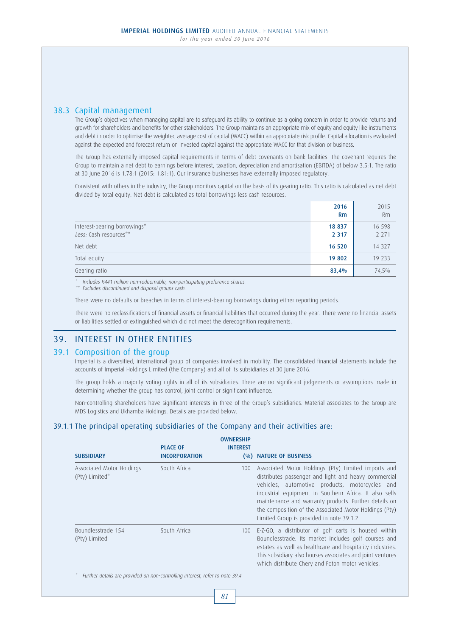## 38.3 Capital management

 The Group's objectives when managing capital are to safeguard its ability to continue as a going concern in order to provide returns and growth for shareholders and benefits for other stakeholders. The Group maintains an appropriate mix of equity and equity like instruments and debt in order to optimise the weighted average cost of capital (WACC) within an appropriate risk profile. Capital allocation is evaluated against the expected and forecast return on invested capital against the appropriate WACC for that division or business.

 The Group has externally imposed capital requirements in terms of debt covenants on bank facilities. The covenant requires the Group to maintain a net debt to earnings before interest, taxation, depreciation and amortisation (EBITDA) of below 3.5:1. The ratio at 30 June 2016 is 1.78:1 (2015: 1.81:1). Our insurance businesses have externally imposed regulatory.

 Consistent with others in the industry, the Group monitors capital on the basis of its gearing ratio. This ratio is calculated as net debt divided by total equity. Net debt is calculated as total borrowings less cash resources.

|                                                        | 2016<br><b>Rm</b> | 2015<br>Rm        |
|--------------------------------------------------------|-------------------|-------------------|
| Interest-bearing borrowings*<br>Less: Cash resources** | 18 837<br>2 3 1 7 | 16 598<br>2 2 7 1 |
| Net debt                                               | 16 520            | 14 3 2 7          |
| Total equity                                           | 19 802            | 19 233            |
| Gearing ratio                                          | 83,4%             | 74,5%             |

Includes R441 million non-redeemable, non-participating preference shares.

\*\* Excludes discontinued and disposal groups cash.

There were no defaults or breaches in terms of interest-bearing borrowings during either reporting periods.

 There were no reclassifications of financial assets or financial liabilities that occurred during the year. There were no financial assets or liabilities settled or extinguished which did not meet the derecognition requirements.

# 39. INTEREST IN OTHER ENTITIES

## 39.1 Composition of the group

 Imperial is a diversified, international group of companies involved in mobility. The consolidated financial statements include the accounts of Imperial Holdings Limited (the Company) and all of its subsidiaries at 30 June 2016.

 The group holds a majority voting rights in all of its subsidiaries. There are no significant judgements or assumptions made in determining whether the group has control, joint control or significant influence.

 Non-controlling shareholders have significant interests in three of the Group's subsidiaries. Material associates to the Group are MDS Logistics and Ukhamba Holdings. Details are provided below.

## 39.1.1 The principal operating subsidiaries of the Company and their activities are:

|                                             |                                         | <b>OWNERSHIP</b>         |                                                                                                                                                                                                                                                                                                                                                                                         |
|---------------------------------------------|-----------------------------------------|--------------------------|-----------------------------------------------------------------------------------------------------------------------------------------------------------------------------------------------------------------------------------------------------------------------------------------------------------------------------------------------------------------------------------------|
| <b>SUBSIDIARY</b>                           | <b>PLACE OF</b><br><b>INCORPORATION</b> | <b>INTEREST</b><br>(0/0) | <b>NATURE OF BUSINESS</b>                                                                                                                                                                                                                                                                                                                                                               |
| Associated Motor Holdings<br>(Pty) Limited* | South Africa                            | 100                      | Associated Motor Holdings (Pty) Limited imports and<br>distributes passenger and light and heavy commercial<br>vehicles, automotive products, motorcycles and<br>industrial equipment in Southern Africa. It also sells<br>maintenance and warranty products. Further details on<br>the composition of the Associated Motor Holdings (Pty)<br>Limited Group is provided in note 39.1.2. |
| Boundlesstrade 154<br>(Pty) Limited         | South Africa                            | 100                      | E-Z-GO, a distributor of golf carts is housed within<br>Boundlesstrade. Its market includes golf courses and<br>estates as well as healthcare and hospitality industries.<br>This subsidiary also houses associates and joint ventures<br>which distribute Chery and Foton motor vehicles.                                                                                              |

\* Further details are provided on non-controlling interest, refer to note 39.4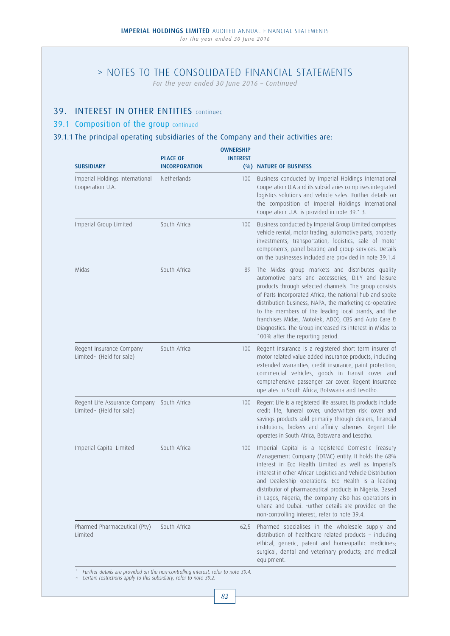*For the year ended 30 June 2016 – Continued*

## 39. INTEREST IN OTHER ENTITIES continued

## 39.1 Composition of the group continued

## 39.1.1 The principal operating subsidiaries of the Company and their activities are:

| <b>PLACE OF</b><br><b>INCORPORATION</b> | <b>OWNERSHIP</b><br><b>INTEREST</b> | (%) NATURE OF BUSINESS                                                                                                                                                                                                                                                                                                                                                                                                                                                                                               |
|-----------------------------------------|-------------------------------------|----------------------------------------------------------------------------------------------------------------------------------------------------------------------------------------------------------------------------------------------------------------------------------------------------------------------------------------------------------------------------------------------------------------------------------------------------------------------------------------------------------------------|
| Netherlands                             | 100                                 | Business conducted by Imperial Holdings International<br>Cooperation U.A and its subsidiaries comprises integrated<br>logistics solutions and vehicle sales. Further details on<br>the composition of Imperial Holdings International<br>Cooperation U.A. is provided in note 39.1.3.                                                                                                                                                                                                                                |
| South Africa                            | 100                                 | Business conducted by Imperial Group Limited comprises<br>vehicle rental, motor trading, automotive parts, property<br>investments, transportation, logistics, sale of motor<br>components, panel beating and group services. Details<br>on the businesses included are provided in note 39.1.4                                                                                                                                                                                                                      |
| South Africa                            | 89                                  | The Midas group markets and distributes quality<br>automotive parts and accessories, D.I.Y and leisure<br>products through selected channels. The group consists<br>of Parts Incorporated Africa, the national hub and spoke<br>distribution business, NAPA, the marketing co-operative<br>to the members of the leading local brands, and the<br>franchises Midas, Motolek, ADCO, CBS and Auto Care &<br>Diagnostics. The Group increased its interest in Midas to<br>100% after the reporting period.              |
| South Africa                            | 100                                 | Regent Insurance is a registered short term insurer of<br>motor related value added insurance products, including<br>extended warranties, credit insurance, paint protection,<br>commercial vehicles, goods in transit cover and<br>comprehensive passenger car cover. Regent Insurance<br>operates in South Africa, Botswana and Lesotho.                                                                                                                                                                           |
| South Africa                            | 100                                 | Regent Life is a registered life assurer. Its products include<br>credit life, funeral cover, underwritten risk cover and<br>savings products sold primarily through dealers, financial<br>institutions, brokers and affinity schemes. Regent Life<br>operates in South Africa, Botswana and Lesotho.                                                                                                                                                                                                                |
| South Africa                            | 100                                 | Imperial Capital is a registered Domestic Treasury<br>Management Company (DTMC) entity. It holds the 68%<br>interest in Eco Health Limited as well as Imperial's<br>interest in other African Logistics and Vehicle Distribution<br>and Dealership operations. Eco Health is a leading<br>distributor of pharmaceutical products in Nigeria. Based<br>in Lagos, Nigeria, the company also has operations in<br>Ghana and Dubai. Further details are provided on the<br>non-controlling interest, refer to note 39.4. |
| South Africa                            | 62,5                                | Pharmed specialises in the wholesale supply and<br>distribution of healthcare related products - including<br>ethical, generic, patent and homeopathic medicines;<br>surgical, dental and veterinary products; and medical<br>equipment.                                                                                                                                                                                                                                                                             |
|                                         |                                     |                                                                                                                                                                                                                                                                                                                                                                                                                                                                                                                      |

\* Further details are provided on the non-controlling interest, refer to note 39.4. ~ Certain restrictions apply to this subsidiary, refer to note 39.2.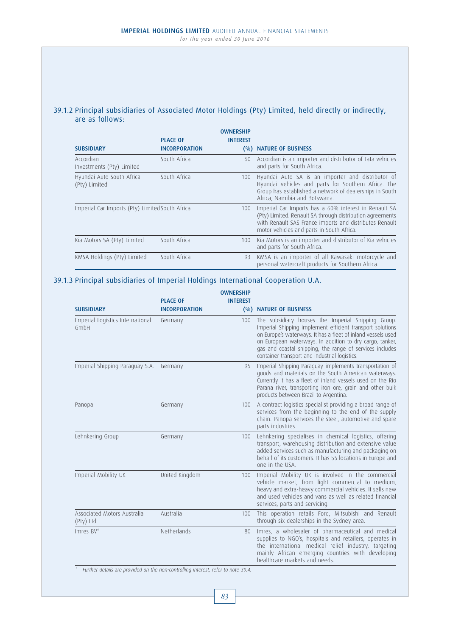## 39.1.2 Principal subsidiaries of Associated Motor Holdings (Pty) Limited, held directly or indirectly, are as follows:

|                                                 |                      | <b>OWNERSHIP</b> |                                                                                                                                                                                                                            |
|-------------------------------------------------|----------------------|------------------|----------------------------------------------------------------------------------------------------------------------------------------------------------------------------------------------------------------------------|
|                                                 | <b>PLACE OF</b>      | <b>INTEREST</b>  |                                                                                                                                                                                                                            |
| <b>SUBSIDIARY</b>                               | <b>INCORPORATION</b> | $($ %)           | <b>NATURE OF BUSINESS</b>                                                                                                                                                                                                  |
| Accordian<br>Investments (Pty) Limited          | South Africa         | 60               | Accordian is an importer and distributor of Tata vehicles<br>and parts for South Africa.                                                                                                                                   |
| Hyundai Auto South Africa<br>(Pty) Limited      | South Africa         | 100              | Hyundai Auto SA is an importer and distributor of<br>Hyundai vehicles and parts for Southern Africa. The<br>Group has established a network of dealerships in South<br>Africa, Namibia and Botswana.                       |
| Imperial Car Imports (Pty) Limited South Africa |                      | 100              | Imperial Car Imports has a 60% interest in Renault SA<br>(Pty) Limited. Renault SA through distribution agreements<br>with Renault SAS France imports and distributes Renault<br>motor vehicles and parts in South Africa. |
| Kia Motors SA (Pty) Limited                     | South Africa         | 100              | Kia Motors is an importer and distributor of Kia vehicles<br>and parts for South Africa.                                                                                                                                   |
| KMSA Holdings (Pty) Limited                     | South Africa         | 93               | KMSA is an importer of all Kawasaki motorcycle and<br>personal watercraft products for Southern Africa.                                                                                                                    |

# 39.1.3 Principal subsidiaries of Imperial Holdings International Cooperation U.A.

|                      | <b>OWNERSHIP</b>                |                                                                                                                                                                                                                                                                                                                                                          |
|----------------------|---------------------------------|----------------------------------------------------------------------------------------------------------------------------------------------------------------------------------------------------------------------------------------------------------------------------------------------------------------------------------------------------------|
| <b>PLACE OF</b>      | <b>INTEREST</b>                 |                                                                                                                                                                                                                                                                                                                                                          |
| <b>INCORPORATION</b> |                                 | (%) NATURE OF BUSINESS                                                                                                                                                                                                                                                                                                                                   |
| Germany              | 100                             | The subsidiary houses the Imperial Shipping Group.<br>Imperial Shipping implement efficient transport solutions<br>on Europe's waterways. It has a fleet of inland vessels used<br>on European waterways. In addition to dry cargo, tanker,<br>gas and coastal shipping, the range of services includes<br>container transport and industrial logistics. |
| Germany              | 95                              | Imperial Shipping Paraguay implements transportation of<br>goods and materials on the South American waterways.<br>Currently it has a fleet of inland vessels used on the Rio<br>Parana river, transporting iron ore, grain and other bulk<br>products between Brazil to Argentina.                                                                      |
| Germany              | 100                             | A contract logistics specialist providing a broad range of<br>services from the beginning to the end of the supply<br>chain. Panopa services the steel, automotive and spare<br>parts industries.                                                                                                                                                        |
| Germany              | 100                             | Lehnkering specialises in chemical logistics, offering<br>transport, warehousing distribution and extensive value<br>added services such as manufacturing and packaging on<br>behalf of its customers. It has 55 locations in Europe and<br>one in the USA.                                                                                              |
| United Kingdom       | 100                             | Imperial Mobility UK is involved in the commercial<br>vehicle market, from light commercial to medium,<br>heavy and extra-heavy commercial vehicles. It sells new<br>and used vehicles and vans as well as related financial<br>services, parts and servicing.                                                                                           |
| Australia            | 100                             | This operation retails Ford, Mitsubishi and Renault<br>through six dealerships in the Sydney area.                                                                                                                                                                                                                                                       |
| Netherlands          | 80                              | Imres, a wholesaler of pharmaceutical and medical<br>supplies to NGO's, hospitals and retailers, operates in<br>the international medical relief industry, targeting<br>mainly African emerging countries with developing<br>healthcare markets and needs.                                                                                               |
|                      | Imperial Shipping Paraguay S.A. |                                                                                                                                                                                                                                                                                                                                                          |

\* Further details are provided on the non-controlling interest, refer to note 39.4.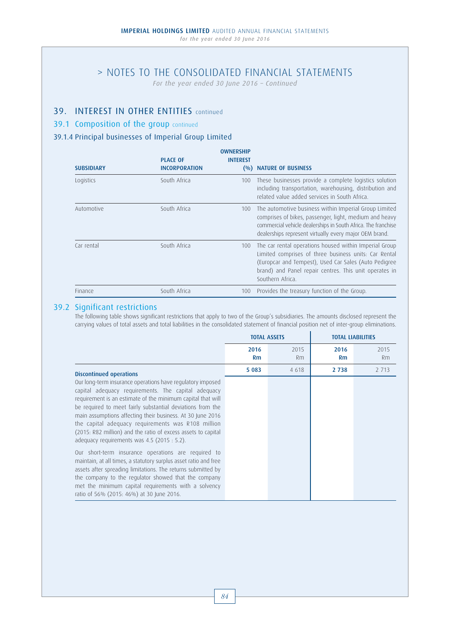# > NOTES TO THE CONSOLIDATED FINANCIAL STATEMENTS

*For the year ended 30 June 2016 – Continued*

# 39. INTEREST IN OTHER ENTITIES continued

## 39.1 Composition of the group continued

## 39.1.4 Principal businesses of Imperial Group Limited

| <b>SUBSIDIARY</b> | <b>PLACE OF</b><br><b>INCORPORATION</b> | <b>OWNERSHIP</b><br><b>INTEREST</b><br>$($ %) | <b>NATURE OF BUSINESS</b>                                                                                                                                                                                                                               |
|-------------------|-----------------------------------------|-----------------------------------------------|---------------------------------------------------------------------------------------------------------------------------------------------------------------------------------------------------------------------------------------------------------|
| Logistics         | South Africa                            | 100                                           | These businesses provide a complete logistics solution<br>including transportation, warehousing, distribution and<br>related value added services in South Africa.                                                                                      |
| Automotive        | South Africa                            | 100                                           | The automotive business within Imperial Group Limited<br>comprises of bikes, passenger, light, medium and heavy<br>commercial vehicle dealerships in South Africa. The franchise<br>dealerships represent virtually every major OEM brand.              |
| Car rental        | South Africa                            | 100                                           | The car rental operations housed within Imperial Group<br>Limited comprises of three business units: Car Rental<br>(Europcar and Tempest), Used Car Sales (Auto Pedigree)<br>brand) and Panel repair centres. This unit operates in<br>Southern Africa. |
| <b>Finance</b>    | South Africa                            | 100                                           | Provides the treasury function of the Group.                                                                                                                                                                                                            |

## 39.2 Significant restrictions

 The following table shows significant restrictions that apply to two of the Group's subsidiaries. The amounts disclosed represent the carrying values of total assets and total liabilities in the consolidated statement of financial position net of inter-group eliminations.

|                                                                                                                                                                                                                                                                                                                                                                                                                                                                                   | <b>TOTAL ASSETS</b> |            |            | <b>TOTAL LIABILITIES</b> |
|-----------------------------------------------------------------------------------------------------------------------------------------------------------------------------------------------------------------------------------------------------------------------------------------------------------------------------------------------------------------------------------------------------------------------------------------------------------------------------------|---------------------|------------|------------|--------------------------|
|                                                                                                                                                                                                                                                                                                                                                                                                                                                                                   | 2016<br>Rm          | 2015<br>Rm | 2016<br>Rm | 2015<br>Rm               |
| Discontinued operations                                                                                                                                                                                                                                                                                                                                                                                                                                                           | 5 0 8 3             | 4 6 18     | 2 7 3 8    | 2 7 1 3                  |
| Our long-term insurance operations have regulatory imposed<br>capital adequacy requirements. The capital adequacy<br>requirement is an estimate of the minimum capital that will<br>be required to meet fairly substantial deviations from the<br>main assumptions affecting their business. At 30 June 2016<br>the capital adequacy requirements was R108 million<br>(2015: R82 million) and the ratio of excess assets to capital<br>adequacy requirements was 4.5 (2015: 5.2). |                     |            |            |                          |
| Our short-term insurance operations are required to<br>maintain, at all times, a statutory surplus asset ratio and free<br>assets after spreading limitations. The returns submitted by<br>the company to the regulator showed that the company<br>met the minimum capital requirements with a solvency<br>ratio of 56% (2015: 46%) at 30 June 2016.                                                                                                                              |                     |            |            |                          |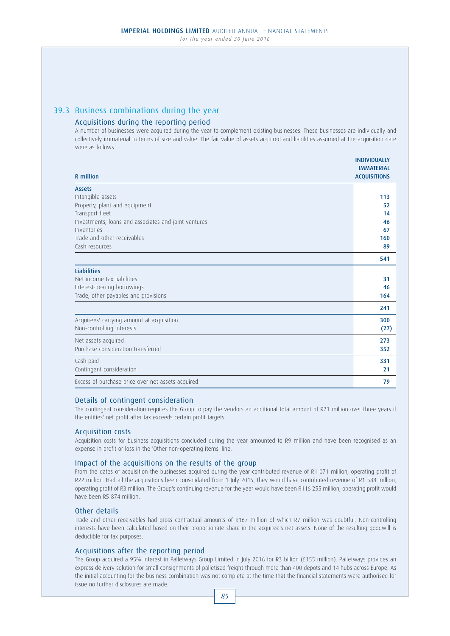# 39.3 Business combinations during the year

## Acquisitions during the reporting period

 A number of businesses were acquired during the year to complement existing businesses. These businesses are individually and collectively immaterial in terms of size and value. The fair value of assets acquired and liabilities assumed at the acquisition date were as follows.

| <b>R</b> million                                     | <b>INDIVIDUALLY</b><br><b>IMMATERIAL</b><br><b>ACQUISITIONS</b> |
|------------------------------------------------------|-----------------------------------------------------------------|
| <b>Assets</b>                                        |                                                                 |
| Intangible assets                                    | 113                                                             |
| Property, plant and equipment                        | 52                                                              |
| Transport fleet                                      | 14                                                              |
| Investments, loans and associates and joint ventures | 46                                                              |
| Inventories                                          | 67                                                              |
| Trade and other receivables                          | 160                                                             |
| Cash resources                                       | 89                                                              |
|                                                      | 541                                                             |
| <b>Liabilities</b>                                   |                                                                 |
| Net income tax liabilities                           | 31                                                              |
| Interest-bearing borrowings                          | 46                                                              |
| Trade, other payables and provisions                 | 164                                                             |
|                                                      | 241                                                             |
| Acquirees' carrying amount at acquisition            | 300                                                             |
| Non-controlling interests                            | (27)                                                            |
| Net assets acquired                                  | 273                                                             |
| Purchase consideration transferred                   | 352                                                             |
| Cash paid                                            | 331                                                             |
| Contingent consideration                             | 21                                                              |
| Excess of purchase price over net assets acquired    | 79                                                              |

## Details of contingent consideration

 The contingent consideration requires the Group to pay the vendors an additional total amount of R21 million over three years if the entities' net profit after tax exceeds certain profit targets.

## Acquisition costs

 Acquisition costs for business acquisitions concluded during the year amounted to R9 million and have been recognised as an expense in profit or loss in the 'Other non-operating items' line.

## Impact of the acquisitions on the results of the group

 From the dates of acquisition the businesses acquired during the year contributed revenue of R1 071 million, operating profit of R22 million. Had all the acquisitions been consolidated from 1 July 2015, they would have contributed revenue of R1 588 million, operating profit of R3 million. The Group's continuing revenue for the year would have been R116 255 million, operating profit would have been R5 874 million.

## Other details

 Trade and other receivables had gross contractual amounts of R167 million of which R7 million was doubtful. Non-controlling interests have been calculated based on their proportionate share in the acquiree's net assets. None of the resulting goodwill is deductible for tax purposes.

## Acquisitions after the reporting period

 The Group acquired a 95% interest in Palletways Group Limited in July 2016 for R3 billion (£155 million). Palletways provides an express delivery solution for small consignments of palletised freight through more than 400 depots and 14 hubs across Europe. As the initial accounting for the business combination was not complete at the time that the financial statements were authorised for issue no further disclosures are made.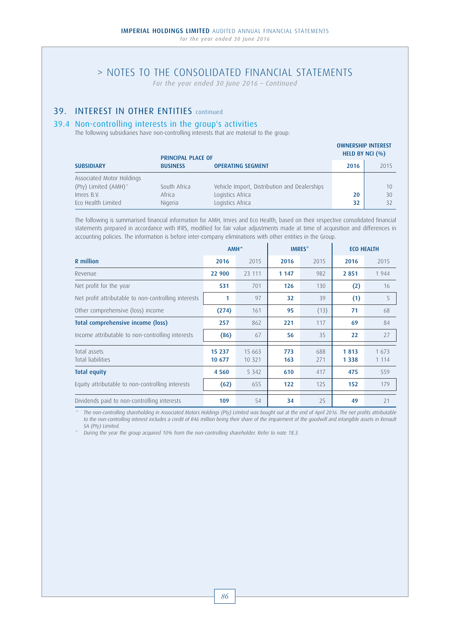*For the year ended 30 June 2016 – Continued*

## 39. INTEREST IN OTHER ENTITIES continued

## 39.4 Non-controlling interests in the group's activities

The following subsidiaries have non-controlling interests that are material to the group:

| <b>PRINCIPAL PLACE OF</b> |                 | HELD BY NCI $(\% )$                          |      |      |
|---------------------------|-----------------|----------------------------------------------|------|------|
| <b>SUBSIDIARY</b>         | <b>BUSINESS</b> | <b>OPERATING SEGMENT</b>                     | 2016 | 2015 |
| Associated Motor Holdings |                 |                                              |      |      |
| (Pty) Limited (AMH)^      | South Africa    | Vehicle Import, Distribution and Dealerships |      | 10   |
| Imres B.V.                | Africa          | Logistics Africa                             | 20   | 30   |
| Eco Health Limited        | Nigeria         | Logistics Africa                             | 32   | 32   |

OWNERSHIP INTEREST

 The following is summarised financial information for AMH, Imres and Eco Health, based on their respective consolidated financial statements prepared in accordance with IFRS, modified for fair value adjustments made at time of acquisition and differences in accounting policies. The information is before inter-company eliminations with other entities in the Group.

|                                                      | AMH <sup>^</sup> |                    | IMRES <sup>*</sup> |            | <b>ECO HEALTH</b> |                  |
|------------------------------------------------------|------------------|--------------------|--------------------|------------|-------------------|------------------|
| R million                                            | 2016             | 2015               | 2016               | 2015       | 2016              | 2015             |
| Revenue                                              | 22 900           | 23 111             | 1 1 4 7            | 982        | 2 8 5 1           | 1944             |
| Net profit for the year                              | 531              | 701                | 126                | 130        | (2)               | 16               |
| Net profit attributable to non-controlling interests | 1                | 97                 | 32                 | 39         | (1)               | 5                |
| Other comprehensive (loss) income                    | (274)            | 161                | 95                 | (13)       | 71                | 68               |
| Total comprehensive income (loss)                    | 257              | 862                | 221                | 117        | 69                | 84               |
| Income attributable to non-controlling interests     | (86)             | 67                 | 56                 | 35         | 22                | 27               |
| Total assets<br>Total liabilities                    | 15 237<br>10 677 | 15 663<br>10 3 2 1 | 773<br>163         | 688<br>271 | 1813<br>1 3 3 8   | 1 673<br>1 1 1 4 |
| <b>Total equity</b>                                  | 4 5 6 0          | 5 3 4 2            | 610                | 417        | 475               | 559              |
| Equity attributable to non-controlling interests     | (62)             | 655                | $122$              | 125        | 152               | 179              |
| Dividends paid to non-controlling interests          | 109              | 54                 | 34                 | 25         | 49                | 21               |

The non-controlling shareholding in Associated Motors Holdings (Pty) Limited was bought out at the end of April 2016. The net profits attributable to the non-controlling interest includes a credit of R46 million being their share of the impairment of the goodwill and intangible assets in Renault SA (Pty) Limited.

During the year the group acquired 10% from the non-controlling shareholder. Refer to note 18.3.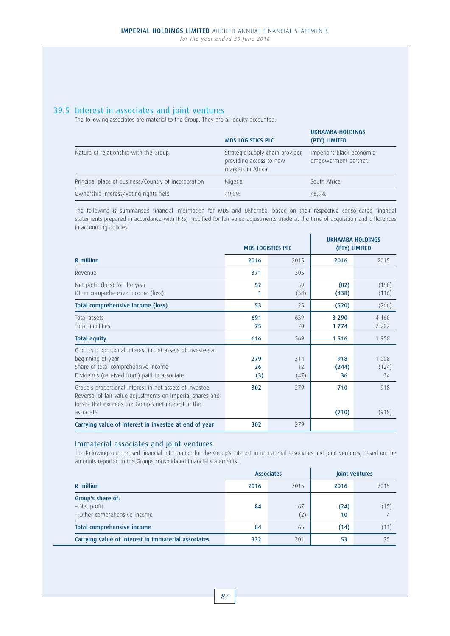## 39.5 Interest in associates and joint ventures

The following associates are material to the Group. They are all equity accounted.

|                                                      | <b>MDS LOGISTICS PLC</b>                                                          | <b>UKHAMBA HOLDINGS</b><br>(PTY) LIMITED          |
|------------------------------------------------------|-----------------------------------------------------------------------------------|---------------------------------------------------|
| Nature of relationship with the Group                | Strategic supply chain provider,<br>providing access to new<br>markets in Africa. | Imperial's black economic<br>empowerment partner. |
| Principal place of business/Country of incorporation | Nigeria                                                                           | South Africa                                      |
| Ownership interest/Voting rights held                | 49.0%                                                                             | 46,9%                                             |

 The following is summarised financial information for MDS and Ukhamba, based on their respective consolidated financial statements prepared in accordance with IFRS, modified for fair value adjustments made at the time of acquisition and differences in accounting policies.

|                                                                                                                                                                                          | <b>MDS LOGISTICS PLC</b> |                   |                    | <b>UKHAMBA HOLDINGS</b><br>(PTY) LIMITED |
|------------------------------------------------------------------------------------------------------------------------------------------------------------------------------------------|--------------------------|-------------------|--------------------|------------------------------------------|
| R million                                                                                                                                                                                | 2016                     | 2015              | 2016               | 2015                                     |
| Revenue                                                                                                                                                                                  | 371                      | 305               |                    |                                          |
| Net profit (loss) for the year<br>Other comprehensive income (loss)                                                                                                                      | 52<br>1                  | 59<br>(34)        | (82)<br>(438)      | (150)<br>(116)                           |
| Total comprehensive income (loss)                                                                                                                                                        | 53                       | 25                | (520)              | (266)                                    |
| Total assets<br>Total liabilities                                                                                                                                                        | 691<br>75                | 639<br>70         | 3 2 9 0<br>1 7 7 4 | 4 1 6 0<br>2 2 0 2                       |
| <b>Total equity</b>                                                                                                                                                                      | 616                      | 569               | 1516               | 1958                                     |
| Group's proportional interest in net assets of investee at<br>beginning of year<br>Share of total comprehensive income<br>Dividends (received from) paid to associate                    | 279<br>26<br>(3)         | 314<br>12<br>(47) | 918<br>(244)<br>36 | 1 008<br>(124)<br>34                     |
| Group's proportional interest in net assets of investee<br>Reversal of fair value adjustments on Imperial shares and<br>losses that exceeds the Group's net interest in the<br>associate | 302                      | 279               | 710<br>(710)       | 918<br>(918)                             |
| Carrying value of interest in investee at end of year                                                                                                                                    | 302                      | 279               |                    |                                          |

## Immaterial associates and joint ventures

 The following summarised financial information for the Group's interest in immaterial associates and joint ventures, based on the amounts reported in the Groups consolidated financial statements:

|                                                                   | <b>Associates</b> |           | Joint ventures |                        |  |
|-------------------------------------------------------------------|-------------------|-----------|----------------|------------------------|--|
| R million                                                         | 2016              | 2015      | 2016           | 2015                   |  |
| Group's share of:<br>- Net profit<br>- Other comprehensive income | 84                | 67<br>(2) | (24)<br>10     | (15)<br>$\overline{4}$ |  |
| Total comprehensive income                                        | 84                | 65        | (14)           | (11                    |  |
| Carrying value of interest in immaterial associates               | 332               | 301       | 53             |                        |  |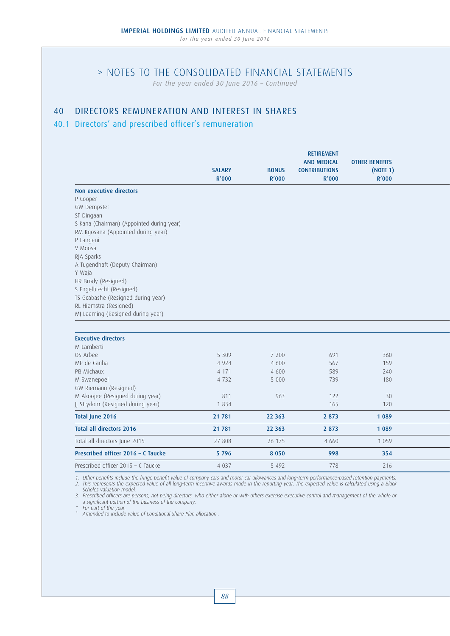*For the year ended 30 June 2016 – Continued*

## 40 DIRECTORS REMUNERATION AND INTEREST IN SHARES

## 40.1 Directors' and prescribed officer's remuneration

|                                           | <b>SALARY</b><br>R'000 | <b>BONUS</b><br>R'000 | <b>RETIREMENT</b><br><b>AND MEDICAL</b><br><b>CONTRIBUTIONS</b><br>R'000 | <b>OTHER BENEFITS</b><br>(NOTE 1)<br>R'000 |  |
|-------------------------------------------|------------------------|-----------------------|--------------------------------------------------------------------------|--------------------------------------------|--|
| Non executive directors                   |                        |                       |                                                                          |                                            |  |
| P Cooper                                  |                        |                       |                                                                          |                                            |  |
| GW Dempster                               |                        |                       |                                                                          |                                            |  |
| ST Dingaan                                |                        |                       |                                                                          |                                            |  |
| S Kana (Chairman) (Appointed during year) |                        |                       |                                                                          |                                            |  |
| RM Kgosana (Appointed during year)        |                        |                       |                                                                          |                                            |  |
| P Langeni                                 |                        |                       |                                                                          |                                            |  |
| V Moosa                                   |                        |                       |                                                                          |                                            |  |
| RIA Sparks                                |                        |                       |                                                                          |                                            |  |
| A Tugendhaft (Deputy Chairman)<br>Y Waja  |                        |                       |                                                                          |                                            |  |
| HR Brody (Resigned)                       |                        |                       |                                                                          |                                            |  |
| S Engelbrecht (Resigned)                  |                        |                       |                                                                          |                                            |  |
| TS Gcabashe (Resigned during year)        |                        |                       |                                                                          |                                            |  |
| RL Hiemstra (Resigned)                    |                        |                       |                                                                          |                                            |  |
| MJ Leeming (Resigned during year)         |                        |                       |                                                                          |                                            |  |
|                                           |                        |                       |                                                                          |                                            |  |
| <b>Executive directors</b>                |                        |                       |                                                                          |                                            |  |
| M Lamberti                                |                        |                       |                                                                          |                                            |  |
| OS Arbee                                  | 5 3 0 9                | 7 200                 | 691                                                                      | 360                                        |  |
| MP de Canha                               | 4 9 2 4                | 4 600                 | 567                                                                      | 159                                        |  |
| PB Michaux                                | 4 171                  | 4 600                 | 589                                                                      | 240                                        |  |
| M Swanepoel                               | 4 7 3 2                | 5 0 0 0               | 739                                                                      | 180                                        |  |
| GW Riemann (Resigned)                     |                        |                       |                                                                          |                                            |  |
| M Akoojee (Resigned during year)          | 811                    | 963                   | 122                                                                      | 30                                         |  |
| JJ Strydom (Resigned during year)         | 1834                   |                       | 165                                                                      | 120                                        |  |
| Total June 2016                           | 21 781                 | 22 3 63               | 2 8 7 3                                                                  | 1089                                       |  |
| <b>Total all directors 2016</b>           | 21 781                 | 22 3 63               | 2 8 7 3                                                                  | 1 0 8 9                                    |  |
| Total all directors June 2015             | 27 808                 | 26 175                | 4 6 6 0                                                                  | 1 0 5 9                                    |  |
| Prescribed officer 2016 - C Taucke        | 5796                   | 8 0 5 0               | 998                                                                      | 354                                        |  |
| Prescribed officer 2015 - C Taucke        | 4 0 3 7                | 5 4 9 2               | 778                                                                      | 216                                        |  |

1. Other benefits include the fringe benefit value of company cars and motor car allowances and long-term performance-based retention payments. 2. This represents the expected value of all long-term incentive awards made in the reporting year. The expected value is calculated using a Black<br>Scholes valuation model.

3. Prescribed officers are persons, not being directors, who either alone or with others exercise executive control and management of the whole or a significant portion of the business of the company. ^ For part of the year.

\* Amended to include value of Conditional Share Plan allocation..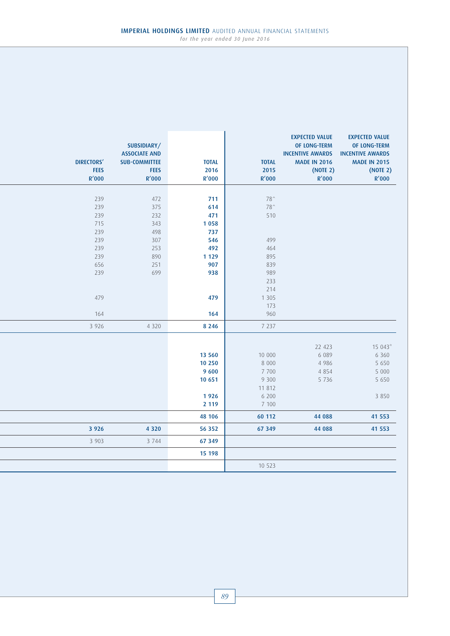| <b>DIRECTORS'</b><br><b>FEES</b><br>R'000 | SUBSIDIARY/<br><b>ASSOCIATE AND</b><br><b>SUB-COMMITTEE</b><br><b>FEES</b><br>R'000 | <b>TOTAL</b><br>2016<br>R'000 | <b>TOTAL</b><br>2015<br><b>R'000</b> | <b>EXPECTED VALUE</b><br><b>OF LONG-TERM</b><br><b>INCENTIVE AWARDS</b><br><b>MADE IN 2016</b><br>(NOTE 2)<br>R'000 | <b>EXPECTED VALUE</b><br>OF LONG-TERM<br><b>INCENTIVE AWARDS</b><br><b>MADE IN 2015</b><br>(NOTE 2)<br>R'000 |
|-------------------------------------------|-------------------------------------------------------------------------------------|-------------------------------|--------------------------------------|---------------------------------------------------------------------------------------------------------------------|--------------------------------------------------------------------------------------------------------------|
|                                           |                                                                                     |                               |                                      |                                                                                                                     |                                                                                                              |
| 239                                       | 472                                                                                 | 711                           | 78^                                  |                                                                                                                     |                                                                                                              |
| 239                                       | 375                                                                                 | 614                           | 78^                                  |                                                                                                                     |                                                                                                              |
| 239                                       | 232                                                                                 | 471                           | 510                                  |                                                                                                                     |                                                                                                              |
| 715                                       | 343                                                                                 | 1 0 5 8                       |                                      |                                                                                                                     |                                                                                                              |
| 239                                       | 498                                                                                 | 737                           |                                      |                                                                                                                     |                                                                                                              |
| 239                                       | 307                                                                                 | 546                           | 499                                  |                                                                                                                     |                                                                                                              |
| 239                                       | 253                                                                                 | 492                           | 464                                  |                                                                                                                     |                                                                                                              |
| 239                                       | 890                                                                                 | 1 1 2 9                       | 895                                  |                                                                                                                     |                                                                                                              |
| 656                                       | 251                                                                                 | 907                           | 839                                  |                                                                                                                     |                                                                                                              |
| 239                                       | 699                                                                                 | 938                           | 989                                  |                                                                                                                     |                                                                                                              |
|                                           |                                                                                     |                               | 233                                  |                                                                                                                     |                                                                                                              |
|                                           |                                                                                     |                               | 214                                  |                                                                                                                     |                                                                                                              |
| 479                                       |                                                                                     | 479                           | 1 3 0 5                              |                                                                                                                     |                                                                                                              |
|                                           |                                                                                     |                               | 173                                  |                                                                                                                     |                                                                                                              |
| 164                                       |                                                                                     | 164                           | 960                                  |                                                                                                                     |                                                                                                              |
| 3 9 2 6                                   | 4 3 2 0                                                                             | 8 2 4 6                       | 7 2 3 7                              |                                                                                                                     |                                                                                                              |
|                                           |                                                                                     |                               |                                      |                                                                                                                     |                                                                                                              |
|                                           |                                                                                     |                               |                                      | 22 423                                                                                                              | 15 043*                                                                                                      |
|                                           |                                                                                     | 13 560                        | 10 000                               | 6 0 8 9                                                                                                             | 6 3 6 0                                                                                                      |
|                                           |                                                                                     | 10 250                        | 8 0 0 0                              | 4 9 8 6                                                                                                             | 5 6 5 0                                                                                                      |
|                                           |                                                                                     | 9 600                         | 7 700                                | 4 8 5 4                                                                                                             | 5 0 0 0                                                                                                      |
|                                           |                                                                                     | 10 651                        | 9 3 0 0                              | 5 7 3 6                                                                                                             | 5 6 5 0                                                                                                      |
|                                           |                                                                                     |                               | 11 812                               |                                                                                                                     |                                                                                                              |
|                                           |                                                                                     | 1926                          | 6 200                                |                                                                                                                     | 3 8 5 0                                                                                                      |
|                                           |                                                                                     | 2 1 1 9                       | 7 100                                |                                                                                                                     |                                                                                                              |
|                                           |                                                                                     |                               |                                      |                                                                                                                     |                                                                                                              |
|                                           |                                                                                     | 48 10 6                       | 60 112                               | 44 088                                                                                                              | 41 553                                                                                                       |
| 3 9 2 6                                   | 4 3 2 0                                                                             | 56 352                        | 67 349                               | 44 088                                                                                                              | 41 553                                                                                                       |
| 3 9 0 3                                   | 3 7 4 4                                                                             | 67 349                        |                                      |                                                                                                                     |                                                                                                              |
|                                           |                                                                                     | 15 198                        |                                      |                                                                                                                     |                                                                                                              |
|                                           |                                                                                     |                               | 10 523                               |                                                                                                                     |                                                                                                              |
|                                           |                                                                                     |                               |                                      |                                                                                                                     |                                                                                                              |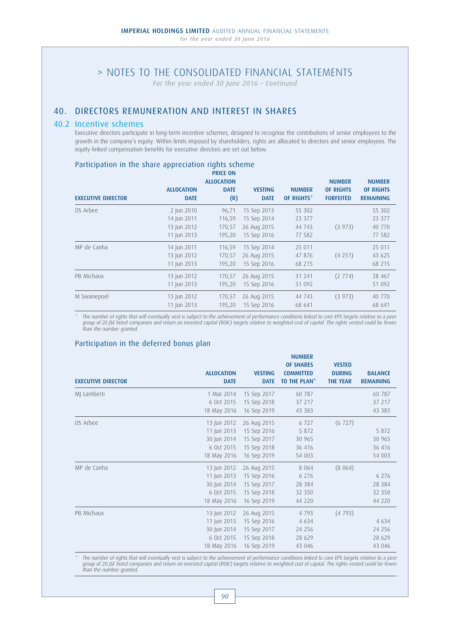*For the year ended 30 June 2016 – Continued*

## 40. DIRECTORS REMUNERATION AND INTEREST IN SHARES

### 40.2 Incentive schemes

 Executive directors participate in long-term incentive schemes, designed to recognise the contributions of senior employees to the growth in the company's equity. Within limits imposed by shareholders, rights are allocated to directors and senior employees. The equity-linked compensation benefits for executive directors are set out below.

## Participation in the share appreciation rights scheme

|                           |                                                         | <b>PRICE ON</b><br><b>ALLOCATION</b> |                                                          |                                      | <b>NUMBER</b>                        | <b>NUMBER</b>                        |
|---------------------------|---------------------------------------------------------|--------------------------------------|----------------------------------------------------------|--------------------------------------|--------------------------------------|--------------------------------------|
| <b>EXECUTIVE DIRECTOR</b> | <b>ALLOCATION</b><br><b>DATE</b>                        | <b>DATE</b><br>(R)                   | <b>VESTING</b><br><b>DATE</b>                            | <b>NUMBER</b><br>OF RIGHTS*          | <b>OF RIGHTS</b><br><b>FORFEITED</b> | <b>OF RIGHTS</b><br><b>REMAINING</b> |
| OS Arbee                  | 2 Jun 2010<br>14 Jun 2011<br>13 Jun 2012<br>11 Jun 2013 | 96,71<br>116,59<br>170,57<br>195,20  | 15 Sep 2013<br>15 Sep 2014<br>26 Aug 2015<br>15 Sep 2016 | 55 302<br>23 377<br>44 743<br>77 582 | (3973)                               | 55 302<br>23 377<br>40 770<br>77 582 |
| MP de Canha               | 14 Jun 2011<br>13 Jun 2012<br>11 Jun 2013               | 116,59<br>170,57<br>195,20           | 15 Sep 2014<br>26 Aug 2015<br>15 Sep 2016                | 25 011<br>47 876<br>68 215           | (4251)                               | 25 011<br>43 625<br>68 215           |
| PB Michaux                | 13 Jun 2012<br>11 Jun 2013                              | 170,57<br>195,20                     | 26 Aug 2015<br>15 Sep 2016                               | 31 241<br>51 092                     | (2774)                               | 28 467<br>51 092                     |
| M Swanepoel               | 13 Jun 2012<br>11 Jun 2013                              | 170,57<br>195,20                     | 26 Aug 2015<br>15 Sep 2016                               | 44 743<br>68 641                     | (3973)                               | 40 770<br>68 641                     |

\* The number of rights that will eventually vest is subject to the achievement of performance conditions linked to core EPS targets relative to a peer group of 20 JSE listed companies and return on invested capital (ROIC) targets relative to weighted cost of capital. The rights vested could be fewer than the number granted.

NUMBER

### Participation in the deferred bonus plan

| <b>EXECUTIVE DIRECTOR</b> | <b>ALLOCATION</b><br><b>DATE</b> | <b>VESTING</b><br><b>DATE</b> | <b>NUMBER</b><br><b>OF SHARES</b><br><b>COMMITTED</b><br><b>TO THE PLAN<sup>*</sup></b> | <b>VESTED</b><br><b>DURING</b><br><b>THE YEAR</b> | <b>BALANCE</b><br><b>REMAINING</b> |
|---------------------------|----------------------------------|-------------------------------|-----------------------------------------------------------------------------------------|---------------------------------------------------|------------------------------------|
| MJ Lamberti               | 1 Mar 2014                       | 15 Sep 2017                   | 60 787                                                                                  |                                                   | 60 787                             |
|                           | 6 Oct 2015                       | 15 Sep 2018                   | 37 217                                                                                  |                                                   | 37 217                             |
|                           | 18 May 2016                      | 16 Sep 2019                   | 43 383                                                                                  |                                                   | 43 383                             |
| OS Arbee                  | 13 Jun 2012                      | 26 Aug 2015                   | 6 7 2 7                                                                                 | (6727)                                            |                                    |
|                           | 11 Jun 2013                      | 15 Sep 2016                   | 5 8 7 2                                                                                 |                                                   | 5 8 7 2                            |
|                           | 30 Jun 2014                      | 15 Sep 2017                   | 30 965                                                                                  |                                                   | 30 965                             |
|                           | 6 Oct 2015                       | 15 Sep 2018                   | 36 416                                                                                  |                                                   | 36 416                             |
|                           | 18 May 2016                      | 16 Sep 2019                   | 54 003                                                                                  |                                                   | 54 003                             |
| MP de Canha               | 13 Jun 2012                      | 26 Aug 2015                   | 8 0 6 4                                                                                 | (8064)                                            |                                    |
|                           | 11 Jun 2013                      | 15 Sep 2016                   | 6 2 7 6                                                                                 |                                                   | 6 2 7 6                            |
|                           | 30 Jun 2014                      | 15 Sep 2017                   | 28 3 8 4                                                                                |                                                   | 28 3 8 4                           |
|                           | 6 Oct 2015                       | 15 Sep 2018                   | 32 350                                                                                  |                                                   | 32 350                             |
|                           | 18 May 2016                      | 16 Sep 2019                   | 44 220                                                                                  |                                                   | 44 220                             |
| PB Michaux                | 13 Jun 2012                      | 26 Aug 2015                   | 4793                                                                                    | (4793)                                            |                                    |
|                           | 11 Jun 2013                      | 15 Sep 2016                   | 4 6 3 4                                                                                 |                                                   | 4 6 3 4                            |
|                           | 30 Jun 2014                      | 15 Sep 2017                   | 24 25 6                                                                                 |                                                   | 24 25 6                            |
|                           | 6 Oct 2015                       | 15 Sep 2018                   | 28 629                                                                                  |                                                   | 28 629                             |
|                           | 18 May 2016                      | 16 Sep 2019                   | 43 046                                                                                  |                                                   | 43 046                             |
|                           |                                  |                               |                                                                                         |                                                   |                                    |

The number of rights that will eventually vest is subject to the achievement of performance conditions linked to core EPS targets relative to a peer group of 20 JSE listed companies and return on invested capital (ROIC) targets relative to weighted cost of capital. The rights vested could be fewer than the number granted.